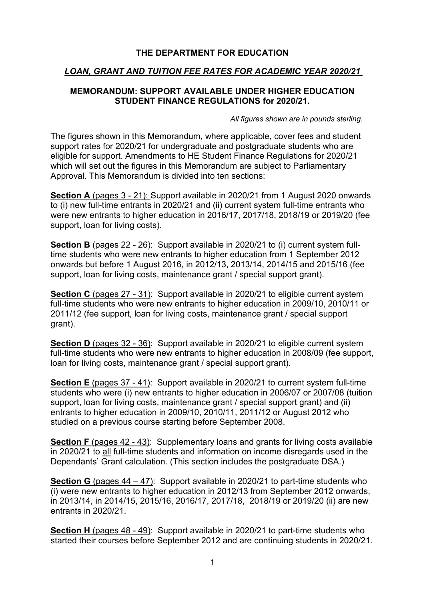## **THE DEPARTMENT FOR EDUCATION**

### *LOAN, GRANT AND TUITION FEE RATES FOR ACADEMIC YEAR 2020/21*

### **MEMORANDUM: SUPPORT AVAILABLE UNDER HIGHER EDUCATION STUDENT FINANCE REGULATIONS for 2020/21.**

*All figures shown are in pounds sterling.*

The figures shown in this Memorandum, where applicable, cover fees and student support rates for 2020/21 for undergraduate and postgraduate students who are eligible for support. Amendments to HE Student Finance Regulations for 2020/21 which will set out the figures in this Memorandum are subject to Parliamentary Approval. This Memorandum is divided into ten sections:

**Section A** (pages 3 - 21): Support available in 2020/21 from 1 August 2020 onwards to (i) new full-time entrants in 2020/21 and (ii) current system full-time entrants who were new entrants to higher education in 2016/17, 2017/18, 2018/19 or 2019/20 (fee support, loan for living costs).

**Section B** (pages 22 - 26): Support available in 2020/21 to (i) current system fulltime students who were new entrants to higher education from 1 September 2012 onwards but before 1 August 2016, in 2012/13, 2013/14, 2014/15 and 2015/16 (fee support, loan for living costs, maintenance grant / special support grant).

**Section C** (pages 27 - 31): Support available in 2020/21 to eligible current system full-time students who were new entrants to higher education in 2009/10, 2010/11 or 2011/12 (fee support, loan for living costs, maintenance grant / special support grant).

**Section D** (pages 32 - 36): Support available in 2020/21 to eligible current system full-time students who were new entrants to higher education in 2008/09 (fee support, loan for living costs, maintenance grant / special support grant).

**Section E** (pages 37 - 41): Support available in 2020/21 to current system full-time students who were (i) new entrants to higher education in 2006/07 or 2007/08 (tuition support, loan for living costs, maintenance grant / special support grant) and (ii) entrants to higher education in 2009/10, 2010/11, 2011/12 or August 2012 who studied on a previous course starting before September 2008.

**Section F** (pages 42 - 43): Supplementary loans and grants for living costs available in 2020/21 to all full-time students and information on income disregards used in the Dependants' Grant calculation. (This section includes the postgraduate DSA.)

**Section G** (pages 44 – 47): Support available in 2020/21 to part-time students who (i) were new entrants to higher education in 2012/13 from September 2012 onwards, in 2013/14, in 2014/15, 2015/16, 2016/17, 2017/18, 2018/19 or 2019/20 (ii) are new entrants in 2020/21.

**Section H** (pages 48 - 49): Support available in 2020/21 to part-time students who started their courses before September 2012 and are continuing students in 2020/21.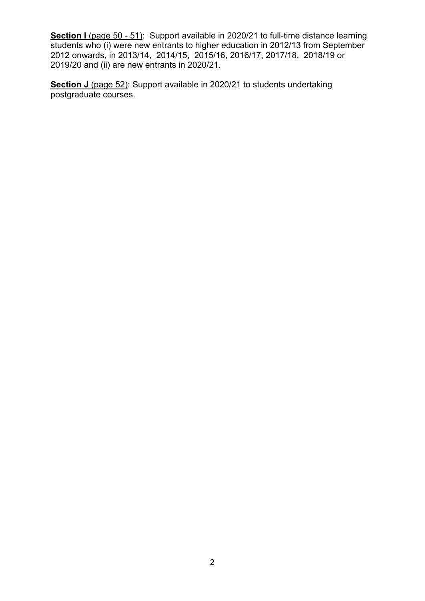**Section I** (page 50 - 51): Support available in 2020/21 to full-time distance learning students who (i) were new entrants to higher education in 2012/13 from September 2012 onwards, in 2013/14, 2014/15, 2015/16, 2016/17, 2017/18, 2018/19 or 2019/20 and (ii) are new entrants in 2020/21.

**Section J** (page 52): Support available in 2020/21 to students undertaking postgraduate courses.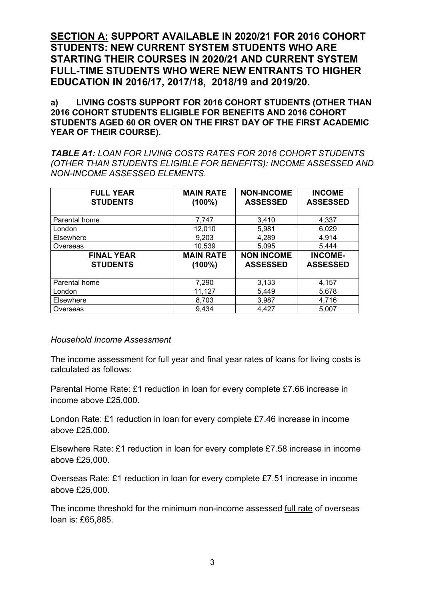**SECTION A: SUPPORT AVAILABLE IN 2020/21 FOR 2016 COHORT STUDENTS: NEW CURRENT SYSTEM STUDENTS WHO ARE STARTING THEIR COURSES IN 2020/21 AND CURRENT SYSTEM FULL-TIME STUDENTS WHO WERE NEW ENTRANTS TO HIGHER EDUCATION IN 2016/17, 2017/18, 2018/19 and 2019/20.** 

**a) LIVING COSTS SUPPORT FOR 2016 COHORT STUDENTS (OTHER THAN 2016 COHORT STUDENTS ELIGIBLE FOR BENEFITS AND 2016 COHORT STUDENTS AGED 60 OR OVER ON THE FIRST DAY OF THE FIRST ACADEMIC YEAR OF THEIR COURSE).**

*TABLE A1: LOAN FOR LIVING COSTS RATES FOR 2016 COHORT STUDENTS (OTHER THAN STUDENTS ELIGIBLE FOR BENEFITS): INCOME ASSESSED AND NON-INCOME ASSESSED ELEMENTS.*

| <b>FULL YEAR</b><br><b>STUDENTS</b>  | <b>MAIN RATE</b><br>$(100\%)$ | <b>NON-INCOME</b><br><b>ASSESSED</b> | <b>INCOME</b><br><b>ASSESSED</b>  |
|--------------------------------------|-------------------------------|--------------------------------------|-----------------------------------|
| Parental home                        | 7,747                         | 3,410                                | 4,337                             |
| London                               | 12,010                        | 5,981                                | 6,029                             |
| Elsewhere                            | 9,203                         | 4,289                                | 4,914                             |
| Overseas                             | 10,539                        | 5,095                                | 5,444                             |
| <b>FINAL YEAR</b><br><b>STUDENTS</b> | <b>MAIN RATE</b><br>(100%)    | <b>NON INCOME</b><br><b>ASSESSED</b> | <b>INCOME-</b><br><b>ASSESSED</b> |
| Parental home                        | 7,290                         | 3,133                                | 4,157                             |
| London                               | 11,127                        | 5,449                                | 5,678                             |
| Elsewhere                            | 8,703                         | 3,987                                | 4,716                             |
| Overseas                             | 9,434                         | 4.427                                | 5.007                             |

### *Household Income Assessment*

The income assessment for full year and final year rates of loans for living costs is calculated as follows:

Parental Home Rate: £1 reduction in loan for every complete £7.66 increase in income above £25,000.

London Rate: £1 reduction in loan for every complete £7.46 increase in income above £25,000.

Elsewhere Rate: £1 reduction in loan for every complete £7.58 increase in income above £25,000.

Overseas Rate: £1 reduction in loan for every complete £7.51 increase in income above £25,000.

The income threshold for the minimum non-income assessed full rate of overseas loan is: £65,885.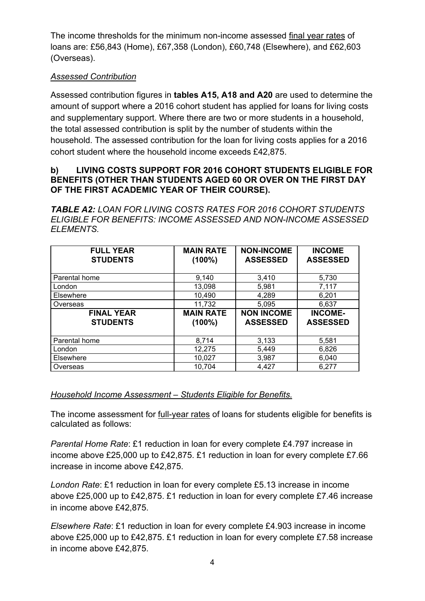The income thresholds for the minimum non-income assessed final year rates of loans are: £56,843 (Home), £67,358 (London), £60,748 (Elsewhere), and £62,603 (Overseas).

## *Assessed Contribution*

Assessed contribution figures in **tables A15, A18 and A20** are used to determine the amount of support where a 2016 cohort student has applied for loans for living costs and supplementary support. Where there are two or more students in a household, the total assessed contribution is split by the number of students within the household. The assessed contribution for the loan for living costs applies for a 2016 cohort student where the household income exceeds £42,875.

### **b) LIVING COSTS SUPPORT FOR 2016 COHORT STUDENTS ELIGIBLE FOR BENEFITS (OTHER THAN STUDENTS AGED 60 OR OVER ON THE FIRST DAY OF THE FIRST ACADEMIC YEAR OF THEIR COURSE).**

*TABLE A2: LOAN FOR LIVING COSTS RATES FOR 2016 COHORT STUDENTS ELIGIBLE FOR BENEFITS: INCOME ASSESSED AND NON-INCOME ASSESSED ELEMENTS.*

| <b>FULL YEAR</b><br><b>STUDENTS</b>  | <b>MAIN RATE</b><br>(100%) | <b>NON-INCOME</b><br><b>ASSESSED</b> | <b>INCOME</b><br><b>ASSESSED</b>  |
|--------------------------------------|----------------------------|--------------------------------------|-----------------------------------|
| Parental home                        | 9,140                      | 3,410                                | 5,730                             |
| London                               | 13,098                     | 5,981                                | 7,117                             |
| Elsewhere                            | 10,490                     | 4,289                                | 6,201                             |
| Overseas                             | 11,732                     | 5,095                                | 6,637                             |
| <b>FINAL YEAR</b><br><b>STUDENTS</b> | <b>MAIN RATE</b><br>(100%) | <b>NON INCOME</b><br><b>ASSESSED</b> | <b>INCOME-</b><br><b>ASSESSED</b> |
| Parental home                        | 8,714                      | 3,133                                | 5,581                             |
| London                               | 12,275                     | 5,449                                | 6,826                             |
| Elsewhere                            | 10,027                     | 3,987                                | 6,040                             |
| Overseas                             | 10,704                     | 4,427                                | 6,277                             |

## *Household Income Assessment – Students Eligible for Benefits.*

The income assessment for full-year rates of loans for students eligible for benefits is calculated as follows:

*Parental Home Rate*: £1 reduction in loan for every complete £4.797 increase in income above £25,000 up to £42,875. £1 reduction in loan for every complete £7.66 increase in income above £42,875.

*London Rate*: £1 reduction in loan for every complete £5.13 increase in income above £25,000 up to £42,875. £1 reduction in loan for every complete £7.46 increase in income above £42,875.

*Elsewhere Rate*: £1 reduction in loan for every complete £4.903 increase in income above £25,000 up to £42,875. £1 reduction in loan for every complete £7.58 increase in income above £42,875.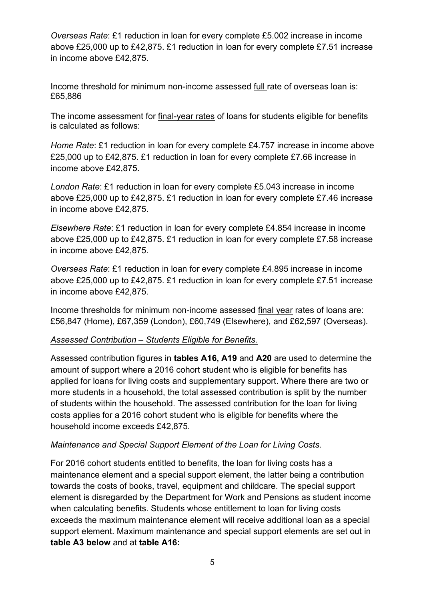*Overseas Rate*: £1 reduction in loan for every complete £5.002 increase in income above £25,000 up to £42,875. £1 reduction in loan for every complete £7.51 increase in income above £42,875.

Income threshold for minimum non-income assessed full rate of overseas loan is: £65,886

The income assessment for final-year rates of loans for students eligible for benefits is calculated as follows:

*Home Rate*: £1 reduction in loan for every complete £4.757 increase in income above £25,000 up to £42,875. £1 reduction in loan for every complete £7.66 increase in income above £42,875.

*London Rate*: £1 reduction in loan for every complete £5.043 increase in income above £25,000 up to £42,875. £1 reduction in loan for every complete £7.46 increase in income above £42,875.

*Elsewhere Rate*: £1 reduction in loan for every complete £4.854 increase in income above £25,000 up to £42,875. £1 reduction in loan for every complete £7.58 increase in income above £42,875.

*Overseas Rate*: £1 reduction in loan for every complete £4.895 increase in income above £25,000 up to £42,875. £1 reduction in loan for every complete £7.51 increase in income above £42,875.

Income thresholds for minimum non-income assessed final year rates of loans are: £56,847 (Home), £67,359 (London), £60,749 (Elsewhere), and £62,597 (Overseas).

## *Assessed Contribution – Students Eligible for Benefits.*

Assessed contribution figures in **tables A16, A19** and **A20** are used to determine the amount of support where a 2016 cohort student who is eligible for benefits has applied for loans for living costs and supplementary support. Where there are two or more students in a household, the total assessed contribution is split by the number of students within the household. The assessed contribution for the loan for living costs applies for a 2016 cohort student who is eligible for benefits where the household income exceeds £42,875.

## *Maintenance and Special Support Element of the Loan for Living Costs.*

For 2016 cohort students entitled to benefits, the loan for living costs has a maintenance element and a special support element, the latter being a contribution towards the costs of books, travel, equipment and childcare. The special support element is disregarded by the Department for Work and Pensions as student income when calculating benefits. Students whose entitlement to loan for living costs exceeds the maximum maintenance element will receive additional loan as a special support element. Maximum maintenance and special support elements are set out in **table A3 below** and at **table A16:**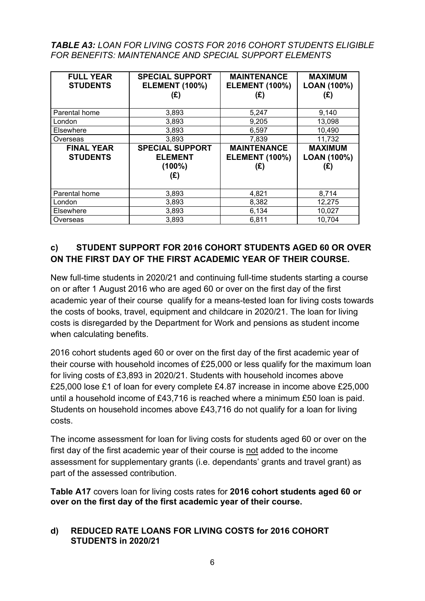### *TABLE A3: LOAN FOR LIVING COSTS FOR 2016 COHORT STUDENTS ELIGIBLE FOR BENEFITS: MAINTENANCE AND SPECIAL SUPPORT ELEMENTS*

| <b>FULL YEAR</b><br><b>STUDENTS</b>  | <b>SPECIAL SUPPORT</b><br><b>ELEMENT (100%)</b><br>(£)       | <b>MAINTENANCE</b><br><b>ELEMENT (100%)</b><br>(£) | <b>MAXIMUM</b><br><b>LOAN (100%)</b><br>(£) |
|--------------------------------------|--------------------------------------------------------------|----------------------------------------------------|---------------------------------------------|
| Parental home                        | 3,893                                                        | 5,247                                              | 9,140                                       |
| London                               | 3,893                                                        | 9,205                                              | 13,098                                      |
| Elsewhere                            | 3,893                                                        | 6,597                                              | 10,490                                      |
| Overseas                             | 3,893                                                        | 7,839                                              | 11,732                                      |
| <b>FINAL YEAR</b><br><b>STUDENTS</b> | <b>SPECIAL SUPPORT</b><br><b>ELEMENT</b><br>$(100\%)$<br>(E) | <b>MAINTENANCE</b><br><b>ELEMENT (100%)</b><br>(E) | <b>MAXIMUM</b><br><b>LOAN (100%)</b><br>(E) |
| Parental home                        | 3,893                                                        | 4,821                                              | 8,714                                       |
| London                               | 3,893                                                        | 8,382                                              | 12,275                                      |
| Elsewhere                            | 3,893                                                        | 6,134                                              | 10,027                                      |
| Overseas                             | 3,893                                                        | 6,811                                              | 10,704                                      |

## **c) STUDENT SUPPORT FOR 2016 COHORT STUDENTS AGED 60 OR OVER ON THE FIRST DAY OF THE FIRST ACADEMIC YEAR OF THEIR COURSE.**

New full-time students in 2020/21 and continuing full-time students starting a course on or after 1 August 2016 who are aged 60 or over on the first day of the first academic year of their course qualify for a means-tested loan for living costs towards the costs of books, travel, equipment and childcare in 2020/21. The loan for living costs is disregarded by the Department for Work and pensions as student income when calculating benefits.

2016 cohort students aged 60 or over on the first day of the first academic year of their course with household incomes of £25,000 or less qualify for the maximum loan for living costs of £3,893 in 2020/21. Students with household incomes above £25,000 lose £1 of loan for every complete £4.87 increase in income above £25,000 until a household income of £43,716 is reached where a minimum £50 loan is paid. Students on household incomes above £43,716 do not qualify for a loan for living costs.

The income assessment for loan for living costs for students aged 60 or over on the first day of the first academic year of their course is not added to the income assessment for supplementary grants (i.e. dependants' grants and travel grant) as part of the assessed contribution.

**Table A17** covers loan for living costs rates for **2016 cohort students aged 60 or over on the first day of the first academic year of their course.** 

## **d) REDUCED RATE LOANS FOR LIVING COSTS for 2016 COHORT STUDENTS in 2020/21**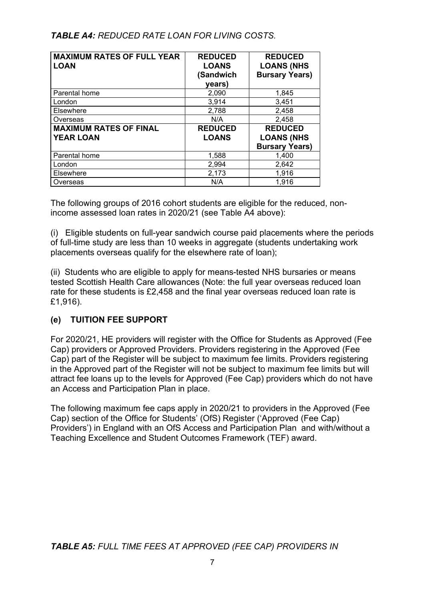# *TABLE A4: REDUCED RATE LOAN FOR LIVING COSTS.*

| <b>MAXIMUM RATES OF FULL YEAR</b><br><b>LOAN</b>  | <b>REDUCED</b><br><b>LOANS</b><br>(Sandwich<br>years) | <b>REDUCED</b><br><b>LOANS (NHS</b><br><b>Bursary Years)</b> |
|---------------------------------------------------|-------------------------------------------------------|--------------------------------------------------------------|
| Parental home                                     | 2,090                                                 | 1,845                                                        |
| London                                            | 3,914                                                 | 3,451                                                        |
| Elsewhere                                         | 2,788                                                 | 2,458                                                        |
| Overseas                                          | N/A                                                   | 2,458                                                        |
| <b>MAXIMUM RATES OF FINAL</b><br><b>YEAR LOAN</b> | <b>REDUCED</b><br><b>LOANS</b>                        | <b>REDUCED</b><br><b>LOANS (NHS</b>                          |
|                                                   |                                                       | <b>Bursary Years)</b>                                        |
| Parental home                                     | 1,588                                                 | 1,400                                                        |
| London                                            | 2,994                                                 | 2,642                                                        |
| Elsewhere                                         | 2,173                                                 | 1,916                                                        |
| Overseas                                          | N/A                                                   | 1,916                                                        |

The following groups of 2016 cohort students are eligible for the reduced, nonincome assessed loan rates in 2020/21 (see Table A4 above):

(i) Eligible students on full-year sandwich course paid placements where the periods of full-time study are less than 10 weeks in aggregate (students undertaking work placements overseas qualify for the elsewhere rate of loan);

(ii) Students who are eligible to apply for means-tested NHS bursaries or means tested Scottish Health Care allowances (Note: the full year overseas reduced loan rate for these students is £2,458 and the final year overseas reduced loan rate is £1,916).

# **(e) TUITION FEE SUPPORT**

For 2020/21, HE providers will register with the Office for Students as Approved (Fee Cap) providers or Approved Providers. Providers registering in the Approved (Fee Cap) part of the Register will be subject to maximum fee limits. Providers registering in the Approved part of the Register will not be subject to maximum fee limits but will attract fee loans up to the levels for Approved (Fee Cap) providers which do not have an Access and Participation Plan in place.

The following maximum fee caps apply in 2020/21 to providers in the Approved (Fee Cap) section of the Office for Students' (OfS) Register ('Approved (Fee Cap) Providers') in England with an OfS Access and Participation Plan and with/without a Teaching Excellence and Student Outcomes Framework (TEF) award.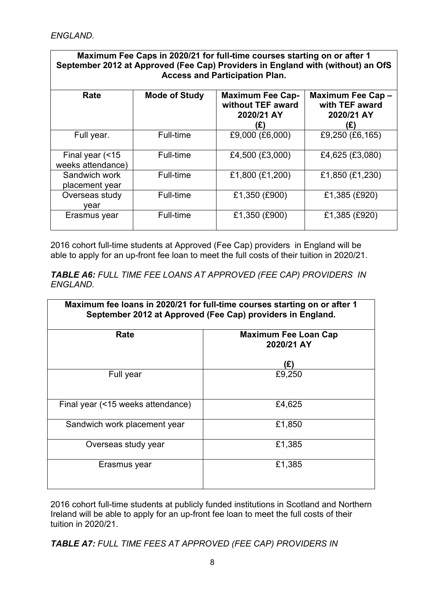| Maximum Fee Caps in 2020/21 for full-time courses starting on or after 1<br>September 2012 at Approved (Fee Cap) Providers in England with (without) an OfS<br><b>Access and Participation Plan.</b> |                      |                                                                   |                                                          |
|------------------------------------------------------------------------------------------------------------------------------------------------------------------------------------------------------|----------------------|-------------------------------------------------------------------|----------------------------------------------------------|
| Rate                                                                                                                                                                                                 | <b>Mode of Study</b> | <b>Maximum Fee Cap-</b><br>without TEF award<br>2020/21 AY<br>(£) | Maximum Fee Cap -<br>with TEF award<br>2020/21 AY<br>(£) |
| Full year.                                                                                                                                                                                           | Full-time            | £9,000 (£6,000)                                                   | £9,250 (£6,165)                                          |
| Final year $($ < 15<br>weeks attendance)                                                                                                                                                             | Full-time            | £4,500 (£3,000)                                                   | £4,625 (£3,080)                                          |
| Sandwich work<br>placement year                                                                                                                                                                      | Full-time            | £1,800 (£1,200)                                                   | £1,850 (£1,230)                                          |
| Overseas study<br>vear                                                                                                                                                                               | Full-time            | £1,350 (£900)                                                     | £1,385 (£920)                                            |
| Erasmus year                                                                                                                                                                                         | Full-time            | £1,350 (£900)                                                     | £1,385 (£920)                                            |

2016 cohort full-time students at Approved (Fee Cap) providers in England will be able to apply for an up-front fee loan to meet the full costs of their tuition in 2020/21.

*TABLE A6: FULL TIME FEE LOANS AT APPROVED (FEE CAP) PROVIDERS IN ENGLAND.* 

| Maximum fee loans in 2020/21 for full-time courses starting on or after 1<br>September 2012 at Approved (Fee Cap) providers in England. |                                           |  |
|-----------------------------------------------------------------------------------------------------------------------------------------|-------------------------------------------|--|
| Rate                                                                                                                                    | <b>Maximum Fee Loan Cap</b><br>2020/21 AY |  |
|                                                                                                                                         | (£)                                       |  |
| Full year                                                                                                                               | £9,250                                    |  |
| Final year (<15 weeks attendance)                                                                                                       | £4,625                                    |  |
| Sandwich work placement year                                                                                                            | £1,850                                    |  |
| Overseas study year                                                                                                                     | £1,385                                    |  |
| Erasmus year                                                                                                                            | £1,385                                    |  |

2016 cohort full-time students at publicly funded institutions in Scotland and Northern Ireland will be able to apply for an up-front fee loan to meet the full costs of their tuition in 2020/21.

*TABLE A7: FULL TIME FEES AT APPROVED (FEE CAP) PROVIDERS IN*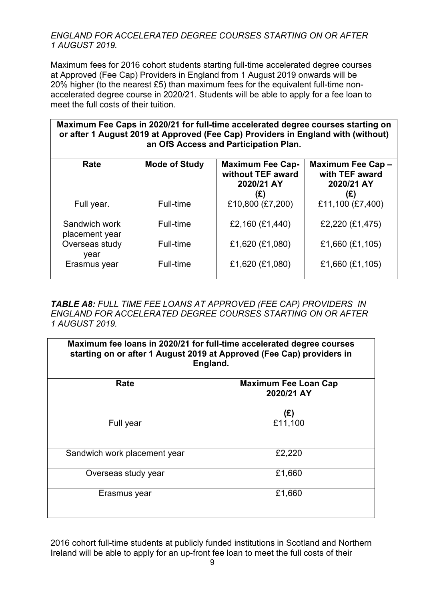## *ENGLAND FOR ACCELERATED DEGREE COURSES STARTING ON OR AFTER 1 AUGUST 2019.*

Maximum fees for 2016 cohort students starting full-time accelerated degree courses at Approved (Fee Cap) Providers in England from 1 August 2019 onwards will be 20% higher (to the nearest £5) than maximum fees for the equivalent full-time nonaccelerated degree course in 2020/21. Students will be able to apply for a fee loan to meet the full costs of their tuition.

**Maximum Fee Caps in 2020/21 for full-time accelerated degree courses starting on or after 1 August 2019 at Approved (Fee Cap) Providers in England with (without) an OfS Access and Participation Plan.** 

| Rate                            | <b>Mode of Study</b> | <b>Maximum Fee Cap-</b><br>without TEF award<br>2020/21 AY<br>(£) | Maximum Fee Cap -<br>with TEF award<br>2020/21 AY<br>(£) |
|---------------------------------|----------------------|-------------------------------------------------------------------|----------------------------------------------------------|
| Full year.                      | Full-time            | £10,800 (£7,200)                                                  | £11,100 (£7,400)                                         |
| Sandwich work<br>placement year | Full-time            | £2,160 (£1,440)                                                   | £2,220 (£1,475)                                          |
| Overseas study<br>vear          | Full-time            | £1,620 (£1,080)                                                   | £1,660 (£1,105)                                          |
| Erasmus year                    | Full-time            | £1,620 (£1,080)                                                   | £1,660 (£1,105)                                          |

*TABLE A8: FULL TIME FEE LOANS AT APPROVED (FEE CAP) PROVIDERS IN ENGLAND FOR ACCELERATED DEGREE COURSES STARTING ON OR AFTER 1 AUGUST 2019.*

| Maximum fee loans in 2020/21 for full-time accelerated degree courses<br>starting on or after 1 August 2019 at Approved (Fee Cap) providers in<br>England. |                                                  |  |
|------------------------------------------------------------------------------------------------------------------------------------------------------------|--------------------------------------------------|--|
| Rate                                                                                                                                                       | <b>Maximum Fee Loan Cap</b><br>2020/21 AY<br>(£) |  |
| Full year                                                                                                                                                  | £11,100                                          |  |
| Sandwich work placement year                                                                                                                               | £2,220                                           |  |
| Overseas study year                                                                                                                                        | £1,660                                           |  |
| Erasmus year                                                                                                                                               | £1,660                                           |  |

2016 cohort full-time students at publicly funded institutions in Scotland and Northern Ireland will be able to apply for an up-front fee loan to meet the full costs of their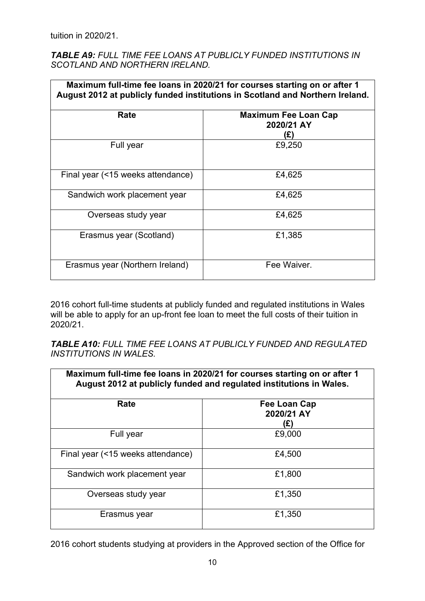### *TABLE A9: FULL TIME FEE LOANS AT PUBLICLY FUNDED INSTITUTIONS IN SCOTLAND AND NORTHERN IRELAND.*

| Maximum full-time fee loans in 2020/21 for courses starting on or after 1<br>August 2012 at publicly funded institutions in Scotland and Northern Ireland. |                                           |  |
|------------------------------------------------------------------------------------------------------------------------------------------------------------|-------------------------------------------|--|
| Rate                                                                                                                                                       | Maximum Fee Loan Cap<br>2020/21 AY<br>(£) |  |
| Full year                                                                                                                                                  | £9,250                                    |  |
| Final year (<15 weeks attendance)                                                                                                                          | £4,625                                    |  |
| Sandwich work placement year                                                                                                                               | £4,625                                    |  |
| Overseas study year                                                                                                                                        | £4,625                                    |  |
| Erasmus year (Scotland)                                                                                                                                    | £1,385                                    |  |
| Erasmus year (Northern Ireland)                                                                                                                            | Fee Waiver.                               |  |

2016 cohort full-time students at publicly funded and regulated institutions in Wales will be able to apply for an up-front fee loan to meet the full costs of their tuition in 2020/21.

*TABLE A10: FULL TIME FEE LOANS AT PUBLICLY FUNDED AND REGULATED INSTITUTIONS IN WALES.*

| Maximum full-time fee loans in 2020/21 for courses starting on or after 1<br>August 2012 at publicly funded and regulated institutions in Wales. |                                   |  |
|--------------------------------------------------------------------------------------------------------------------------------------------------|-----------------------------------|--|
| Rate                                                                                                                                             | Fee Loan Cap<br>2020/21 AY<br>(£) |  |
| Full year                                                                                                                                        | £9,000                            |  |
| Final year (<15 weeks attendance)                                                                                                                | £4,500                            |  |
| Sandwich work placement year                                                                                                                     | £1,800                            |  |
| Overseas study year                                                                                                                              | £1,350                            |  |
| Erasmus year                                                                                                                                     | £1,350                            |  |

2016 cohort students studying at providers in the Approved section of the Office for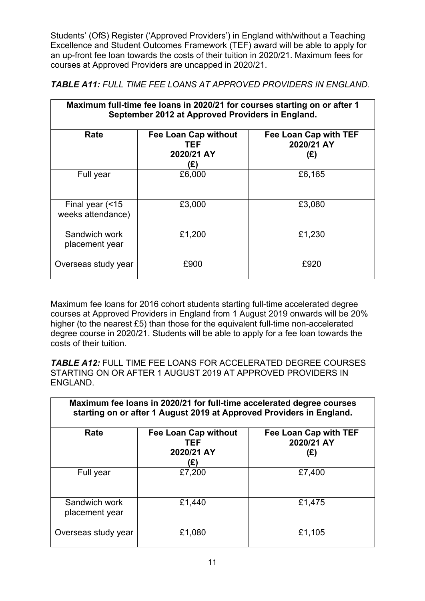Students' (OfS) Register ('Approved Providers') in England with/without a Teaching Excellence and Student Outcomes Framework (TEF) award will be able to apply for an up-front fee loan towards the costs of their tuition in 2020/21. Maximum fees for courses at Approved Providers are uncapped in 2020/21.

*TABLE A11: FULL TIME FEE LOANS AT APPROVED PROVIDERS IN ENGLAND.*

| Maximum full-time fee loans in 2020/21 for courses starting on or after 1<br>September 2012 at Approved Providers in England. |                                                         |                                            |  |
|-------------------------------------------------------------------------------------------------------------------------------|---------------------------------------------------------|--------------------------------------------|--|
| Rate                                                                                                                          | <b>Fee Loan Cap without</b><br>TEF<br>2020/21 AY<br>(£) | Fee Loan Cap with TEF<br>2020/21 AY<br>(£) |  |
| Full year                                                                                                                     | £6,000                                                  | £6,165                                     |  |
| Final year $($ < 15<br>weeks attendance)                                                                                      | £3,000                                                  | £3,080                                     |  |
| Sandwich work<br>placement year                                                                                               | £1,200                                                  | £1,230                                     |  |
| Overseas study year                                                                                                           | £900                                                    | £920                                       |  |

Maximum fee loans for 2016 cohort students starting full-time accelerated degree courses at Approved Providers in England from 1 August 2019 onwards will be 20% higher (to the nearest £5) than those for the equivalent full-time non-accelerated degree course in 2020/21. Students will be able to apply for a fee loan towards the costs of their tuition.

*TABLE A12:* FULL TIME FEE LOANS FOR ACCELERATED DEGREE COURSES STARTING ON OR AFTER 1 AUGUST 2019 AT APPROVED PROVIDERS IN ENGLAND.

| Maximum fee loans in 2020/21 for full-time accelerated degree courses<br>starting on or after 1 August 2019 at Approved Providers in England. |                                                  |                                            |  |
|-----------------------------------------------------------------------------------------------------------------------------------------------|--------------------------------------------------|--------------------------------------------|--|
| Rate                                                                                                                                          | Fee Loan Cap without<br>TEF<br>2020/21 AY<br>(£) | Fee Loan Cap with TEF<br>2020/21 AY<br>(E) |  |
| Full year                                                                                                                                     | £7,200                                           | £7,400                                     |  |
| Sandwich work<br>placement year                                                                                                               | £1,440                                           | £1,475                                     |  |
| Overseas study year                                                                                                                           | £1,080                                           | £1,105                                     |  |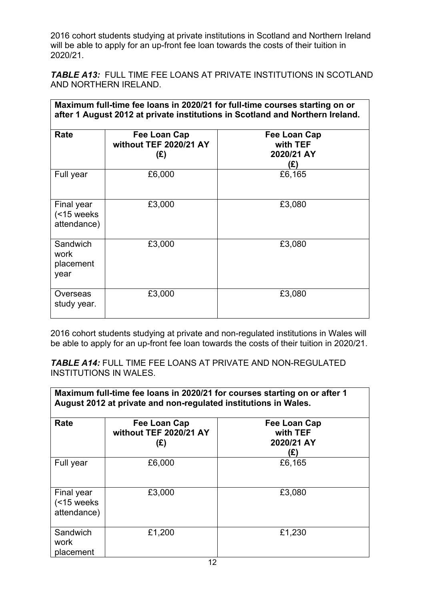2016 cohort students studying at private institutions in Scotland and Northern Ireland will be able to apply for an up-front fee loan towards the costs of their tuition in 2020/21.

*TABLE A13:* FULL TIME FEE LOANS AT PRIVATE INSTITUTIONS IN SCOTLAND AND NORTHERN IRELAND.

|                                         | Maximum full-time fee loans in 2020/21 for full-time courses starting on or<br>after 1 August 2012 at private institutions in Scotland and Northern Ireland. |                                               |  |  |  |  |
|-----------------------------------------|--------------------------------------------------------------------------------------------------------------------------------------------------------------|-----------------------------------------------|--|--|--|--|
| Rate                                    | Fee Loan Cap<br>without TEF 2020/21 AY<br>(E)                                                                                                                | Fee Loan Cap<br>with TEF<br>2020/21 AY<br>(E) |  |  |  |  |
| Full year                               | £6,000                                                                                                                                                       | £6,165                                        |  |  |  |  |
| Final year<br>(<15 weeks<br>attendance) | £3,000                                                                                                                                                       | £3,080                                        |  |  |  |  |
| Sandwich<br>work<br>placement<br>year   | £3,000                                                                                                                                                       | £3,080                                        |  |  |  |  |
| Overseas<br>study year.                 | £3,000                                                                                                                                                       | £3,080                                        |  |  |  |  |

2016 cohort students studying at private and non-regulated institutions in Wales will be able to apply for an up-front fee loan towards the costs of their tuition in 2020/21.

*TABLE A14:* FULL TIME FEE LOANS AT PRIVATE AND NON-REGULATED INSTITUTIONS IN WALES.

|                                | Maximum full-time fee loans in 2020/21 for courses starting on or after 1<br>August 2012 at private and non-regulated institutions in Wales. |                                               |  |  |  |  |  |
|--------------------------------|----------------------------------------------------------------------------------------------------------------------------------------------|-----------------------------------------------|--|--|--|--|--|
| Rate                           | Fee Loan Cap<br>without TEF 2020/21 AY<br>(E)                                                                                                | Fee Loan Cap<br>with TEF<br>2020/21 AY<br>(£) |  |  |  |  |  |
| Full year                      | £6,000                                                                                                                                       | £6,165                                        |  |  |  |  |  |
| Final year<br>(<br>attendance) | £3,000                                                                                                                                       | £3,080                                        |  |  |  |  |  |
| Sandwich<br>work<br>placement  | £1,200                                                                                                                                       | £1,230                                        |  |  |  |  |  |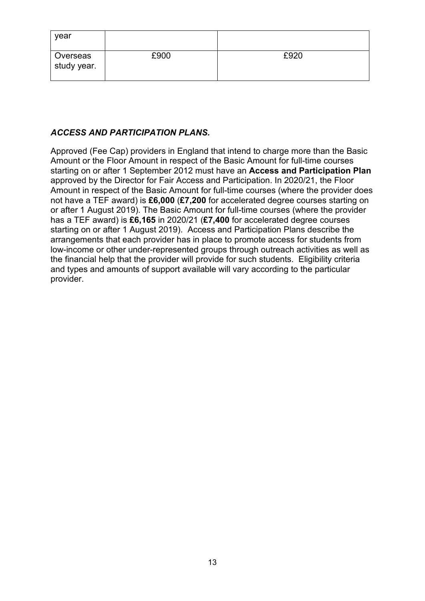| year                    |      |      |
|-------------------------|------|------|
| Overseas<br>study year. | £900 | £920 |

## *ACCESS AND PARTICIPATION PLANS.*

Approved (Fee Cap) providers in England that intend to charge more than the Basic Amount or the Floor Amount in respect of the Basic Amount for full-time courses starting on or after 1 September 2012 must have an **Access and Participation Plan**  approved by the Director for Fair Access and Participation. In 2020/21, the Floor Amount in respect of the Basic Amount for full-time courses (where the provider does not have a TEF award) is **£6,000** (**£7,200** for accelerated degree courses starting on or after 1 August 2019). The Basic Amount for full-time courses (where the provider has a TEF award) is **£6,165** in 2020/21 (**£7,400** for accelerated degree courses starting on or after 1 August 2019). Access and Participation Plans describe the arrangements that each provider has in place to promote access for students from low-income or other under-represented groups through outreach activities as well as the financial help that the provider will provide for such students. Eligibility criteria and types and amounts of support available will vary according to the particular provider.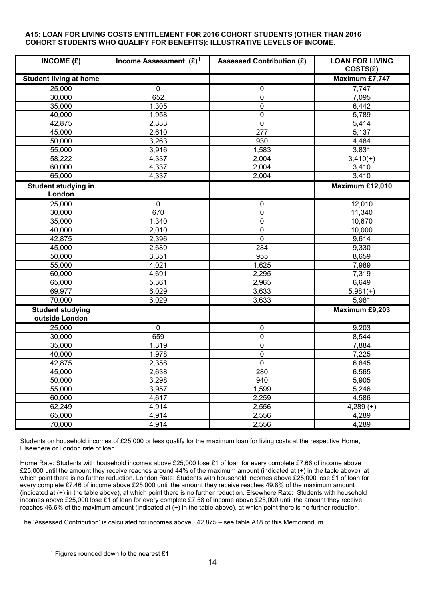#### **A15: LOAN FOR LIVING COSTS ENTITLEMENT FOR 2016 COHORT STUDENTS (OTHER THAN 2016 COHORT STUDENTS WHO QUALIFY FOR BENEFITS): ILLUSTRATIVE LEVELS OF INCOME.**

| INCOME $(E)$                              | Income Assessment $(E)^1$ | <b>Assessed Contribution (£)</b> | <b>LOAN FOR LIVING</b><br>COSTS(E) |
|-------------------------------------------|---------------------------|----------------------------------|------------------------------------|
| <b>Student living at home</b>             |                           |                                  | Maximum £7,747                     |
| 25,000                                    | $\mathbf 0$               | 0                                | 7,747                              |
| 30,000                                    | 652                       | $\mathbf 0$                      | 7,095                              |
| 35,000                                    | 1,305                     | 0                                | 6,442                              |
| 40,000                                    | 1,958                     | $\mathbf 0$                      | 5,789                              |
| 42,875                                    | 2,333                     | $\mathbf 0$                      | 5,414                              |
| 45,000                                    | 2,610                     | 277                              | 5,137                              |
| 50,000                                    | 3,263                     | 930                              | 4,484                              |
| 55,000                                    | 3,916                     | 1,583                            | 3,831                              |
| 58,222                                    | 4,337                     | 2,004                            | $3,410(+)$                         |
| 60,000                                    | 4,337                     | 2,004                            | 3,410                              |
| 65,000                                    | 4,337                     | 2,004                            | 3,410                              |
| <b>Student studying in</b>                |                           |                                  | Maximum £12,010                    |
| London                                    |                           |                                  |                                    |
| 25,000                                    | $\mathbf 0$               | 0                                | 12,010                             |
| 30,000                                    | 670                       | 0                                | 11,340                             |
| 35,000                                    | 1,340                     | 0                                | 10,670                             |
| 40,000                                    | 2,010                     | 0                                | 10,000                             |
| 42,875                                    | 2,396                     | $\mathbf 0$                      | 9,614                              |
| 45,000                                    | 2,680                     | 284                              | 9,330                              |
| 50,000                                    | 3,351                     | 955                              | 8,659                              |
| 55,000                                    | 4,021                     | 1,625                            | 7,989                              |
| 60,000                                    | 4,691                     | 2,295                            | 7,319                              |
| 65,000                                    | 5,361                     | 2,965                            | 6,649                              |
| 69,977                                    | 6,029                     | 3,633                            | $5,981(+)$                         |
| 70,000                                    | 6,029                     | 3,633                            | 5,981                              |
| <b>Student studying</b><br>outside London |                           |                                  | Maximum £9,203                     |
| 25,000                                    | $\mathbf 0$               | 0                                | 9,203                              |
| 30,000                                    | 659                       | $\mathbf 0$                      | 8,544                              |
| 35,000                                    | 1,319                     | 0                                | 7,884                              |
| 40,000                                    | 1,978                     | 0                                | 7,225                              |
| 42,875                                    | 2,358                     | $\mathbf 0$                      | 6,845                              |
| 45,000                                    | 2,638                     | 280                              | 6,565                              |
| 50,000                                    | 3,298                     | 940                              | 5,905                              |
| 55,000                                    | 3,957                     | 1,599                            | 5,246                              |
| 60,000                                    | 4,617                     | 2,259                            | 4,586                              |
| 62,249                                    | 4,914                     | 2,556                            | $4,289 (+)$                        |
| 65,000                                    | 4,914                     | 2,556                            | 4,289                              |
| 70,000                                    | 4,914                     | 2,556                            | 4,289                              |

Students on household incomes of £25,000 or less qualify for the maximum loan for living costs at the respective Home, Elsewhere or London rate of loan.

Home Rate: Students with household incomes above £25,000 lose £1 of loan for every complete £7.66 of income above £25,000 until the amount they receive reaches around 44% of the maximum amount (indicated at (+) in the table above), at which point there is no further reduction. London Rate: Students with household incomes above £25,000 lose £1 of loan for every complete £7.46 of income above £25,000 until the amount they receive reaches 49.8% of the maximum amount (indicated at (+) in the table above), at which point there is no further reduction. Elsewhere Rate: Students with household incomes above £25,000 lose £1 of loan for every complete £7.58 of income above £25,000 until the amount they receive reaches 46.6% of the maximum amount (indicated at (+) in the table above), at which point there is no further reduction.

<span id="page-13-0"></span>The 'Assessed Contribution' is calculated for incomes above £42,875 – see table A18 of this Memorandum.

<sup>1</sup> Figures rounded down to the nearest £1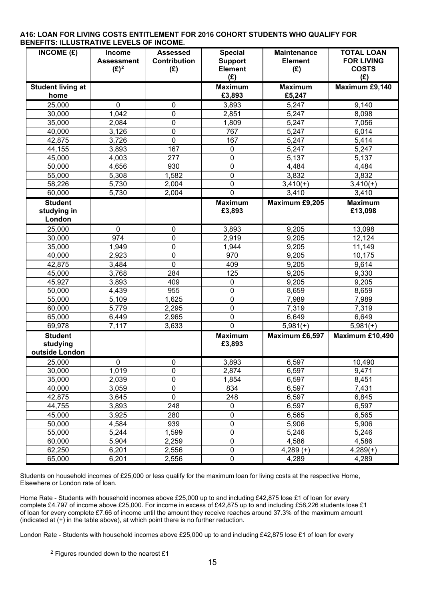| INCOME $(E)$                                 | <b>Income</b><br><b>Assessment</b><br>$(E)^2$ | <b>Assessed</b><br><b>Contribution</b><br>(E) | <b>Special</b><br><b>Support</b><br><b>Element</b><br>(E) | <b>Maintenance</b><br><b>Element</b><br>(E) | <b>TOTAL LOAN</b><br><b>FOR LIVING</b><br><b>COSTS</b><br>(E) |
|----------------------------------------------|-----------------------------------------------|-----------------------------------------------|-----------------------------------------------------------|---------------------------------------------|---------------------------------------------------------------|
| <b>Student living at</b><br>home             |                                               |                                               | <b>Maximum</b><br>£3,893                                  | <b>Maximum</b><br>£5,247                    | Maximum £9,140                                                |
| 25,000                                       | 0                                             | $\pmb{0}$                                     | 3,893                                                     | 5,247                                       | 9,140                                                         |
| 30,000                                       | 1,042                                         | $\mathbf 0$                                   | 2,851                                                     | 5,247                                       | 8,098                                                         |
| 35,000                                       | 2,084                                         | $\pmb{0}$                                     | 1,809                                                     | 5,247                                       | 7,056                                                         |
| 40,000                                       | 3,126                                         | 0                                             | 767                                                       | 5,247                                       | 6,014                                                         |
| 42,875                                       | 3,726                                         | 0                                             | 167                                                       | 5,247                                       | 5,414                                                         |
| 44,155                                       | 3,893                                         | 167                                           | 0                                                         | 5,247                                       | 5,247                                                         |
| 45,000                                       | 4,003                                         | 277                                           | 0                                                         | 5,137                                       | 5,137                                                         |
| 50,000                                       | 4,656                                         | 930                                           | 0                                                         | 4,484                                       | 4,484                                                         |
| 55,000                                       | 5,308                                         | 1,582                                         | 0                                                         | 3,832                                       | 3,832                                                         |
| 58,226                                       | 5,730                                         | 2,004                                         | 0                                                         | $3,410(+)$                                  | $3,410(+)$                                                    |
| 60,000                                       | 5,730                                         | 2,004                                         | 0                                                         | 3,410                                       | 3,410                                                         |
| <b>Student</b><br>studying in<br>London      |                                               |                                               | <b>Maximum</b><br>£3,893                                  | Maximum £9,205                              | <b>Maximum</b><br>£13,098                                     |
| 25,000                                       | 0                                             | $\pmb{0}$                                     | 3,893                                                     | 9,205                                       | 13,098                                                        |
| 30,000                                       | 974                                           | $\overline{0}$                                | 2,919                                                     | 9,205                                       | 12,124                                                        |
| 35,000                                       | 1,949                                         | $\pmb{0}$                                     | 1,944                                                     | 9,205                                       | 11,149                                                        |
| 40,000                                       | 2,923                                         | $\pmb{0}$                                     | 970                                                       | 9,205                                       | 10,175                                                        |
| 42,875                                       | 3,484                                         | 0                                             | 409                                                       | 9,205                                       | 9,614                                                         |
| 45,000                                       | 3,768                                         | 284                                           | 125                                                       | 9,205                                       | 9,330                                                         |
| 45,927                                       | 3,893                                         | 409                                           | $\mathbf 0$                                               | 9,205                                       | 9,205                                                         |
| 50,000                                       | 4,439                                         | 955                                           | 0                                                         | 8,659                                       | 8,659                                                         |
| 55,000                                       | 5,109                                         | 1,625                                         | $\mathbf 0$                                               | 7,989                                       | 7,989                                                         |
| 60,000                                       | 5,779                                         | 2,295                                         | 0                                                         | 7,319                                       | 7,319                                                         |
| 65,000                                       | 6,449                                         | 2,965                                         | 0                                                         | 6,649                                       | 6,649                                                         |
| 69,978                                       | 7,117                                         | 3,633                                         | 0                                                         | $5,981(+)$                                  | $5,981(+)$                                                    |
| <b>Student</b><br>studying<br>outside London |                                               |                                               | <b>Maximum</b><br>£3,893                                  | Maximum £6,597                              | Maximum £10,490                                               |
| 25,000                                       | $\mathbf 0$                                   | $\mathbf 0$                                   | 3,893                                                     | 6,597                                       | 10,490                                                        |
| 30,000                                       | 1,019                                         | 0                                             | 2,874                                                     | 6,597                                       | 9,471                                                         |
| 35,000                                       | 2,039                                         | $\pmb{0}$                                     | 1,854                                                     | 6,597                                       | 8,451                                                         |
| 40,000                                       | 3,059                                         | $\pmb{0}$                                     | 834                                                       | 6,597                                       | 7,431                                                         |
| 42,875                                       | 3,645                                         | $\pmb{0}$                                     | 248                                                       | 6,597                                       | 6,845                                                         |
| 44,755                                       | 3,893                                         | 248                                           | 0                                                         | 6,597                                       | 6,597                                                         |
| 45,000                                       | 3,925                                         | 280                                           | 0                                                         | 6,565                                       | 6,565                                                         |
| 50,000                                       | 4,584                                         | 939                                           | 0                                                         | 5,906                                       | 5,906                                                         |
| 55,000                                       | 5,244                                         | 1,599                                         | 0                                                         | 5,246                                       | 5,246                                                         |
| 60,000                                       | 5,904                                         | 2,259                                         | 0                                                         | 4,586                                       | 4,586                                                         |
| 62,250                                       | 6,201                                         | 2,556                                         | 0                                                         | $4,289 (+)$                                 | $4,289(+)$                                                    |
| 65,000                                       | 6,201                                         | 2,556                                         | 0                                                         | 4,289                                       | 4,289                                                         |

#### **A16: LOAN FOR LIVING COSTS ENTITLEMENT FOR 2016 COHORT STUDENTS WHO QUALIFY FOR BENEFITS: ILLUSTRATIVE LEVELS OF INCOME.**

Students on household incomes of £25,000 or less qualify for the maximum loan for living costs at the respective Home, Elsewhere or London rate of loan.

Home Rate - Students with household incomes above £25,000 up to and including £42,875 lose £1 of loan for every complete £4.797 of income above £25,000. For income in excess of £42,875 up to and including £58,226 students lose £1 of loan for every complete £7.66 of income until the amount they receive reaches around 37.3% of the maximum amount (indicated at  $(+)$  in the table above), at which point there is no further reduction.

<span id="page-14-0"></span>London Rate - Students with household incomes above £25,000 up to and including £42,875 lose £1 of loan for every

<sup>2</sup> Figures rounded down to the nearest £1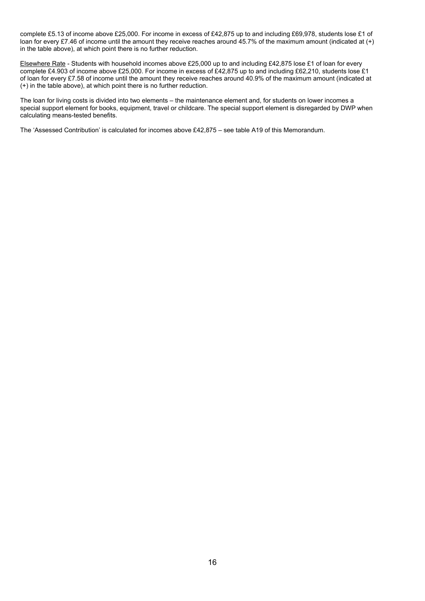complete £5.13 of income above £25,000. For income in excess of £42,875 up to and including £69,978, students lose £1 of loan for every £7.46 of income until the amount they receive reaches around 45.7% of the maximum amount (indicated at (+) in the table above), at which point there is no further reduction.

Elsewhere Rate - Students with household incomes above £25,000 up to and including £42,875 lose £1 of loan for every complete £4.903 of income above £25,000. For income in excess of £42,875 up to and including £62,210, students lose £1 of loan for every £7.58 of income until the amount they receive reaches around 40.9% of the maximum amount (indicated at (+) in the table above), at which point there is no further reduction.

The loan for living costs is divided into two elements – the maintenance element and, for students on lower incomes a special support element for books, equipment, travel or childcare. The special support element is disregarded by DWP when calculating means-tested benefits.

The 'Assessed Contribution' is calculated for incomes above £42,875 – see table A19 of this Memorandum.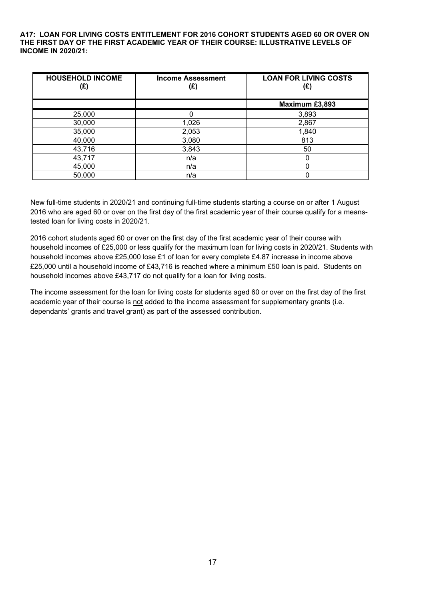**A17: LOAN FOR LIVING COSTS ENTITLEMENT FOR 2016 COHORT STUDENTS AGED 60 OR OVER ON THE FIRST DAY OF THE FIRST ACADEMIC YEAR OF THEIR COURSE: ILLUSTRATIVE LEVELS OF INCOME IN 2020/21:** 

| <b>HOUSEHOLD INCOME</b><br>(£) | <b>Income Assessment</b><br>(£) | <b>LOAN FOR LIVING COSTS</b><br>(£) |
|--------------------------------|---------------------------------|-------------------------------------|
|                                |                                 | Maximum £3,893                      |
| 25,000                         |                                 | 3,893                               |
| 30,000                         | 1,026                           | 2,867                               |
| 35,000                         | 2,053                           | 1,840                               |
| 40,000                         | 3,080                           | 813                                 |
| 43,716                         | 3,843                           | 50                                  |
| 43,717                         | n/a                             |                                     |
| 45,000                         | n/a                             |                                     |
| 50,000                         | n/a                             |                                     |

New full-time students in 2020/21 and continuing full-time students starting a course on or after 1 August 2016 who are aged 60 or over on the first day of the first academic year of their course qualify for a meanstested loan for living costs in 2020/21.

2016 cohort students aged 60 or over on the first day of the first academic year of their course with household incomes of £25,000 or less qualify for the maximum loan for living costs in 2020/21. Students with household incomes above £25,000 lose £1 of loan for every complete £4.87 increase in income above £25,000 until a household income of £43,716 is reached where a minimum £50 loan is paid. Students on household incomes above £43,717 do not qualify for a loan for living costs.

The income assessment for the loan for living costs for students aged 60 or over on the first day of the first academic year of their course is not added to the income assessment for supplementary grants (i.e. dependants' grants and travel grant) as part of the assessed contribution.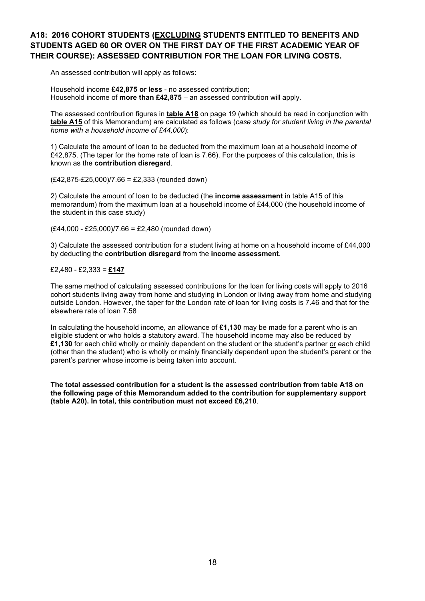### **A18: 2016 COHORT STUDENTS (EXCLUDING STUDENTS ENTITLED TO BENEFITS AND STUDENTS AGED 60 OR OVER ON THE FIRST DAY OF THE FIRST ACADEMIC YEAR OF THEIR COURSE): ASSESSED CONTRIBUTION FOR THE LOAN FOR LIVING COSTS.**

An assessed contribution will apply as follows:

Household income **£42,875 or less** - no assessed contribution; Household income of **more than £42,875** – an assessed contribution will apply.

The assessed contribution figures in **table A18** on page 19 (which should be read in conjunction with **table A15** of this Memorandum) are calculated as follows (*case study for student living in the parental home with a household income of £44,000*):

1) Calculate the amount of loan to be deducted from the maximum loan at a household income of £42,875. (The taper for the home rate of loan is 7.66). For the purposes of this calculation, this is known as the **contribution disregard**.

(£42,875-£25,000)/7.66 = £2,333 (rounded down)

2) Calculate the amount of loan to be deducted (the **income assessment** in table A15 of this memorandum) from the maximum loan at a household income of £44,000 (the household income of the student in this case study)

(£44,000 - £25,000)/7.66 = £2,480 (rounded down)

3) Calculate the assessed contribution for a student living at home on a household income of £44,000 by deducting the **contribution disregard** from the **income assessment**.

£2,480 - £2,333 = **£147**

The same method of calculating assessed contributions for the loan for living costs will apply to 2016 cohort students living away from home and studying in London or living away from home and studying outside London. However, the taper for the London rate of loan for living costs is 7.46 and that for the elsewhere rate of loan 7.58

In calculating the household income, an allowance of **£1,130** may be made for a parent who is an eligible student or who holds a statutory award. The household income may also be reduced by **£1,130** for each child wholly or mainly dependent on the student or the student's partner or each child (other than the student) who is wholly or mainly financially dependent upon the student's parent or the parent's partner whose income is being taken into account.

**The total assessed contribution for a student is the assessed contribution from table A18 on the following page of this Memorandum added to the contribution for supplementary support (table A20). In total, this contribution must not exceed £6,210**.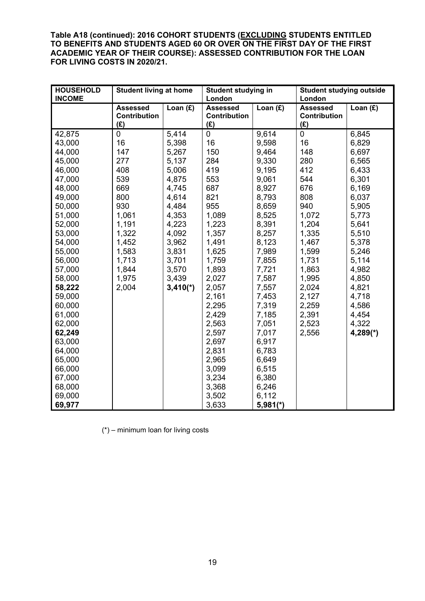**Table A18 (continued): 2016 COHORT STUDENTS (EXCLUDING STUDENTS ENTITLED TO BENEFITS AND STUDENTS AGED 60 OR OVER ON THE FIRST DAY OF THE FIRST ACADEMIC YEAR OF THEIR COURSE): ASSESSED CONTRIBUTION FOR THE LOAN FOR LIVING COSTS IN 2020/21.**

| <b>Assessed</b><br>Loan $(E)$<br><b>Assessed</b><br>Loan $(f)$<br><b>Assessed</b><br>Loan $(f)$<br><b>Contribution</b><br>Contribution<br><b>Contribution</b><br>(E)<br>(E)<br>(E)<br>42,875<br>5,414<br>9,614<br>0<br>$\mathbf 0$<br>0<br>6,845<br>16<br>16<br>16<br>43,000<br>5,398<br>9,598<br>6,829<br>44,000<br>147<br>150<br>9,464<br>148<br>5,267<br>6,697<br>277<br>5,137<br>284<br>9,330<br>280<br>45,000<br>6,565<br>408<br>5,006<br>419<br>412<br>46,000<br>9,195<br>6,433<br>539<br>4,875<br>553<br>9,061<br>544<br>6,301<br>47,000<br>669<br>687<br>8,927<br>676<br>6,169<br>48,000<br>4,745<br>800<br>821<br>808<br>6,037<br>49,000<br>4,614<br>8,793<br>50,000<br>930<br>4,484<br>955<br>8,659<br>940<br>5,905<br>51,000<br>1,061<br>4,353<br>1,089<br>8,525<br>1,072<br>5,773<br>1,204<br>52,000<br>1,191<br>4,223<br>1,223<br>8,391<br>5,641<br>53,000<br>1,357<br>1,335<br>1,322<br>4,092<br>8,257<br>5,510<br>1,491<br>8,123<br>54,000<br>1,452<br>3,962<br>1,467<br>5,378<br>7,989<br>1,599<br>55,000<br>1,583<br>3,831<br>1,625<br>5,246<br>5,114<br>56,000<br>1,713<br>3,701<br>1,759<br>7,855<br>1,731<br>57,000<br>1,893<br>7,721<br>1,863<br>4,982<br>1,844<br>3,570<br>1,975<br>2,027<br>58,000<br>3,439<br>7,587<br>1,995<br>4,850<br>2,024<br>58,222<br>2,004<br>$3,410(*)$<br>2,057<br>7,557<br>4,821<br>2,161<br>59,000<br>7,453<br>2,127<br>4,718<br>2,259<br>60,000<br>2,295<br>7,319<br>4,586<br>2,429<br>7,185<br>2,391<br>61,000<br>4,454<br>2,563<br>2,523<br>62,000<br>7,051<br>4,322<br>2,597<br>62,249<br>7,017<br>2,556<br>$4,289(*)$<br>2,697<br>6,917<br>63,000<br>64,000<br>2,831<br>6,783<br>65,000<br>2,965<br>6,649<br>66,000<br>3,099<br>6,515<br>67,000<br>3,234<br>6,380<br>68,000<br>3,368<br>6,246<br>69,000<br>3,502<br>6,112 | <b>HOUSEHOLD</b><br><b>INCOME</b> | <b>Student living at home</b> | <b>Student studying in</b><br>London |                        | <b>Student studying outside</b><br>London |  |
|-----------------------------------------------------------------------------------------------------------------------------------------------------------------------------------------------------------------------------------------------------------------------------------------------------------------------------------------------------------------------------------------------------------------------------------------------------------------------------------------------------------------------------------------------------------------------------------------------------------------------------------------------------------------------------------------------------------------------------------------------------------------------------------------------------------------------------------------------------------------------------------------------------------------------------------------------------------------------------------------------------------------------------------------------------------------------------------------------------------------------------------------------------------------------------------------------------------------------------------------------------------------------------------------------------------------------------------------------------------------------------------------------------------------------------------------------------------------------------------------------------------------------------------------------------------------------------------------------------------------------------------------------------------------------------------------------------------------------------------------------------------------------------------|-----------------------------------|-------------------------------|--------------------------------------|------------------------|-------------------------------------------|--|
|                                                                                                                                                                                                                                                                                                                                                                                                                                                                                                                                                                                                                                                                                                                                                                                                                                                                                                                                                                                                                                                                                                                                                                                                                                                                                                                                                                                                                                                                                                                                                                                                                                                                                                                                                                                   |                                   |                               |                                      |                        |                                           |  |
|                                                                                                                                                                                                                                                                                                                                                                                                                                                                                                                                                                                                                                                                                                                                                                                                                                                                                                                                                                                                                                                                                                                                                                                                                                                                                                                                                                                                                                                                                                                                                                                                                                                                                                                                                                                   |                                   |                               |                                      |                        |                                           |  |
|                                                                                                                                                                                                                                                                                                                                                                                                                                                                                                                                                                                                                                                                                                                                                                                                                                                                                                                                                                                                                                                                                                                                                                                                                                                                                                                                                                                                                                                                                                                                                                                                                                                                                                                                                                                   |                                   |                               |                                      |                        |                                           |  |
|                                                                                                                                                                                                                                                                                                                                                                                                                                                                                                                                                                                                                                                                                                                                                                                                                                                                                                                                                                                                                                                                                                                                                                                                                                                                                                                                                                                                                                                                                                                                                                                                                                                                                                                                                                                   |                                   |                               |                                      |                        |                                           |  |
|                                                                                                                                                                                                                                                                                                                                                                                                                                                                                                                                                                                                                                                                                                                                                                                                                                                                                                                                                                                                                                                                                                                                                                                                                                                                                                                                                                                                                                                                                                                                                                                                                                                                                                                                                                                   |                                   |                               |                                      |                        |                                           |  |
|                                                                                                                                                                                                                                                                                                                                                                                                                                                                                                                                                                                                                                                                                                                                                                                                                                                                                                                                                                                                                                                                                                                                                                                                                                                                                                                                                                                                                                                                                                                                                                                                                                                                                                                                                                                   |                                   |                               |                                      |                        |                                           |  |
|                                                                                                                                                                                                                                                                                                                                                                                                                                                                                                                                                                                                                                                                                                                                                                                                                                                                                                                                                                                                                                                                                                                                                                                                                                                                                                                                                                                                                                                                                                                                                                                                                                                                                                                                                                                   |                                   |                               |                                      |                        |                                           |  |
|                                                                                                                                                                                                                                                                                                                                                                                                                                                                                                                                                                                                                                                                                                                                                                                                                                                                                                                                                                                                                                                                                                                                                                                                                                                                                                                                                                                                                                                                                                                                                                                                                                                                                                                                                                                   |                                   |                               |                                      |                        |                                           |  |
|                                                                                                                                                                                                                                                                                                                                                                                                                                                                                                                                                                                                                                                                                                                                                                                                                                                                                                                                                                                                                                                                                                                                                                                                                                                                                                                                                                                                                                                                                                                                                                                                                                                                                                                                                                                   |                                   |                               |                                      |                        |                                           |  |
|                                                                                                                                                                                                                                                                                                                                                                                                                                                                                                                                                                                                                                                                                                                                                                                                                                                                                                                                                                                                                                                                                                                                                                                                                                                                                                                                                                                                                                                                                                                                                                                                                                                                                                                                                                                   |                                   |                               |                                      |                        |                                           |  |
|                                                                                                                                                                                                                                                                                                                                                                                                                                                                                                                                                                                                                                                                                                                                                                                                                                                                                                                                                                                                                                                                                                                                                                                                                                                                                                                                                                                                                                                                                                                                                                                                                                                                                                                                                                                   |                                   |                               |                                      |                        |                                           |  |
|                                                                                                                                                                                                                                                                                                                                                                                                                                                                                                                                                                                                                                                                                                                                                                                                                                                                                                                                                                                                                                                                                                                                                                                                                                                                                                                                                                                                                                                                                                                                                                                                                                                                                                                                                                                   |                                   |                               |                                      |                        |                                           |  |
|                                                                                                                                                                                                                                                                                                                                                                                                                                                                                                                                                                                                                                                                                                                                                                                                                                                                                                                                                                                                                                                                                                                                                                                                                                                                                                                                                                                                                                                                                                                                                                                                                                                                                                                                                                                   |                                   |                               |                                      |                        |                                           |  |
|                                                                                                                                                                                                                                                                                                                                                                                                                                                                                                                                                                                                                                                                                                                                                                                                                                                                                                                                                                                                                                                                                                                                                                                                                                                                                                                                                                                                                                                                                                                                                                                                                                                                                                                                                                                   |                                   |                               |                                      |                        |                                           |  |
|                                                                                                                                                                                                                                                                                                                                                                                                                                                                                                                                                                                                                                                                                                                                                                                                                                                                                                                                                                                                                                                                                                                                                                                                                                                                                                                                                                                                                                                                                                                                                                                                                                                                                                                                                                                   |                                   |                               |                                      |                        |                                           |  |
|                                                                                                                                                                                                                                                                                                                                                                                                                                                                                                                                                                                                                                                                                                                                                                                                                                                                                                                                                                                                                                                                                                                                                                                                                                                                                                                                                                                                                                                                                                                                                                                                                                                                                                                                                                                   |                                   |                               |                                      |                        |                                           |  |
|                                                                                                                                                                                                                                                                                                                                                                                                                                                                                                                                                                                                                                                                                                                                                                                                                                                                                                                                                                                                                                                                                                                                                                                                                                                                                                                                                                                                                                                                                                                                                                                                                                                                                                                                                                                   |                                   |                               |                                      |                        |                                           |  |
|                                                                                                                                                                                                                                                                                                                                                                                                                                                                                                                                                                                                                                                                                                                                                                                                                                                                                                                                                                                                                                                                                                                                                                                                                                                                                                                                                                                                                                                                                                                                                                                                                                                                                                                                                                                   |                                   |                               |                                      |                        |                                           |  |
|                                                                                                                                                                                                                                                                                                                                                                                                                                                                                                                                                                                                                                                                                                                                                                                                                                                                                                                                                                                                                                                                                                                                                                                                                                                                                                                                                                                                                                                                                                                                                                                                                                                                                                                                                                                   |                                   |                               |                                      |                        |                                           |  |
|                                                                                                                                                                                                                                                                                                                                                                                                                                                                                                                                                                                                                                                                                                                                                                                                                                                                                                                                                                                                                                                                                                                                                                                                                                                                                                                                                                                                                                                                                                                                                                                                                                                                                                                                                                                   |                                   |                               |                                      |                        |                                           |  |
|                                                                                                                                                                                                                                                                                                                                                                                                                                                                                                                                                                                                                                                                                                                                                                                                                                                                                                                                                                                                                                                                                                                                                                                                                                                                                                                                                                                                                                                                                                                                                                                                                                                                                                                                                                                   |                                   |                               |                                      |                        |                                           |  |
|                                                                                                                                                                                                                                                                                                                                                                                                                                                                                                                                                                                                                                                                                                                                                                                                                                                                                                                                                                                                                                                                                                                                                                                                                                                                                                                                                                                                                                                                                                                                                                                                                                                                                                                                                                                   |                                   |                               |                                      |                        |                                           |  |
|                                                                                                                                                                                                                                                                                                                                                                                                                                                                                                                                                                                                                                                                                                                                                                                                                                                                                                                                                                                                                                                                                                                                                                                                                                                                                                                                                                                                                                                                                                                                                                                                                                                                                                                                                                                   |                                   |                               |                                      |                        |                                           |  |
|                                                                                                                                                                                                                                                                                                                                                                                                                                                                                                                                                                                                                                                                                                                                                                                                                                                                                                                                                                                                                                                                                                                                                                                                                                                                                                                                                                                                                                                                                                                                                                                                                                                                                                                                                                                   |                                   |                               |                                      |                        |                                           |  |
|                                                                                                                                                                                                                                                                                                                                                                                                                                                                                                                                                                                                                                                                                                                                                                                                                                                                                                                                                                                                                                                                                                                                                                                                                                                                                                                                                                                                                                                                                                                                                                                                                                                                                                                                                                                   |                                   |                               |                                      |                        |                                           |  |
|                                                                                                                                                                                                                                                                                                                                                                                                                                                                                                                                                                                                                                                                                                                                                                                                                                                                                                                                                                                                                                                                                                                                                                                                                                                                                                                                                                                                                                                                                                                                                                                                                                                                                                                                                                                   |                                   |                               |                                      |                        |                                           |  |
|                                                                                                                                                                                                                                                                                                                                                                                                                                                                                                                                                                                                                                                                                                                                                                                                                                                                                                                                                                                                                                                                                                                                                                                                                                                                                                                                                                                                                                                                                                                                                                                                                                                                                                                                                                                   |                                   |                               |                                      |                        |                                           |  |
|                                                                                                                                                                                                                                                                                                                                                                                                                                                                                                                                                                                                                                                                                                                                                                                                                                                                                                                                                                                                                                                                                                                                                                                                                                                                                                                                                                                                                                                                                                                                                                                                                                                                                                                                                                                   |                                   |                               |                                      |                        |                                           |  |
|                                                                                                                                                                                                                                                                                                                                                                                                                                                                                                                                                                                                                                                                                                                                                                                                                                                                                                                                                                                                                                                                                                                                                                                                                                                                                                                                                                                                                                                                                                                                                                                                                                                                                                                                                                                   |                                   |                               |                                      |                        |                                           |  |
|                                                                                                                                                                                                                                                                                                                                                                                                                                                                                                                                                                                                                                                                                                                                                                                                                                                                                                                                                                                                                                                                                                                                                                                                                                                                                                                                                                                                                                                                                                                                                                                                                                                                                                                                                                                   |                                   |                               |                                      |                        |                                           |  |
|                                                                                                                                                                                                                                                                                                                                                                                                                                                                                                                                                                                                                                                                                                                                                                                                                                                                                                                                                                                                                                                                                                                                                                                                                                                                                                                                                                                                                                                                                                                                                                                                                                                                                                                                                                                   | 69,977                            |                               | 3,633                                | $5,981$ <sup>(*)</sup> |                                           |  |

(\*) – minimum loan for living costs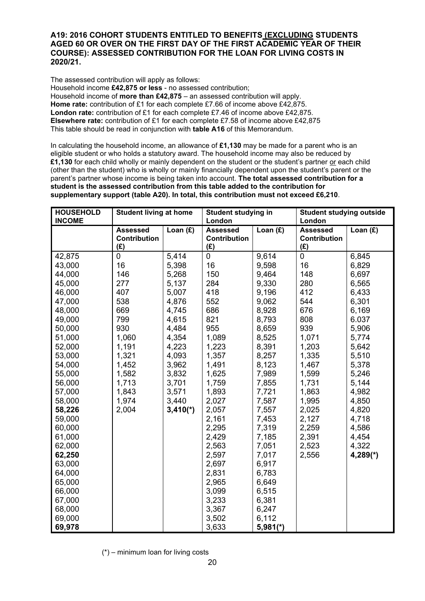#### **A19: 2016 COHORT STUDENTS ENTITLED TO BENEFITS (EXCLUDING STUDENTS AGED 60 OR OVER ON THE FIRST DAY OF THE FIRST ACADEMIC YEAR OF THEIR COURSE): ASSESSED CONTRIBUTION FOR THE LOAN FOR LIVING COSTS IN 2020/21.**

The assessed contribution will apply as follows:

Household income **£42,875 or less** - no assessed contribution; Household income of **more than £42,875** – an assessed contribution will apply. **Home rate:** contribution of £1 for each complete £7.66 of income above £42,875. **London rate:** contribution of £1 for each complete £7.46 of income above £42,875. **Elsewhere rate:** contribution of £1 for each complete £7.58 of income above £42,875 This table should be read in conjunction with **table A16** of this Memorandum.

In calculating the household income, an allowance of **£1,130** may be made for a parent who is an eligible student or who holds a statutory award. The household income may also be reduced by **£1,130** for each child wholly or mainly dependent on the student or the student's partner or each child (other than the student) who is wholly or mainly financially dependent upon the student's parent or the parent's partner whose income is being taken into account. **The total assessed contribution for a student is the assessed contribution from this table added to the contribution for supplementary support (table A20). In total, this contribution must not exceed £6,210**.

| <b>HOUSEHOLD</b><br><b>INCOME</b> | <b>Student living at home</b>                 |            | Student studying in<br>London          |                        | <b>Student studying outside</b><br>London     |            |
|-----------------------------------|-----------------------------------------------|------------|----------------------------------------|------------------------|-----------------------------------------------|------------|
|                                   | <b>Assessed</b><br><b>Contribution</b><br>(E) | Loan $(E)$ | <b>Assessed</b><br>Contribution<br>(E) | Loan $(f)$             | <b>Assessed</b><br><b>Contribution</b><br>(E) | Loan $(E)$ |
| 42,875                            | $\mathbf 0$                                   | 5,414      | $\mathbf 0$                            | 9,614                  | $\overline{0}$                                | 6,845      |
| 43,000                            | 16                                            | 5,398      | 16                                     | 9,598                  | 16                                            | 6,829      |
| 44,000                            | 146                                           | 5,268      | 150                                    | 9,464                  | 148                                           | 6,697      |
| 45,000                            | 277                                           | 5,137      | 284                                    | 9,330                  | 280                                           | 6,565      |
| 46,000                            | 407                                           | 5,007      | 418                                    | 9,196                  | 412                                           | 6,433      |
| 47,000                            | 538                                           | 4,876      | 552                                    | 9,062                  | 544                                           | 6,301      |
| 48,000                            | 669                                           | 4,745      | 686                                    | 8,928                  | 676                                           | 6,169      |
| 49,000                            | 799                                           | 4,615      | 821                                    | 8,793                  | 808                                           | 6.037      |
| 50,000                            | 930                                           | 4,484      | 955                                    | 8,659                  | 939                                           | 5,906      |
| 51,000                            | 1,060                                         | 4,354      | 1,089                                  | 8,525                  | 1,071                                         | 5,774      |
| 52,000                            | 1,191                                         | 4,223      | 1,223                                  | 8,391                  | 1,203                                         | 5,642      |
| 53,000                            | 1,321                                         | 4,093      | 1,357                                  | 8,257                  | 1,335                                         | 5,510      |
| 54,000                            | 1,452                                         | 3,962      | 1,491                                  | 8,123                  | 1,467                                         | 5,378      |
| 55,000                            | 1,582                                         | 3,832      | 1,625                                  | 7,989                  | 1,599                                         | 5,246      |
| 56,000                            | 1,713                                         | 3,701      | 1,759                                  | 7,855                  | 1,731                                         | 5,144      |
| 57,000                            | 1,843                                         | 3,571      | 1,893                                  | 7,721                  | 1,863                                         | 4,982      |
| 58,000                            | 1,974                                         | 3,440      | 2,027                                  | 7,587                  | 1,995                                         | 4,850      |
| 58,226                            | 2,004                                         | $3,410(*)$ | 2,057                                  | 7,557                  | 2,025                                         | 4,820      |
| 59,000                            |                                               |            | 2,161                                  | 7,453                  | 2,127                                         | 4,718      |
| 60,000                            |                                               |            | 2,295                                  | 7,319                  | 2,259                                         | 4,586      |
| 61,000                            |                                               |            | 2,429                                  | 7,185                  | 2,391                                         | 4,454      |
| 62,000                            |                                               |            | 2,563                                  | 7,051                  | 2,523                                         | 4,322      |
| 62,250                            |                                               |            | 2,597                                  | 7,017                  | 2,556                                         | $4,289(*)$ |
| 63,000                            |                                               |            | 2,697                                  | 6,917                  |                                               |            |
| 64,000                            |                                               |            | 2,831                                  | 6,783                  |                                               |            |
| 65,000                            |                                               |            | 2,965                                  | 6,649                  |                                               |            |
| 66,000                            |                                               |            | 3,099                                  | 6,515                  |                                               |            |
| 67,000                            |                                               |            | 3,233                                  | 6,381                  |                                               |            |
| 68,000                            |                                               |            | 3,367                                  | 6,247                  |                                               |            |
| 69,000                            |                                               |            | 3,502                                  | 6,112                  |                                               |            |
| 69,978                            |                                               |            | 3,633                                  | $5,981$ <sup>(*)</sup> |                                               |            |

(\*) – minimum loan for living costs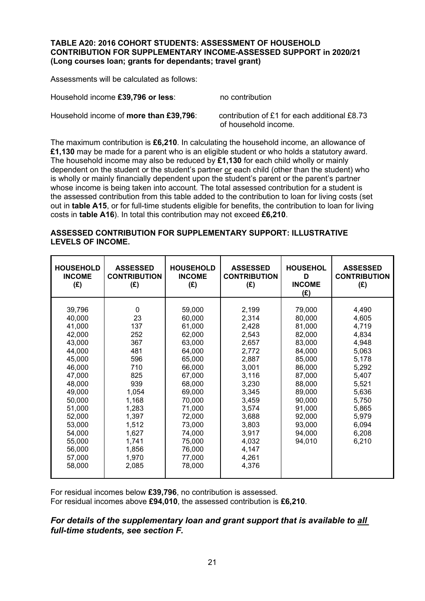#### **TABLE A20: 2016 COHORT STUDENTS: ASSESSMENT OF HOUSEHOLD CONTRIBUTION FOR SUPPLEMENTARY INCOME-ASSESSED SUPPORT in 2020/21 (Long courses loan; grants for dependants; travel grant)**

Assessments will be calculated as follows:

Household income £39,796 or less: no contribution

Household income of **more than £39,796**: contribution of £1 for each additional £8.73 of household income.

The maximum contribution is **£6,210**. In calculating the household income, an allowance of **£1,130** may be made for a parent who is an eligible student or who holds a statutory award. The household income may also be reduced by **£1,130** for each child wholly or mainly dependent on the student or the student's partner or each child (other than the student) who is wholly or mainly financially dependent upon the student's parent or the parent's partner whose income is being taken into account. The total assessed contribution for a student is the assessed contribution from this table added to the contribution to loan for living costs (set out in **table A15**, or for full-time students eligible for benefits, the contribution to loan for living costs in **table A16**). In total this contribution may not exceed **£6,210**.

#### **ASSESSED CONTRIBUTION FOR SUPPLEMENTARY SUPPORT: ILLUSTRATIVE LEVELS OF INCOME.**

| <b>HOUSEHOLD</b><br><b>INCOME</b><br>(E)                                                                                                                                                             | <b>ASSESSED</b><br><b>CONTRIBUTION</b><br>(E)                                                                                                                       | <b>HOUSEHOLD</b><br><b>INCOME</b><br>(E)                                                                                                                                                             | <b>ASSESSED</b><br><b>CONTRIBUTION</b><br>(E)                                                                                                                                    | <b>HOUSEHOL</b><br>D<br><b>INCOME</b><br>(E)                                                                                                                           | <b>ASSESSED</b><br><b>CONTRIBUTION</b><br>(E)                                                                                                         |
|------------------------------------------------------------------------------------------------------------------------------------------------------------------------------------------------------|---------------------------------------------------------------------------------------------------------------------------------------------------------------------|------------------------------------------------------------------------------------------------------------------------------------------------------------------------------------------------------|----------------------------------------------------------------------------------------------------------------------------------------------------------------------------------|------------------------------------------------------------------------------------------------------------------------------------------------------------------------|-------------------------------------------------------------------------------------------------------------------------------------------------------|
| 39,796<br>40,000<br>41,000<br>42,000<br>43,000<br>44,000<br>45,000<br>46,000<br>47,000<br>48,000<br>49,000<br>50,000<br>51,000<br>52,000<br>53,000<br>54,000<br>55,000<br>56,000<br>57,000<br>58,000 | $\mathbf 0$<br>23<br>137<br>252<br>367<br>481<br>596<br>710<br>825<br>939<br>1,054<br>1,168<br>1,283<br>1,397<br>1,512<br>1,627<br>1,741<br>1,856<br>1,970<br>2,085 | 59,000<br>60,000<br>61,000<br>62,000<br>63,000<br>64,000<br>65,000<br>66,000<br>67,000<br>68,000<br>69,000<br>70,000<br>71,000<br>72,000<br>73,000<br>74,000<br>75,000<br>76,000<br>77,000<br>78,000 | 2,199<br>2,314<br>2,428<br>2,543<br>2,657<br>2,772<br>2,887<br>3,001<br>3,116<br>3,230<br>3,345<br>3,459<br>3,574<br>3,688<br>3,803<br>3,917<br>4,032<br>4,147<br>4,261<br>4,376 | 79,000<br>80,000<br>81,000<br>82,000<br>83,000<br>84,000<br>85,000<br>86,000<br>87,000<br>88,000<br>89,000<br>90,000<br>91,000<br>92,000<br>93,000<br>94,000<br>94,010 | 4,490<br>4,605<br>4,719<br>4,834<br>4,948<br>5,063<br>5,178<br>5,292<br>5,407<br>5,521<br>5,636<br>5,750<br>5,865<br>5,979<br>6,094<br>6,208<br>6,210 |

For residual incomes below **£39,796**, no contribution is assessed. For residual incomes above **£94,010**, the assessed contribution is **£6,210**.

### *For details of the supplementary loan and grant support that is available to all full-time students, see section F.*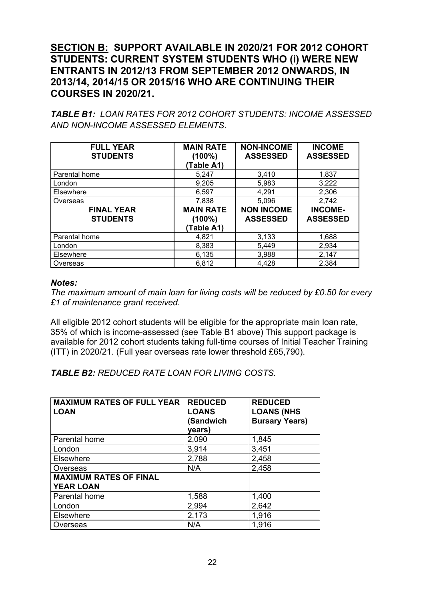# **SECTION B: SUPPORT AVAILABLE IN 2020/21 FOR 2012 COHORT STUDENTS: CURRENT SYSTEM STUDENTS WHO (i) WERE NEW ENTRANTS IN 2012/13 FROM SEPTEMBER 2012 ONWARDS, IN 2013/14, 2014/15 OR 2015/16 WHO ARE CONTINUING THEIR COURSES IN 2020/21.**

*TABLE B1: LOAN RATES FOR 2012 COHORT STUDENTS: INCOME ASSESSED AND NON-INCOME ASSESSED ELEMENTS.*

| <b>FULL YEAR</b><br><b>STUDENTS</b>  | <b>MAIN RATE</b><br>(100%)<br>(Table A1)    | <b>NON-INCOME</b><br><b>ASSESSED</b> | <b>INCOME</b><br><b>ASSESSED</b>  |
|--------------------------------------|---------------------------------------------|--------------------------------------|-----------------------------------|
| Parental home                        | 5,247                                       | 3,410                                | 1,837                             |
| London                               | 9,205                                       | 5,983                                | 3,222                             |
| Elsewhere                            | 6,597                                       | 4,291                                | 2,306                             |
| Overseas                             | 7,838                                       | 5,096                                | 2,742                             |
| <b>FINAL YEAR</b><br><b>STUDENTS</b> | <b>MAIN RATE</b><br>$(100\%)$<br>(Table A1) | <b>NON INCOME</b><br><b>ASSESSED</b> | <b>INCOME-</b><br><b>ASSESSED</b> |
| Parental home                        | 4,821                                       | 3,133                                | 1,688                             |
| London                               | 8,383                                       | 5,449                                | 2,934                             |
| Elsewhere                            | 6,135                                       | 3,988                                | 2,147                             |
| Overseas                             | 6,812                                       | 4,428                                | 2,384                             |

### *Notes:*

*The maximum amount of main loan for living costs will be reduced by £0.50 for every £1 of maintenance grant received.* 

All eligible 2012 cohort students will be eligible for the appropriate main loan rate, 35% of which is income-assessed (see Table B1 above) This support package is available for 2012 cohort students taking full-time courses of Initial Teacher Training (ITT) in 2020/21. (Full year overseas rate lower threshold £65,790).

*TABLE B2: REDUCED RATE LOAN FOR LIVING COSTS.*

| <b>MAXIMUM RATES OF FULL YEAR</b><br><b>LOAN</b>  | <b>REDUCED</b><br><b>LOANS</b><br>(Sandwich<br>years) | <b>REDUCED</b><br><b>LOANS (NHS</b><br><b>Bursary Years)</b> |
|---------------------------------------------------|-------------------------------------------------------|--------------------------------------------------------------|
| Parental home                                     | 2,090                                                 | 1,845                                                        |
| London                                            | 3,914                                                 | 3,451                                                        |
| Elsewhere                                         | 2,788                                                 | 2,458                                                        |
| Overseas                                          | N/A                                                   | 2,458                                                        |
| <b>MAXIMUM RATES OF FINAL</b><br><b>YEAR LOAN</b> |                                                       |                                                              |
| Parental home                                     | 1,588                                                 | 1,400                                                        |
| London                                            | 2,994                                                 | 2,642                                                        |
| Elsewhere                                         | 2,173                                                 | 1,916                                                        |
| Overseas                                          | N/A                                                   | 1,916                                                        |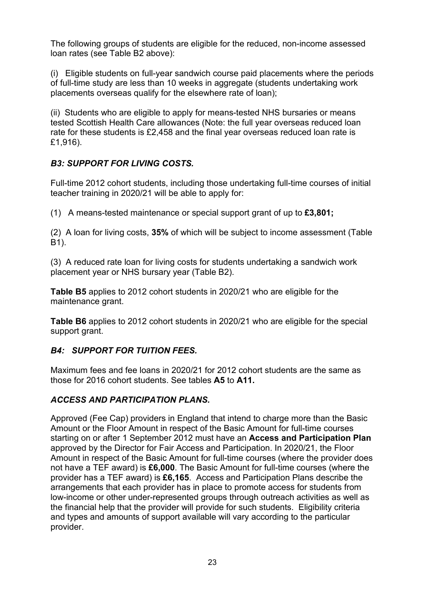The following groups of students are eligible for the reduced, non-income assessed loan rates (see Table B2 above):

(i) Eligible students on full-year sandwich course paid placements where the periods of full-time study are less than 10 weeks in aggregate (students undertaking work placements overseas qualify for the elsewhere rate of loan);

(ii) Students who are eligible to apply for means-tested NHS bursaries or means tested Scottish Health Care allowances (Note: the full year overseas reduced loan rate for these students is £2,458 and the final year overseas reduced loan rate is £1,916).

## *B3: SUPPORT FOR LIVING COSTS.*

Full-time 2012 cohort students, including those undertaking full-time courses of initial teacher training in 2020/21 will be able to apply for:

(1) A means-tested maintenance or special support grant of up to **£3,801;**

(2) A loan for living costs, **35%** of which will be subject to income assessment (Table B1).

(3) A reduced rate loan for living costs for students undertaking a sandwich work placement year or NHS bursary year (Table B2).

**Table B5** applies to 2012 cohort students in 2020/21 who are eligible for the maintenance grant.

**Table B6** applies to 2012 cohort students in 2020/21 who are eligible for the special support grant.

## *B4: SUPPORT FOR TUITION FEES.*

Maximum fees and fee loans in 2020/21 for 2012 cohort students are the same as those for 2016 cohort students. See tables **A5** to **A11.**

## *ACCESS AND PARTICIPATION PLANS.*

Approved (Fee Cap) providers in England that intend to charge more than the Basic Amount or the Floor Amount in respect of the Basic Amount for full-time courses starting on or after 1 September 2012 must have an **Access and Participation Plan**  approved by the Director for Fair Access and Participation. In 2020/21, the Floor Amount in respect of the Basic Amount for full-time courses (where the provider does not have a TEF award) is **£6,000**. The Basic Amount for full-time courses (where the provider has a TEF award) is **£6,165**. Access and Participation Plans describe the arrangements that each provider has in place to promote access for students from low-income or other under-represented groups through outreach activities as well as the financial help that the provider will provide for such students. Eligibility criteria and types and amounts of support available will vary according to the particular provider.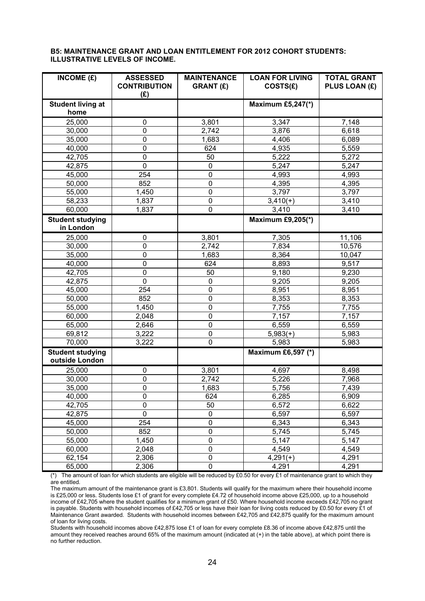#### **B5: MAINTENANCE GRANT AND LOAN ENTITLEMENT FOR 2012 COHORT STUDENTS: ILLUSTRATIVE LEVELS OF INCOME.**

| INCOME(E)                                 | <b>ASSESSED</b><br><b>CONTRIBUTION</b><br>(E) | <b>MAINTENANCE</b><br><b>GRANT (£)</b> | <b>LOAN FOR LIVING</b><br>COSTS(E) | <b>TOTAL GRANT</b><br>PLUS LOAN (£) |
|-------------------------------------------|-----------------------------------------------|----------------------------------------|------------------------------------|-------------------------------------|
| <b>Student living at</b>                  |                                               |                                        | <b>Maximum £5,247(*)</b>           |                                     |
| home                                      |                                               |                                        |                                    |                                     |
| 25,000                                    | 0                                             | 3,801                                  | 3,347                              | 7,148                               |
| 30,000                                    | $\mathbf 0$                                   | 2,742                                  | 3,876                              | 6,618                               |
| 35,000                                    | $\mathbf 0$                                   | 1,683                                  | 4,406                              | 6,089                               |
| 40,000                                    | $\mathbf 0$                                   | 624                                    | 4,935                              | 5,559                               |
| 42,705                                    | $\pmb{0}$                                     | 50                                     | 5,222                              | 5,272                               |
| 42,875                                    | $\mathbf 0$                                   | 0                                      | 5,247                              | 5,247                               |
| 45,000                                    | 254                                           | $\mathbf 0$                            | 4,993                              | 4,993                               |
| 50,000                                    | 852                                           | $\mathbf 0$                            | 4,395                              | 4,395                               |
| 55,000                                    | 1,450                                         | $\mathbf 0$                            | 3,797                              | 3,797                               |
| 58,233                                    | 1,837                                         | $\pmb{0}$                              | $3,410(+)$                         | 3,410                               |
| 60,000                                    | 1,837                                         | $\pmb{0}$                              | 3,410                              | 3,410                               |
| <b>Student studying</b>                   |                                               |                                        | <b>Maximum £9,205(*)</b>           |                                     |
| in London                                 |                                               |                                        |                                    |                                     |
| 25,000                                    | $\pmb{0}$                                     | 3,801                                  | 7,305                              | 11,106                              |
| 30,000                                    | $\mathbf 0$                                   | 2,742                                  | 7,834                              | 10,576                              |
| 35,000                                    | $\mathbf 0$                                   | 1,683                                  | 8,364                              | 10,047                              |
| 40,000                                    | $\mathbf 0$                                   | 624                                    | 8,893                              | 9,517                               |
| 42,705                                    | $\mathbf 0$                                   | 50                                     | 9,180                              | 9,230                               |
| 42,875                                    | $\mathbf 0$                                   | $\mathbf 0$                            | 9,205                              | 9,205                               |
| 45,000                                    | 254                                           | $\mathbf 0$                            | 8,951                              | 8,951                               |
| 50,000                                    | 852                                           | $\mathbf 0$                            | 8,353                              | 8,353                               |
| 55,000                                    | 1,450                                         | $\mathbf 0$                            | 7,755                              | 7,755                               |
| 60,000                                    | 2,048                                         | 0                                      | 7,157                              | 7,157                               |
| 65,000                                    | 2,646                                         | $\mathbf 0$                            | 6,559                              | 6,559                               |
| 69,812                                    | 3,222                                         | $\pmb{0}$                              | $5,983(+)$                         | 5,983                               |
| 70,000                                    | 3,222                                         | $\mathbf 0$                            | 5,983                              | 5,983                               |
| <b>Student studying</b><br>outside London |                                               |                                        | Maximum £6,597 (*)                 |                                     |
| 25,000                                    | $\mathbf 0$                                   | 3,801                                  | 4,697                              | 8,498                               |
| 30,000                                    | $\pmb{0}$                                     | 2,742                                  | 5,226                              | 7,968                               |
| 35,000                                    | $\mathbf 0$                                   | 1,683                                  | 5,756                              | 7,439                               |
| 40,000                                    | $\mathbf 0$                                   | 624                                    | 6,285                              | 6,909                               |
| 42,705                                    | $\mathbf 0$                                   | 50                                     | 6,572                              | 6,622                               |
| 42,875                                    | $\mathbf 0$                                   | $\pmb{0}$                              | 6,597                              | 6,597                               |
| 45,000                                    | 254                                           | $\mathsf 0$                            | 6,343                              | 6,343                               |
| 50,000                                    | 852                                           | $\mathsf 0$                            | 5,745                              | 5,745                               |
| 55,000                                    | 1,450                                         | $\mathsf 0$                            | 5,147                              | 5,147                               |
| 60,000                                    | 2,048                                         | $\mathbf 0$                            | 4,549                              | 4,549                               |
| 62,154                                    | 2,306                                         | $\overline{0}$                         | $4,291(+)$                         | 4,291                               |
| 65,000                                    | 2,306                                         | $\mathsf 0$                            | 4,291                              | 4,291                               |

(\*) The amount of loan for which students are eligible will be reduced by £0.50 for every £1 of maintenance grant to which they are entitled.

The maximum amount of the maintenance grant is £3,801. Students will qualify for the maximum where their household income is £25,000 or less. Students lose £1 of grant for every complete £4.72 of household income above £25,000, up to a household income of £42,705 where the student qualifies for a minimum grant of £50. Where household income exceeds £42,705 no grant is payable. Students with household incomes of £42,705 or less have their loan for living costs reduced by £0.50 for every £1 of Maintenance Grant awarded. Students with household incomes between £42,705 and £42,875 qualify for the maximum amount of loan for living costs.

Students with household incomes above £42,875 lose £1 of loan for every complete £8.36 of income above £42,875 until the amount they received reaches around 65% of the maximum amount (indicated at (+) in the table above), at which point there is no further reduction.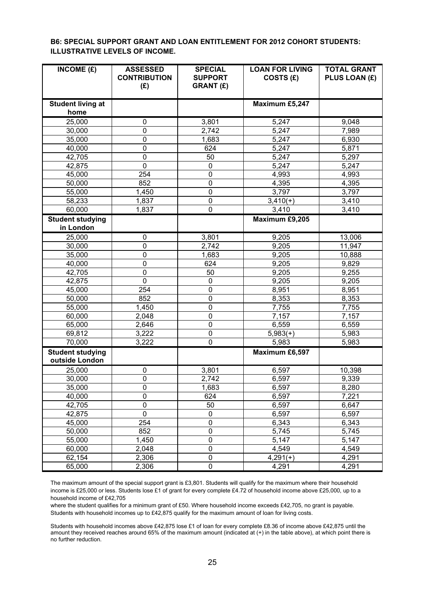#### **B6: SPECIAL SUPPORT GRANT AND LOAN ENTITLEMENT FOR 2012 COHORT STUDENTS: ILLUSTRATIVE LEVELS OF INCOME.**

| INCOME(E)                                 | <b>ASSESSED</b><br><b>CONTRIBUTION</b><br>(E) | <b>SPECIAL</b><br><b>SUPPORT</b><br><b>GRANT (£)</b> | <b>LOAN FOR LIVING</b><br>COSTS (£) | <b>TOTAL GRANT</b><br>PLUS LOAN (£) |
|-------------------------------------------|-----------------------------------------------|------------------------------------------------------|-------------------------------------|-------------------------------------|
| <b>Student living at</b><br>home          |                                               |                                                      | Maximum £5,247                      |                                     |
| 25,000                                    | 0                                             | 3,801                                                | 5,247                               | 9,048                               |
| 30,000                                    | 0                                             | 2,742                                                | 5,247                               | 7,989                               |
| 35,000                                    | 0                                             | 1,683                                                | 5,247                               | 6,930                               |
| 40,000                                    | 0                                             | 624                                                  | 5,247                               | 5,871                               |
| 42,705                                    | $\mathbf 0$                                   | 50                                                   | 5,247                               | 5,297                               |
| 42,875                                    | $\mathbf 0$                                   | 0                                                    | 5,247                               | 5,247                               |
| 45,000                                    | 254                                           | 0                                                    | 4,993                               | 4,993                               |
| 50,000                                    | 852                                           | 0                                                    | 4,395                               | 4,395                               |
| 55,000                                    | 1,450                                         | 0                                                    | 3,797                               | 3,797                               |
| 58,233                                    | 1,837                                         | 0                                                    | $3,410(+)$                          | 3,410                               |
| 60,000                                    | 1,837                                         | $\overline{0}$                                       | 3,410                               | 3,410                               |
| <b>Student studying</b><br>in London      |                                               |                                                      | Maximum £9,205                      |                                     |
| 25,000                                    | 0                                             | 3,801                                                | 9,205                               | 13,006                              |
| 30,000                                    | 0                                             | 2,742                                                | 9,205                               | 11,947                              |
| 35,000                                    | 0                                             | 1,683                                                | 9,205                               | 10,888                              |
| 40,000                                    | 0                                             | 624                                                  | 9,205                               | 9,829                               |
| 42,705                                    | 0                                             | 50                                                   | 9,205                               | 9,255                               |
| 42,875                                    | $\Omega$                                      | 0                                                    | 9,205                               | 9,205                               |
| 45,000                                    | 254                                           | 0                                                    | 8,951                               | 8,951                               |
| 50,000                                    | 852                                           | 0                                                    | 8,353                               | 8,353                               |
| 55,000                                    | 1,450                                         | 0                                                    | 7,755                               | 7,755                               |
| 60,000                                    | 2,048                                         | 0                                                    | 7,157                               | 7,157                               |
| 65,000                                    | 2,646                                         | 0                                                    | 6,559                               | 6,559                               |
| 69,812                                    | 3,222                                         | 0                                                    | $5,983(+)$                          | 5,983                               |
| 70,000                                    | 3,222                                         | $\mathbf 0$                                          | 5,983                               | 5,983                               |
| <b>Student studying</b><br>outside London |                                               |                                                      | Maximum £6,597                      |                                     |
| 25,000                                    | 0                                             | 3,801                                                | 6,597                               | 10,398                              |
| 30,000                                    | $\mathbf 0$                                   | 2,742                                                | 6,597                               | 9,339                               |
| 35,000                                    | $\mathbf 0$                                   | 1,683                                                | 6,597                               | 8,280                               |
| 40,000                                    | 0                                             | 624                                                  | 6,597                               | 7,221                               |
| 42,705                                    | 0                                             | 50                                                   | 6,597                               | 6,647                               |
| 42,875                                    | $\mathbf 0$                                   | 0                                                    | 6,597                               | 6,597                               |
| 45,000                                    | 254                                           | 0                                                    | 6,343                               | 6,343                               |
| 50,000                                    | 852                                           | 0                                                    | 5,745                               | 5,745                               |
| 55,000                                    | 1,450                                         | 0                                                    | 5,147                               | 5,147                               |
| 60,000                                    | 2,048                                         | 0                                                    | 4,549                               | 4,549                               |
| 62,154                                    | 2,306                                         | $\mathbf 0$                                          | $4,291(+)$                          | 4,291                               |
| 65,000                                    | 2,306                                         | $\overline{0}$                                       | 4,291                               | 4,291                               |

The maximum amount of the special support grant is £3,801. Students will qualify for the maximum where their household income is £25,000 or less. Students lose £1 of grant for every complete £4.72 of household income above £25,000, up to a household income of £42,705

where the student qualifies for a minimum grant of £50. Where household income exceeds £42,705, no grant is payable. Students with household incomes up to £42,875 qualify for the maximum amount of loan for living costs.

Students with household incomes above £42,875 lose £1 of loan for every complete £8.36 of income above £42,875 until the amount they received reaches around 65% of the maximum amount (indicated at (+) in the table above), at which point there is no further reduction.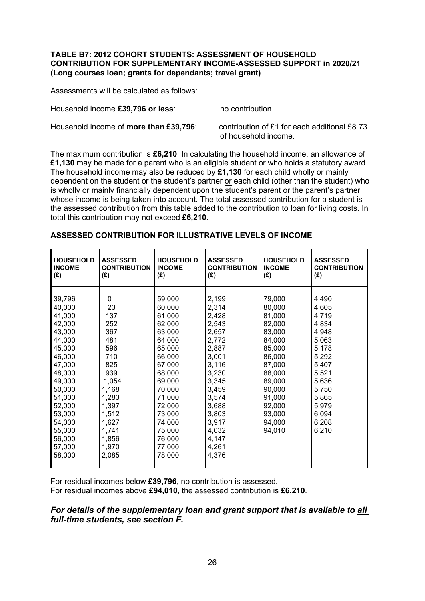#### **TABLE B7: 2012 COHORT STUDENTS: ASSESSMENT OF HOUSEHOLD CONTRIBUTION FOR SUPPLEMENTARY INCOME-ASSESSED SUPPORT in 2020/21 (Long courses loan; grants for dependants; travel grant)**

Assessments will be calculated as follows:

| Household income £39,796 or less: | no contribution |
|-----------------------------------|-----------------|
|-----------------------------------|-----------------|

Household income of **more than £39,796**: contribution of £1 for each additional £8.73

of household income.

The maximum contribution is **£6,210**. In calculating the household income, an allowance of **£1,130** may be made for a parent who is an eligible student or who holds a statutory award. The household income may also be reduced by **£1,130** for each child wholly or mainly dependent on the student or the student's partner or each child (other than the student) who is wholly or mainly financially dependent upon the student's parent or the parent's partner whose income is being taken into account. The total assessed contribution for a student is the assessed contribution from this table added to the contribution to loan for living costs. In total this contribution may not exceed **£6,210**.

| 2,199<br>39,796<br>59,000<br>79,000<br>4,490<br>0<br>40,000<br>23<br>60,000<br>2,314<br>80,000<br>4,605<br>41,000<br>61,000<br>81,000<br>4,719<br>137<br>2,428<br>42,000<br>62,000<br>2,543<br>82,000<br>4,834<br>252<br>4,948<br>43,000<br>63,000<br>2,657<br>83,000<br>367<br>44,000<br>481<br>64,000<br>84,000<br>2,772<br>5,063<br>45,000<br>596<br>65,000<br>2,887<br>85,000<br>5,178<br>46,000<br>66,000<br>3,001<br>86,000<br>710<br>5,292<br>67,000<br>47,000<br>825<br>3,116<br>87,000<br>5,407<br>48,000<br>939<br>68,000<br>3,230<br>5,521<br>88,000<br>49,000<br>3,345<br>1,054<br>69,000<br>89,000<br>5,636 | <b>HOUSEHOLD</b><br><b>INCOME</b><br>(E) | <b>ASSESSED</b><br><b>CONTRIBUTION</b><br>(E) | <b>HOUSEHOLD</b><br><b>INCOME</b><br>(E) | <b>ASSESSED</b><br><b>CONTRIBUTION</b><br>(E) | <b>HOUSEHOLD</b><br><b>INCOME</b><br>(E) | <b>ASSESSED</b><br><b>CONTRIBUTION</b><br>(E) |
|--------------------------------------------------------------------------------------------------------------------------------------------------------------------------------------------------------------------------------------------------------------------------------------------------------------------------------------------------------------------------------------------------------------------------------------------------------------------------------------------------------------------------------------------------------------------------------------------------------------------------|------------------------------------------|-----------------------------------------------|------------------------------------------|-----------------------------------------------|------------------------------------------|-----------------------------------------------|
| 51,000<br>71,000<br>91,000<br>5,865<br>1,283<br>3,574<br>52,000<br>72,000<br>3,688<br>92,000<br>5,979<br>1,397<br>1,512<br>73,000<br>3,803<br>6,094<br>53,000<br>93,000<br>54,000<br>1,627<br>94,000<br>6,208<br>74,000<br>3,917<br>55,000<br>1,741<br>75,000<br>4,032<br>94,010<br>6,210<br>56,000<br>76,000<br>4,147<br>1,856<br>57,000<br>1,970<br>77,000<br>4,261<br>2,085<br>58,000<br>78,000<br>4,376                                                                                                                                                                                                              | 50,000                                   | 1,168                                         | 70,000                                   | 3,459                                         | 90,000                                   | 5,750                                         |

#### **ASSESSED CONTRIBUTION FOR ILLUSTRATIVE LEVELS OF INCOME**

For residual incomes below **£39,796**, no contribution is assessed. For residual incomes above **£94,010**, the assessed contribution is **£6,210**.

### *For details of the supplementary loan and grant support that is available to all full-time students, see section F.*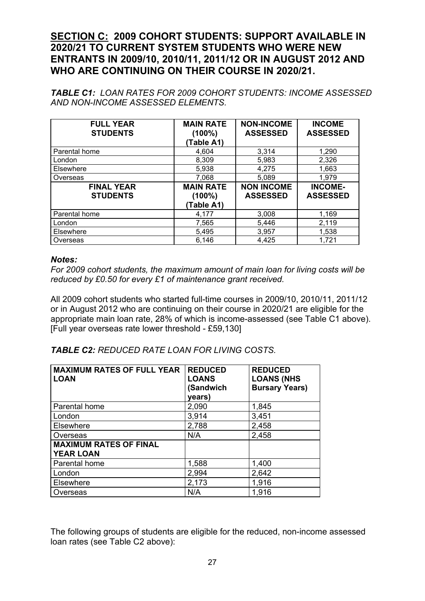# **SECTION C: 2009 COHORT STUDENTS: SUPPORT AVAILABLE IN 2020/21 TO CURRENT SYSTEM STUDENTS WHO WERE NEW ENTRANTS IN 2009/10, 2010/11, 2011/12 OR IN AUGUST 2012 AND WHO ARE CONTINUING ON THEIR COURSE IN 2020/21.**

*TABLE C1: LOAN RATES FOR 2009 COHORT STUDENTS: INCOME ASSESSED AND NON-INCOME ASSESSED ELEMENTS.*

| <b>FULL YEAR</b><br><b>STUDENTS</b>  | <b>MAIN RATE</b><br>$(100\%)$<br>(Table A1) | <b>NON-INCOME</b><br><b>ASSESSED</b> | <b>INCOME</b><br><b>ASSESSED</b>  |
|--------------------------------------|---------------------------------------------|--------------------------------------|-----------------------------------|
| Parental home                        | 4,604                                       | 3,314                                | 1,290                             |
| London                               | 8,309                                       | 5,983                                | 2,326                             |
| Elsewhere                            | 5,938                                       | 4,275                                | 1,663                             |
| Overseas                             | 7,068                                       | 5,089                                | 1,979                             |
| <b>FINAL YEAR</b><br><b>STUDENTS</b> | <b>MAIN RATE</b><br>$(100\%)$<br>(Table A1) | <b>NON INCOME</b><br><b>ASSESSED</b> | <b>INCOME-</b><br><b>ASSESSED</b> |
| Parental home                        | 4,177                                       | 3,008                                | 1,169                             |
| London                               | 7,565                                       | 5,446                                | 2,119                             |
| Elsewhere                            | 5,495                                       | 3,957                                | 1,538                             |
| Overseas                             | 6,146                                       | 4,425                                | 1,721                             |

### *Notes:*

*For 2009 cohort students, the maximum amount of main loan for living costs will be reduced by £0.50 for every £1 of maintenance grant received.* 

All 2009 cohort students who started full-time courses in 2009/10, 2010/11, 2011/12 or in August 2012 who are continuing on their course in 2020/21 are eligible for the appropriate main loan rate, 28% of which is income-assessed (see Table C1 above). [Full year overseas rate lower threshold - £59,130]

# *TABLE C2: REDUCED RATE LOAN FOR LIVING COSTS.*

| <b>MAXIMUM RATES OF FULL YEAR</b><br><b>LOAN</b>  | <b>REDUCED</b><br><b>LOANS</b><br>(Sandwich<br>years) | <b>REDUCED</b><br><b>LOANS (NHS</b><br><b>Bursary Years)</b> |
|---------------------------------------------------|-------------------------------------------------------|--------------------------------------------------------------|
| Parental home                                     | 2,090                                                 | 1,845                                                        |
| London                                            | 3,914                                                 | 3,451                                                        |
| Elsewhere                                         | 2,788                                                 | 2,458                                                        |
| Overseas                                          | N/A                                                   | 2,458                                                        |
| <b>MAXIMUM RATES OF FINAL</b><br><b>YEAR LOAN</b> |                                                       |                                                              |
| Parental home                                     | 1,588                                                 | 1,400                                                        |
| London                                            | 2,994                                                 | 2,642                                                        |
| Elsewhere                                         | 2,173                                                 | 1,916                                                        |
| Overseas                                          | N/A                                                   | 1,916                                                        |

The following groups of students are eligible for the reduced, non-income assessed loan rates (see Table C2 above):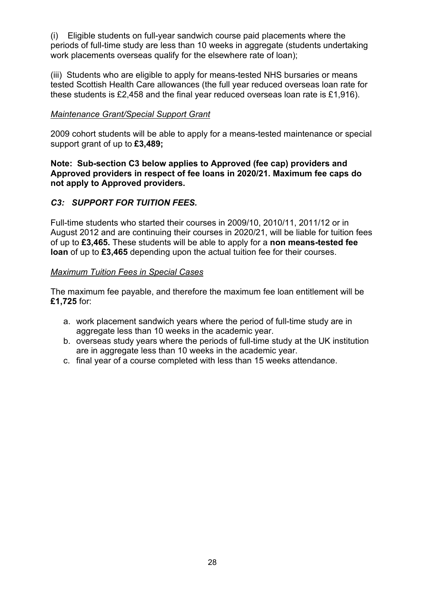(i) Eligible students on full-year sandwich course paid placements where the periods of full-time study are less than 10 weeks in aggregate (students undertaking work placements overseas qualify for the elsewhere rate of loan);

(iii) Students who are eligible to apply for means-tested NHS bursaries or means tested Scottish Health Care allowances (the full year reduced overseas loan rate for these students is £2,458 and the final year reduced overseas loan rate is £1,916).

### *Maintenance Grant/Special Support Grant*

2009 cohort students will be able to apply for a means-tested maintenance or special support grant of up to **£3,489;**

**Note: Sub-section C3 below applies to Approved (fee cap) providers and Approved providers in respect of fee loans in 2020/21. Maximum fee caps do not apply to Approved providers.** 

## *C3: SUPPORT FOR TUITION FEES.*

Full-time students who started their courses in 2009/10, 2010/11, 2011/12 or in August 2012 and are continuing their courses in 2020/21, will be liable for tuition fees of up to **£3,465.** These students will be able to apply for a **non means-tested fee loan** of up to **£3,465** depending upon the actual tuition fee for their courses.

### *Maximum Tuition Fees in Special Cases*

The maximum fee payable, and therefore the maximum fee loan entitlement will be **£1,725** for:

- a. work placement sandwich years where the period of full-time study are in aggregate less than 10 weeks in the academic year.
- b. overseas study years where the periods of full-time study at the UK institution are in aggregate less than 10 weeks in the academic year.
- c. final year of a course completed with less than 15 weeks attendance.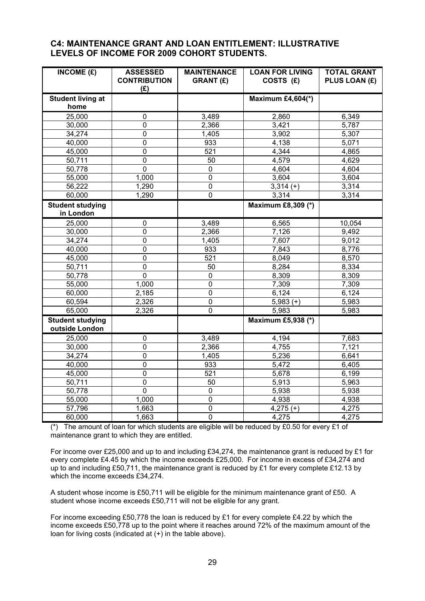### **C4: MAINTENANCE GRANT AND LOAN ENTITLEMENT: ILLUSTRATIVE LEVELS OF INCOME FOR 2009 COHORT STUDENTS.**

| INCOME $(E)$                              | <b>ASSESSED</b><br><b>CONTRIBUTION</b><br>(E) | <b>MAINTENANCE</b><br><b>GRANT (£)</b> | <b>LOAN FOR LIVING</b><br>COSTS (£) | <b>TOTAL GRANT</b><br>PLUS LOAN (£) |
|-------------------------------------------|-----------------------------------------------|----------------------------------------|-------------------------------------|-------------------------------------|
| <b>Student living at</b><br>home          |                                               |                                        | <b>Maximum £4,604(*)</b>            |                                     |
| 25,000                                    | $\mathbf 0$                                   | 3,489                                  | 2,860                               | 6,349                               |
| 30,000                                    | $\mathbf 0$                                   | 2,366                                  | 3,421                               | 5,787                               |
| 34,274                                    | $\pmb{0}$                                     | 1,405                                  | 3,902                               | 5,307                               |
| 40,000                                    | $\mathbf 0$                                   | 933                                    | 4,138                               | 5,071                               |
| 45,000                                    | $\mathbf 0$                                   | 521                                    | 4,344                               | 4,865                               |
| 50,711                                    | $\mathbf 0$                                   | 50                                     | 4,579                               | 4,629                               |
| 50,778                                    | $\mathbf 0$                                   | $\mathbf 0$                            | 4,604                               | 4,604                               |
| 55,000                                    | 1,000                                         | $\overline{0}$                         | 3,604                               | 3,604                               |
| 56,222                                    | 1,290                                         | $\mathbf 0$                            | $3,314 (+)$                         | 3,314                               |
| 60,000                                    | 1,290                                         | 0                                      | 3,314                               | 3,314                               |
| <b>Student studying</b><br>in London      |                                               |                                        | Maximum £8,309 (*)                  |                                     |
| 25,000                                    | $\boldsymbol{0}$                              | 3,489                                  | 6,565                               | 10,054                              |
| 30,000                                    | $\mathbf 0$                                   | 2,366                                  | 7,126                               | 9,492                               |
| 34,274                                    | $\mathbf 0$                                   | 1,405                                  | 7,607                               | 9,012                               |
| 40,000                                    | $\mathbf 0$                                   | 933                                    | 7,843                               | 8,776                               |
| 45,000                                    | $\mathbf 0$                                   | 521                                    | 8,049                               | 8,570                               |
| 50,711                                    | $\mathbf 0$                                   | 50                                     | 8,284                               | 8,334                               |
| 50,778                                    | $\overline{0}$                                | $\pmb{0}$                              | 8,309                               | 8,309                               |
| 55,000                                    | 1,000                                         | $\overline{0}$                         | 7,309                               | 7,309                               |
| 60,000                                    | 2,185                                         | $\overline{0}$                         | 6,124                               | 6,124                               |
| 60,594                                    | 2,326                                         | $\overline{0}$                         | $5,983 (+)$                         | 5,983                               |
| 65,000                                    | 2,326                                         | $\mathbf 0$                            | 5,983                               | 5,983                               |
| <b>Student studying</b><br>outside London |                                               |                                        | Maximum £5,938 (*)                  |                                     |
| 25,000                                    | $\mathbf 0$                                   | 3,489                                  | 4,194                               | 7,683                               |
| 30,000                                    | $\mathbf 0$                                   | 2,366                                  | 4,755                               | 7,121                               |
| 34,274                                    | $\mathbf 0$                                   | 1,405                                  | 5,236                               | 6,641                               |
| 40,000                                    | $\overline{0}$                                | 933                                    | 5,472                               | 6,405                               |
| 45,000                                    | $\mathbf 0$                                   | 521                                    | 5,678                               | 6,199                               |
| 50,711                                    | $\mathbf 0$                                   | 50                                     | 5,913                               | 5,963                               |
| 50,778                                    | $\overline{0}$                                | $\mathbf 0$                            | 5,938                               | 5,938                               |
| 55,000                                    | 1,000                                         | $\overline{0}$                         | 4,938                               | 4,938                               |
| 57,796                                    | 1,663                                         | 0                                      | $4,275(+)$                          | 4,275                               |
| 60,000                                    | 1,663                                         | $\mathbf 0$                            | 4,275                               | 4,275                               |

 $(*)$  The amount of loan for which students are eligible will be reduced by £0.50 for every £1 of maintenance grant to which they are entitled.

For income over £25,000 and up to and including £34,274, the maintenance grant is reduced by £1 for every complete £4.45 by which the income exceeds £25,000. For income in excess of £34,274 and up to and including £50,711, the maintenance grant is reduced by £1 for every complete £12.13 by which the income exceeds £34,274.

A student whose income is £50,711 will be eligible for the minimum maintenance grant of £50. A student whose income exceeds £50,711 will not be eligible for any grant.

For income exceeding £50,778 the loan is reduced by £1 for every complete £4.22 by which the income exceeds £50,778 up to the point where it reaches around 72% of the maximum amount of the loan for living costs (indicated at (+) in the table above).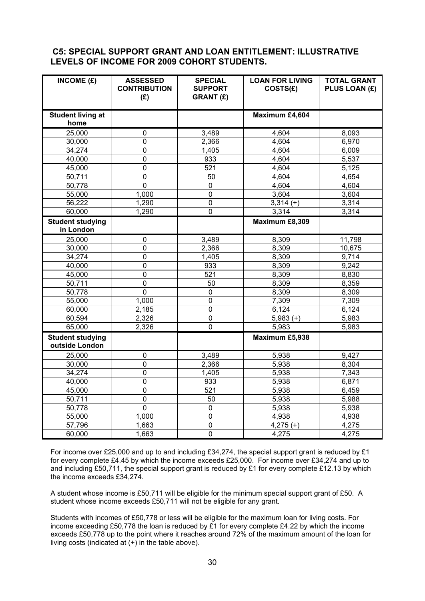### **C5: SPECIAL SUPPORT GRANT AND LOAN ENTITLEMENT: ILLUSTRATIVE LEVELS OF INCOME FOR 2009 COHORT STUDENTS.**

| INCOME $(E)$                              | <b>ASSESSED</b><br><b>CONTRIBUTION</b><br>(E) | <b>SPECIAL</b><br><b>SUPPORT</b><br><b>GRANT (£)</b> | <b>LOAN FOR LIVING</b><br>COSTS(£) | <b>TOTAL GRANT</b><br>PLUS LOAN (£) |
|-------------------------------------------|-----------------------------------------------|------------------------------------------------------|------------------------------------|-------------------------------------|
| <b>Student living at</b><br>home          |                                               |                                                      | Maximum £4,604                     |                                     |
| 25,000                                    | $\pmb{0}$                                     | 3,489                                                | 4,604                              | 8,093                               |
| 30,000                                    | 0                                             | 2,366                                                | 4,604                              | 6,970                               |
| 34,274                                    | 0                                             | 1,405                                                | 4,604                              | 6,009                               |
| 40,000                                    | 0                                             | 933                                                  | 4,604                              | 5,537                               |
| 45,000                                    | 0                                             | 521                                                  | 4,604                              | 5,125                               |
| 50,711                                    | $\overline{0}$                                | $\overline{50}$                                      | 4,604                              | 4,654                               |
| 50,778                                    | $\overline{0}$                                | $\overline{0}$                                       | 4,604                              | 4,604                               |
| 55,000                                    | 1,000                                         | $\overline{0}$                                       | 3,604                              | 3,604                               |
| 56,222                                    | 1,290                                         | $\pmb{0}$                                            | $3,314 (+)$                        | 3,314                               |
| 60,000                                    | 1,290                                         | 0                                                    | 3,314                              | 3,314                               |
| <b>Student studying</b><br>in London      |                                               |                                                      | Maximum £8,309                     |                                     |
| 25,000                                    | $\pmb{0}$                                     | 3,489                                                | 8,309                              | 11,798                              |
| 30,000                                    | $\mathbf 0$                                   | 2,366                                                | 8,309                              | 10,675                              |
| 34,274                                    | $\mathbf 0$                                   | 1,405                                                | 8,309                              | 9,714                               |
| 40,000                                    | $\mathbf 0$                                   | 933                                                  | 8,309                              | 9,242                               |
| 45,000                                    | 0                                             | 521                                                  | 8,309                              | 8,830                               |
| 50,711                                    | $\overline{0}$                                | $\overline{50}$                                      | 8,309                              | 8,359                               |
| 50,778                                    | $\overline{0}$                                | $\mathbf 0$                                          | 8,309                              | 8,309                               |
| 55,000                                    | 1,000                                         | $\mathbf 0$                                          | 7,309                              | 7,309                               |
| 60,000                                    | 2,185                                         | $\overline{0}$                                       | 6,124                              | 6,124                               |
| 60,594                                    | 2,326                                         | $\overline{0}$                                       | $5,983 (+)$                        | 5,983                               |
| 65,000                                    | 2,326                                         | $\overline{0}$                                       | 5,983                              | 5,983                               |
| <b>Student studying</b><br>outside London |                                               |                                                      | Maximum £5,938                     |                                     |
| 25,000                                    | $\mathbf 0$                                   | 3,489                                                | 5,938                              | 9,427                               |
| 30,000                                    | 0                                             | 2,366                                                | 5,938                              | 8,304                               |
| 34,274                                    | 0                                             | 1,405                                                | 5,938                              | 7,343                               |
| 40,000                                    | $\overline{0}$                                | 933                                                  | 5,938                              | 6,871                               |
| 45,000                                    | $\overline{0}$                                | $\overline{521}$                                     | 5,938                              | 6,459                               |
| 50,711                                    | 0                                             | 50                                                   | 5,938                              | 5,988                               |
| 50,778                                    | $\mathbf 0$                                   | 0                                                    | 5,938                              | 5,938                               |
| 55,000                                    | 1,000                                         | $\overline{0}$                                       | 4,938                              | 4,938                               |
| 57,796                                    | 1,663                                         | $\mathbf 0$                                          | $4,275$ (+)                        | 4,275                               |
| 60,000                                    | 1,663                                         | $\overline{0}$                                       | 4,275                              | 4,275                               |

For income over £25,000 and up to and including £34,274, the special support grant is reduced by £1 for every complete £4.45 by which the income exceeds £25,000. For income over £34,274 and up to and including £50,711, the special support grant is reduced by £1 for every complete £12.13 by which the income exceeds £34,274.

A student whose income is £50,711 will be eligible for the minimum special support grant of £50. A student whose income exceeds £50,711 will not be eligible for any grant.

Students with incomes of £50,778 or less will be eligible for the maximum loan for living costs. For income exceeding £50,778 the loan is reduced by £1 for every complete £4.22 by which the income exceeds £50,778 up to the point where it reaches around 72% of the maximum amount of the loan for living costs (indicated at (+) in the table above).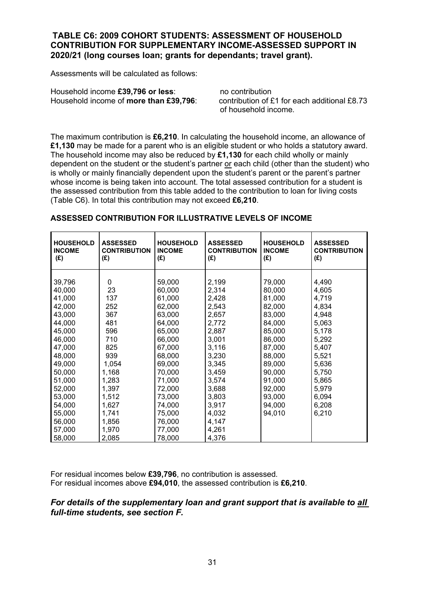### **TABLE C6: 2009 COHORT STUDENTS: ASSESSMENT OF HOUSEHOLD CONTRIBUTION FOR SUPPLEMENTARY INCOME-ASSESSED SUPPORT IN 2020/21 (long courses loan; grants for dependants; travel grant).**

Assessments will be calculated as follows:

Household income **£39,796 or less**:<br>Household income of **more than £39.796** contribution of £1 for each additional £8.73 Household income of **more than £39,796**:

of household income.

The maximum contribution is **£6,210**. In calculating the household income, an allowance of **£1,130** may be made for a parent who is an eligible student or who holds a statutory award. The household income may also be reduced by **£1,130** for each child wholly or mainly dependent on the student or the student's partner or each child (other than the student) who is wholly or mainly financially dependent upon the student's parent or the parent's partner whose income is being taken into account. The total assessed contribution for a student is the assessed contribution from this table added to the contribution to loan for living costs (Table C6). In total this contribution may not exceed **£6,210**.

| <b>HOUSEHOLD</b><br><b>INCOME</b><br>(E) | <b>ASSESSED</b><br><b>CONTRIBUTION</b><br>(E) | <b>HOUSEHOLD</b><br><b>INCOME</b><br>(E) | <b>ASSESSED</b><br><b>CONTRIBUTION</b><br>(E) | <b>HOUSEHOLD</b><br><b>INCOME</b><br>(E) | <b>ASSESSED</b><br><b>CONTRIBUTION</b><br>(E) |
|------------------------------------------|-----------------------------------------------|------------------------------------------|-----------------------------------------------|------------------------------------------|-----------------------------------------------|
| 39,796                                   | $\Omega$                                      | 59,000                                   | 2,199                                         | 79,000                                   | 4,490                                         |
| 40,000                                   | 23                                            | 60,000                                   | 2,314                                         | 80,000                                   | 4,605                                         |
| 41,000                                   | 137                                           | 61,000                                   | 2,428                                         | 81,000                                   | 4,719                                         |
| 42,000                                   | 252                                           | 62,000                                   | 2,543                                         | 82,000                                   | 4,834                                         |
| 43,000                                   | 367                                           | 63,000                                   | 2,657                                         | 83,000                                   | 4,948                                         |
| 44,000                                   | 481                                           | 64,000                                   | 2,772                                         | 84,000                                   | 5,063                                         |
| 45,000                                   | 596                                           | 65,000                                   | 2,887                                         | 85,000                                   | 5,178                                         |
| 46,000                                   | 710                                           | 66,000                                   | 3,001                                         | 86,000                                   | 5,292                                         |
| 47,000                                   | 825                                           | 67,000                                   | 3,116                                         | 87,000                                   | 5,407                                         |
| 48,000                                   | 939                                           | 68,000                                   | 3,230                                         | 88,000                                   | 5,521                                         |
| 49,000                                   | 1,054                                         | 69,000                                   | 3,345                                         | 89,000                                   | 5,636                                         |
| 50,000                                   | 1,168                                         | 70,000                                   | 3,459                                         | 90,000                                   | 5,750                                         |
| 51,000                                   | 1,283                                         | 71,000                                   | 3,574                                         | 91,000                                   | 5,865                                         |
| 52,000                                   | 1,397                                         | 72,000                                   | 3,688                                         | 92,000                                   | 5,979                                         |
| 53,000                                   | 1,512                                         | 73,000                                   | 3,803                                         | 93,000                                   | 6,094                                         |
| 54,000                                   | 1,627                                         | 74,000                                   | 3,917                                         | 94,000                                   | 6,208                                         |
| 55,000                                   | 1,741                                         | 75,000                                   | 4,032                                         | 94,010                                   | 6,210                                         |
| 56,000                                   | 1,856                                         | 76,000                                   | 4,147                                         |                                          |                                               |
| 57,000                                   | 1,970                                         | 77,000                                   | 4,261                                         |                                          |                                               |
| 58,000                                   | 2,085                                         | 78,000                                   | 4,376                                         |                                          |                                               |

#### **ASSESSED CONTRIBUTION FOR ILLUSTRATIVE LEVELS OF INCOME**

For residual incomes below **£39,796**, no contribution is assessed. For residual incomes above **£94,010**, the assessed contribution is **£6,210**.

### *For details of the supplementary loan and grant support that is available to all full-time students, see section F.*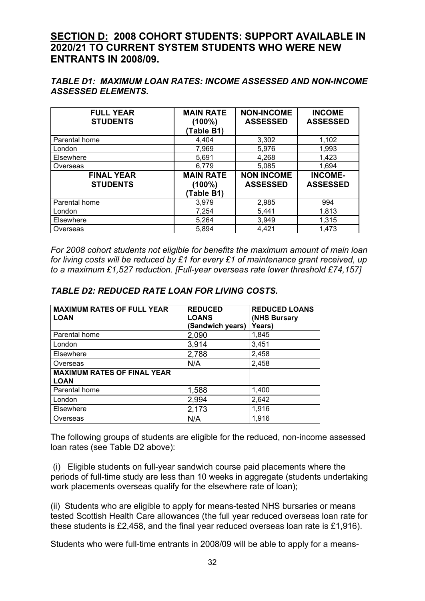# **SECTION D: 2008 COHORT STUDENTS: SUPPORT AVAILABLE IN 2020/21 TO CURRENT SYSTEM STUDENTS WHO WERE NEW ENTRANTS IN 2008/09.**

### *TABLE D1: MAXIMUM LOAN RATES: INCOME ASSESSED AND NON-INCOME ASSESSED ELEMENTS.*

| <b>FULL YEAR</b><br><b>STUDENTS</b>  | <b>MAIN RATE</b><br>(100%)<br>(Table B1)    | <b>NON-INCOME</b><br><b>ASSESSED</b> | <b>INCOME</b><br><b>ASSESSED</b>  |
|--------------------------------------|---------------------------------------------|--------------------------------------|-----------------------------------|
| Parental home                        | 4,404                                       | 3,302                                | 1,102                             |
| London                               | 7,969                                       | 5,976                                | 1,993                             |
| Elsewhere                            | 5,691                                       | 4,268                                | 1,423                             |
| Overseas                             | 6,779                                       | 5,085                                | 1,694                             |
| <b>FINAL YEAR</b><br><b>STUDENTS</b> | <b>MAIN RATE</b><br>$(100\%)$<br>(Table B1) | <b>NON INCOME</b><br><b>ASSESSED</b> | <b>INCOME-</b><br><b>ASSESSED</b> |
| Parental home                        | 3,979                                       | 2,985                                | 994                               |
| London                               | 7,254                                       | 5,441                                | 1,813                             |
| Elsewhere                            | 5,264                                       | 3,949                                | 1,315                             |
| Overseas                             | 5,894                                       | 4,421                                | 1,473                             |

*For 2008 cohort students not eligible for benefits the maximum amount of main loan for living costs will be reduced by £1 for every £1 of maintenance grant received, up to a maximum £1,527 reduction. [Full-year overseas rate lower threshold £74,157]*

| <b>MAXIMUM RATES OF FULL YEAR</b><br><b>LOAN</b>  | <b>REDUCED</b><br><b>LOANS</b> | <b>REDUCED LOANS</b><br>(NHS Bursary |
|---------------------------------------------------|--------------------------------|--------------------------------------|
|                                                   | (Sandwich years)               | Years)                               |
| Parental home                                     | 2,090                          | 1,845                                |
| London                                            | 3,914                          | 3,451                                |
| Elsewhere                                         | 2,788                          | 2,458                                |
| Overseas                                          | N/A                            | 2,458                                |
| <b>MAXIMUM RATES OF FINAL YEAR</b><br><b>LOAN</b> |                                |                                      |
| Parental home                                     | 1,588                          | 1,400                                |
| London                                            | 2,994                          | 2,642                                |
| Elsewhere                                         | 2,173                          | 1,916                                |
| Overseas                                          | N/A                            | 1,916                                |

### *TABLE D2: REDUCED RATE LOAN FOR LIVING COSTS.*

The following groups of students are eligible for the reduced, non-income assessed loan rates (see Table D2 above):

(i) Eligible students on full-year sandwich course paid placements where the periods of full-time study are less than 10 weeks in aggregate (students undertaking work placements overseas qualify for the elsewhere rate of loan);

(ii) Students who are eligible to apply for means-tested NHS bursaries or means tested Scottish Health Care allowances (the full year reduced overseas loan rate for these students is £2,458, and the final year reduced overseas loan rate is £1,916).

Students who were full-time entrants in 2008/09 will be able to apply for a means-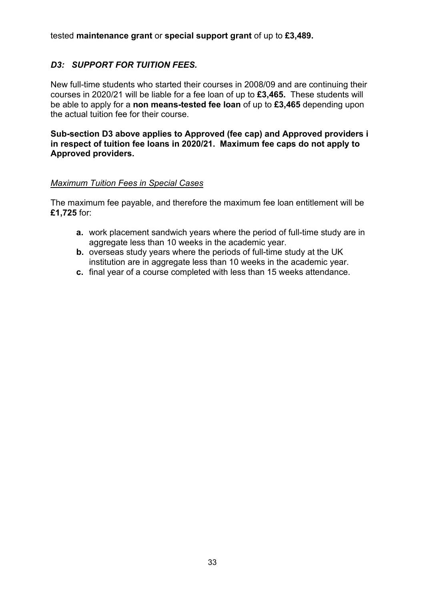tested **maintenance grant** or **special support grant** of up to **£3,489.**

## *D3: SUPPORT FOR TUITION FEES.*

New full-time students who started their courses in 2008/09 and are continuing their courses in 2020/21 will be liable for a fee loan of up to **£3,465.** These students will be able to apply for a **non means-tested fee loan** of up to **£3,465** depending upon the actual tuition fee for their course.

**Sub-section D3 above applies to Approved (fee cap) and Approved providers i in respect of tuition fee loans in 2020/21. Maximum fee caps do not apply to Approved providers.** 

### *Maximum Tuition Fees in Special Cases*

The maximum fee payable, and therefore the maximum fee loan entitlement will be **£1,725** for:

- **a.** work placement sandwich years where the period of full-time study are in aggregate less than 10 weeks in the academic year.
- **b.** overseas study years where the periods of full-time study at the UK institution are in aggregate less than 10 weeks in the academic year.
- **c.** final year of a course completed with less than 15 weeks attendance.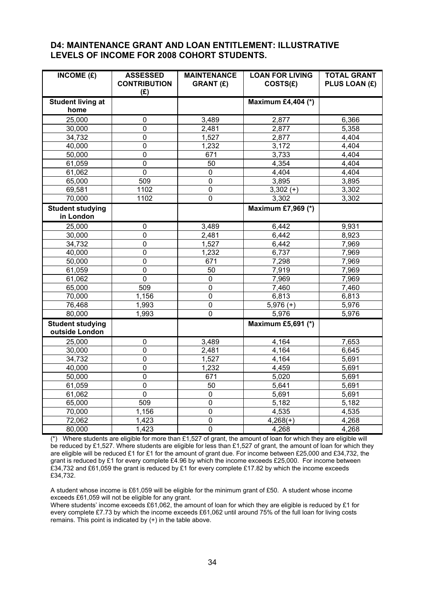### **D4: MAINTENANCE GRANT AND LOAN ENTITLEMENT: ILLUSTRATIVE LEVELS OF INCOME FOR 2008 COHORT STUDENTS.**

| INCOME $(E)$                              | <b>ASSESSED</b><br><b>CONTRIBUTION</b><br>(E) | <b>MAINTENANCE</b><br><b>GRANT (£)</b> | <b>LOAN FOR LIVING</b><br>COSTS(£) | <b>TOTAL GRANT</b><br><b>PLUS LOAN (£)</b> |
|-------------------------------------------|-----------------------------------------------|----------------------------------------|------------------------------------|--------------------------------------------|
| <b>Student living at</b><br>home          |                                               |                                        | <b>Maximum £4,404 (*)</b>          |                                            |
| 25,000                                    | 0                                             | 3,489                                  | 2,877                              | 6,366                                      |
| 30,000                                    | 0                                             | 2,481                                  | 2,877                              | 5,358                                      |
| 34,732                                    | $\mathbf 0$                                   | 1,527                                  | 2,877                              | 4,404                                      |
| 40,000                                    | $\mathbf 0$                                   | 1,232                                  | 3,172                              | 4,404                                      |
| 50,000                                    | $\mathbf 0$                                   | 671                                    | 3,733                              | 4,404                                      |
| 61,059                                    | $\pmb{0}$                                     | 50                                     | 4,354                              | 4,404                                      |
| 61,062                                    | $\pmb{0}$                                     | 0                                      | 4,404                              | 4,404                                      |
| 65,000                                    | 509                                           | $\overline{0}$                         | 3,895                              | 3,895                                      |
| 69,581                                    | 1102                                          | $\overline{0}$                         | $3,302 (+)$                        | 3,302                                      |
| 70,000                                    | 1102                                          | $\overline{0}$                         | 3,302                              | 3,302                                      |
| <b>Student studying</b><br>in London      |                                               |                                        | Maximum £7,969 (*)                 |                                            |
| 25,000                                    | $\mathbf 0$                                   | 3,489                                  | 6,442                              | 9,931                                      |
| 30,000                                    | $\overline{0}$                                | 2,481                                  | 6,442                              | 8,923                                      |
| 34,732                                    | $\mathbf 0$                                   | 1,527                                  | 6,442                              | 7,969                                      |
| 40,000                                    | $\mathbf 0$                                   | 1,232                                  | 6,737                              | 7,969                                      |
| 50,000                                    | $\pmb{0}$                                     | 671                                    | 7,298                              | 7,969                                      |
| 61,059                                    | $\pmb{0}$                                     | 50                                     | 7,919                              | 7,969                                      |
| 61,062                                    | $\mathbf 0$                                   | $\mathbf 0$                            | 7,969                              | 7,969                                      |
| 65,000                                    | 509                                           | $\overline{0}$                         | 7,460                              | 7,460                                      |
| 70,000                                    | 1,156                                         | $\mathbf 0$                            | 6,813                              | 6,813                                      |
| 76,468                                    | 1,993                                         | $\mathbf 0$                            | $5,976 (+)$                        | 5,976                                      |
| 80,000                                    | 1,993                                         | $\overline{0}$                         | 5,976                              | 5,976                                      |
| <b>Student studying</b><br>outside London |                                               |                                        | Maximum £5,691 (*)                 |                                            |
| 25,000                                    | $\boldsymbol{0}$                              | 3,489                                  | 4,164                              | 7,653                                      |
| 30,000                                    | $\pmb{0}$                                     | 2,481                                  | 4,164                              | 6,645                                      |
| 34,732                                    | 0                                             | 1,527                                  | 4,164                              | 5,691                                      |
| 40,000                                    | $\mathbf 0$                                   | 1,232                                  | 4,459                              | 5,691                                      |
| 50,000                                    | $\mathbf 0$                                   | 671                                    | 5,020                              | 5,691                                      |
| 61,059                                    | $\mathbf 0$                                   | 50                                     | 5,641                              | 5,691                                      |
| 61,062                                    | $\mathbf 0$                                   | $\mathbf 0$                            | 5,691                              | 5,691                                      |
| 65,000                                    | 509                                           | $\mathbf 0$                            | 5,182                              | 5,182                                      |
| 70,000                                    | 1,156                                         | $\pmb{0}$                              | 4,535                              | 4,535                                      |
| 72,062                                    | 1,423                                         | $\mathbf 0$                            | $4,268(+)$                         | 4,268                                      |
| 80,000                                    | 1,423                                         | $\overline{0}$                         | $\overline{4,}268$                 | 4,268                                      |

(\*) Where students are eligible for more than £1,527 of grant, the amount of loan for which they are eligible will be reduced by £1,527. Where students are eligible for less than £1,527 of grant, the amount of loan for which they are eligible will be reduced £1 for £1 for the amount of grant due. For income between £25,000 and £34,732, the grant is reduced by £1 for every complete £4.96 by which the income exceeds £25,000. For income between £34,732 and £61,059 the grant is reduced by £1 for every complete £17.82 by which the income exceeds £34,732.

A student whose income is £61,059 will be eligible for the minimum grant of £50. A student whose income exceeds £61,059 will not be eligible for any grant.

Where students' income exceeds £61,062, the amount of loan for which they are eligible is reduced by £1 for every complete £7.73 by which the income exceeds £61,062 until around 75% of the full loan for living costs remains. This point is indicated by (+) in the table above.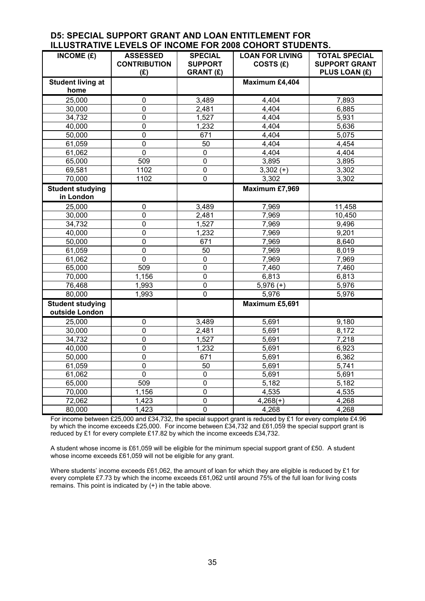#### **D5: SPECIAL SUPPORT GRANT AND LOAN ENTITLEMENT FOR ILLUSTRATIVE LEVELS OF INCOME FOR 2008 COHORT STUDENTS.**

| INCOME $(E)$                         | <b>ASSESSED</b><br><b>CONTRIBUTION</b><br>(E) | <b>SPECIAL</b><br><b>SUPPORT</b><br><b>GRANT (£)</b> | <b>LOAN FOR LIVING</b><br>COSTS (£) | <b>TOTAL SPECIAL</b><br><b>SUPPORT GRANT</b><br><b>PLUS LOAN (£)</b> |
|--------------------------------------|-----------------------------------------------|------------------------------------------------------|-------------------------------------|----------------------------------------------------------------------|
| <b>Student living at</b><br>home     |                                               |                                                      | Maximum £4,404                      |                                                                      |
| 25,000                               |                                               |                                                      |                                     |                                                                      |
|                                      | $\boldsymbol{0}$<br>$\overline{0}$            | 3,489                                                | 4,404                               | 7,893                                                                |
| 30,000                               |                                               | 2,481                                                | 4,404                               | 6,885                                                                |
| 34,732                               | $\mathbf 0$<br>$\mathbf 0$                    | 1,527<br>1,232                                       | 4,404                               | 5,931                                                                |
| 40,000                               | $\mathsf 0$                                   | 671                                                  | 4,404<br>4,404                      | 5,636<br>5,075                                                       |
| 50,000                               |                                               |                                                      |                                     |                                                                      |
| 61,059                               | $\boldsymbol{0}$<br>$\mathbf 0$               | 50                                                   | 4,404                               | 4,454                                                                |
| 61,062                               |                                               | 0                                                    | 4,404                               | 4,404                                                                |
| 65,000                               | 509                                           | $\pmb{0}$                                            | 3,895                               | 3,895                                                                |
| 69,581                               | 1102                                          | $\overline{0}$<br>$\overline{0}$                     | 3,302 $(\overline{+)}$<br>3,302     | 3,302<br>3,302                                                       |
| 70,000                               | 1102                                          |                                                      |                                     |                                                                      |
| <b>Student studying</b><br>in London |                                               |                                                      | Maximum £7,969                      |                                                                      |
| 25,000                               | $\pmb{0}$                                     | 3,489                                                | 7,969                               | 11,458                                                               |
| 30,000                               | $\mathbf 0$                                   | 2,481                                                | 7,969                               | 10,450                                                               |
| 34,732                               | $\overline{0}$                                | 1,527                                                | 7,969                               | 9,496                                                                |
| 40,000                               | $\overline{0}$                                | 1,232                                                | 7,969                               | 9,201                                                                |
| 50,000                               | $\mathbf 0$                                   | 671                                                  | 7,969                               | 8,640                                                                |
| 61,059                               | $\mathbf 0$                                   | 50                                                   | 7,969                               | 8,019                                                                |
| 61,062                               | $\overline{0}$                                | $\mathbf 0$                                          | 7,969                               | 7,969                                                                |
| 65,000                               | 509                                           | $\overline{0}$                                       | 7,460                               | 7,460                                                                |
| 70,000                               | 1,156                                         | $\mathbf 0$                                          | 6,813                               | 6,813                                                                |
| 76,468                               | 1,993                                         | 0                                                    | $5,976 (+)$                         | 5,976                                                                |
| 80,000                               | 1,993                                         | $\overline{0}$                                       | 5,976                               | 5,976                                                                |
| <b>Student studying</b>              |                                               |                                                      | Maximum £5,691                      |                                                                      |
| outside London                       |                                               |                                                      |                                     |                                                                      |
| 25,000                               | $\pmb{0}$                                     | 3,489                                                | 5,691                               | 9,180                                                                |
| 30,000                               | $\pmb{0}$                                     | 2,481                                                | 5,691                               | 8,172                                                                |
| 34,732                               | $\pmb{0}$                                     | 1,527                                                | 5,691                               | 7,218                                                                |
| 40,000                               | $\mathbf 0$                                   | 1,232                                                | 5,691                               | 6,923                                                                |
| 50,000                               | $\overline{0}$                                | 671                                                  | 5,691                               | 6,362                                                                |
| 61,059                               | $\overline{0}$                                | 50                                                   | 5,691                               | 5,741                                                                |
| 61,062                               | $\overline{0}$                                | $\overline{0}$                                       | 5,691                               | 5,691                                                                |
| 65,000                               | 509                                           | 0                                                    | 5,182                               | 5,182                                                                |
| 70,000                               | 1,156                                         | $\mathbf 0$                                          | 4,535                               | 4,535                                                                |
| 72,062                               | 1,423                                         | $\overline{0}$                                       | $4,268(+)$                          | 4,268                                                                |
| 80,000                               | 1,423                                         | $\overline{0}$                                       | 4,268                               | 4,268                                                                |

For income between £25,000 and £34,732, the special support grant is reduced by £1 for every complete £4.96 by which the income exceeds £25,000. For income between £34,732 and £61,059 the special support grant is reduced by £1 for every complete £17.82 by which the income exceeds £34,732.

A student whose income is £61,059 will be eligible for the minimum special support grant of £50. A student whose income exceeds £61,059 will not be eligible for any grant.

Where students' income exceeds £61,062, the amount of loan for which they are eligible is reduced by £1 for every complete £7.73 by which the income exceeds £61,062 until around 75% of the full loan for living costs remains. This point is indicated by (+) in the table above.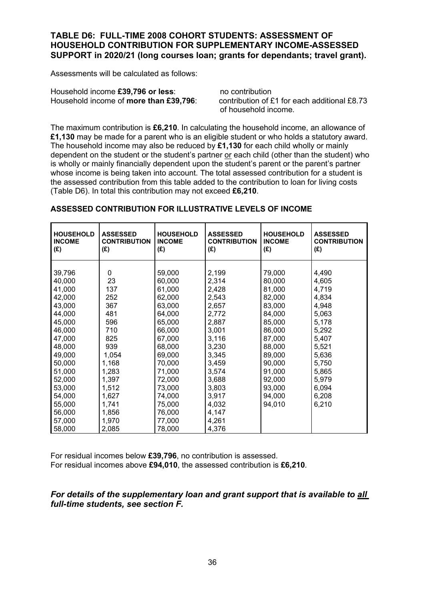### **TABLE D6: FULL-TIME 2008 COHORT STUDENTS: ASSESSMENT OF HOUSEHOLD CONTRIBUTION FOR SUPPLEMENTARY INCOME-ASSESSED SUPPORT in 2020/21 (long courses loan; grants for dependants; travel grant).**

Assessments will be calculated as follows:

Household income **£39,796 or less**:<br>Household income of **more than £39.796** contribution of £1 for each additional £8.73 Household income of **more than £39,796**:

of household income.

The maximum contribution is **£6,210**. In calculating the household income, an allowance of **£1,130** may be made for a parent who is an eligible student or who holds a statutory award. The household income may also be reduced by **£1,130** for each child wholly or mainly dependent on the student or the student's partner or each child (other than the student) who is wholly or mainly financially dependent upon the student's parent or the parent's partner whose income is being taken into account. The total assessed contribution for a student is the assessed contribution from this table added to the contribution to loan for living costs (Table D6). In total this contribution may not exceed **£6,210**.

| <b>HOUSEHOLD</b><br><b>INCOME</b><br>(E) | <b>ASSESSED</b><br><b>CONTRIBUTION</b><br>(E) | <b>HOUSEHOLD</b><br><b>INCOME</b><br>(E) | <b>ASSESSED</b><br><b>CONTRIBUTION</b><br>(E) | <b>HOUSEHOLD</b><br><b>INCOME</b><br>(E) | <b>ASSESSED</b><br><b>CONTRIBUTION</b><br>(E) |
|------------------------------------------|-----------------------------------------------|------------------------------------------|-----------------------------------------------|------------------------------------------|-----------------------------------------------|
|                                          |                                               |                                          |                                               |                                          |                                               |
| 39,796                                   | 0                                             | 59,000                                   | 2,199                                         | 79,000                                   | 4,490                                         |
| 40,000                                   | 23                                            | 60,000                                   | 2,314                                         | 80,000                                   | 4,605                                         |
| 41,000                                   | 137                                           | 61,000                                   | 2,428                                         | 81,000                                   | 4,719                                         |
| 42,000                                   | 252                                           | 62,000                                   | 2,543                                         | 82,000                                   | 4,834                                         |
| 43,000                                   | 367                                           | 63,000                                   | 2,657                                         | 83,000                                   | 4,948                                         |
| 44,000                                   | 481                                           | 64,000                                   | 2,772                                         | 84,000                                   | 5,063                                         |
| 45,000                                   | 596                                           | 65,000                                   | 2,887                                         | 85,000                                   | 5,178                                         |
| 46,000                                   | 710                                           | 66,000                                   | 3,001                                         | 86,000                                   | 5,292                                         |
| 47,000                                   | 825                                           | 67,000                                   | 3,116                                         | 87,000                                   | 5,407                                         |
| 48,000                                   | 939                                           | 68,000                                   | 3,230                                         | 88,000                                   | 5,521                                         |
| 49,000                                   | 1,054                                         | 69,000                                   | 3,345                                         | 89,000                                   | 5,636                                         |
| 50,000                                   | 1,168                                         | 70,000                                   | 3,459                                         | 90,000                                   | 5,750                                         |
| 51,000                                   | 1,283                                         | 71,000                                   | 3,574                                         | 91,000                                   | 5,865                                         |
| 52,000                                   | 1,397                                         | 72,000                                   | 3,688                                         | 92,000                                   | 5,979                                         |
| 53,000                                   | 1,512                                         | 73,000                                   | 3,803                                         | 93,000                                   | 6,094                                         |
| 54,000                                   | 1,627                                         | 74,000                                   | 3,917                                         | 94,000                                   | 6,208                                         |
| 55,000                                   | 1,741                                         | 75,000                                   | 4,032                                         | 94,010                                   | 6,210                                         |
| 56,000                                   | 1,856                                         | 76,000                                   | 4,147                                         |                                          |                                               |
| 57,000                                   | 1,970                                         | 77,000                                   | 4,261                                         |                                          |                                               |
| 58,000                                   | 2,085                                         | 78,000                                   | 4,376                                         |                                          |                                               |

### **ASSESSED CONTRIBUTION FOR ILLUSTRATIVE LEVELS OF INCOME**

For residual incomes below **£39,796**, no contribution is assessed. For residual incomes above **£94,010**, the assessed contribution is **£6,210**.

### *For details of the supplementary loan and grant support that is available to all full-time students, see section F.*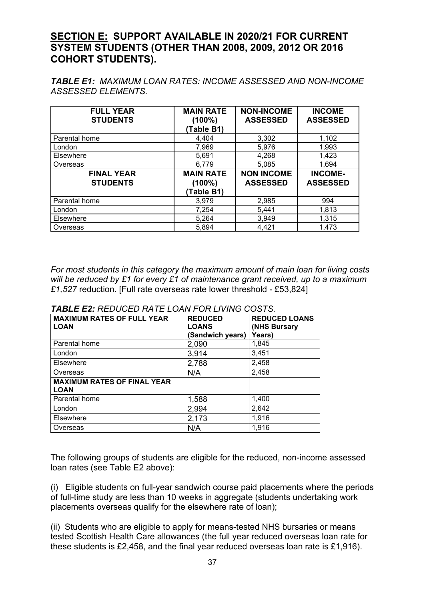# **SECTION E: SUPPORT AVAILABLE IN 2020/21 FOR CURRENT SYSTEM STUDENTS (OTHER THAN 2008, 2009, 2012 OR 2016 COHORT STUDENTS).**

*TABLE E1: MAXIMUM LOAN RATES: INCOME ASSESSED AND NON-INCOME ASSESSED ELEMENTS.*

| <b>FULL YEAR</b><br><b>STUDENTS</b>  | <b>MAIN RATE</b><br>(100%)<br>(Table B1)    | <b>NON-INCOME</b><br><b>ASSESSED</b> | <b>INCOME</b><br><b>ASSESSED</b>  |
|--------------------------------------|---------------------------------------------|--------------------------------------|-----------------------------------|
| Parental home                        | 4,404                                       | 3,302                                | 1,102                             |
| London                               | 7,969                                       | 5,976                                | 1,993                             |
| Elsewhere                            | 5,691                                       | 4,268                                | 1,423                             |
| Overseas                             | 6,779                                       | 5,085                                | 1,694                             |
| <b>FINAL YEAR</b><br><b>STUDENTS</b> | <b>MAIN RATE</b><br>$(100\%)$<br>(Table B1) | <b>NON INCOME</b><br><b>ASSESSED</b> | <b>INCOME-</b><br><b>ASSESSED</b> |
| Parental home                        | 3,979                                       | 2,985                                | 994                               |
| London                               | 7,254                                       | 5,441                                | 1,813                             |
| Elsewhere                            | 5,264                                       | 3,949                                | 1,315                             |
| Overseas                             | 5,894                                       | 4,421                                | 1,473                             |

*For most students in this category the maximum amount of main loan for living costs will be reduced by £1 for every £1 of maintenance grant received, up to a maximum £1,527* reduction. [Full rate overseas rate lower threshold - £53,824]

| <b>MAXIMUM RATES OF FULL YEAR</b><br><b>LOAN</b> | <b>REDUCED</b><br><b>LOANS</b> | <b>REDUCED LOANS</b><br>(NHS Bursary |
|--------------------------------------------------|--------------------------------|--------------------------------------|
|                                                  | (Sandwich years)               | Years)                               |
| Parental home                                    | 2,090                          | 1,845                                |
| London                                           | 3,914                          | 3,451                                |
| Elsewhere                                        | 2,788                          | 2,458                                |
| Overseas                                         | N/A                            | 2,458                                |
| <b>MAXIMUM RATES OF FINAL YEAR</b>               |                                |                                      |
| <b>LOAN</b>                                      |                                |                                      |
| Parental home                                    | 1,588                          | 1,400                                |
| London                                           | 2,994                          | 2,642                                |
| Elsewhere                                        | 2,173                          | 1,916                                |
| Overseas                                         | N/A                            | 1,916                                |

*TABLE E2: REDUCED RATE LOAN FOR LIVING COSTS.*

The following groups of students are eligible for the reduced, non-income assessed loan rates (see Table E2 above):

(i) Eligible students on full-year sandwich course paid placements where the periods of full-time study are less than 10 weeks in aggregate (students undertaking work placements overseas qualify for the elsewhere rate of loan);

(ii) Students who are eligible to apply for means-tested NHS bursaries or means tested Scottish Health Care allowances (the full year reduced overseas loan rate for these students is £2,458, and the final year reduced overseas loan rate is £1,916).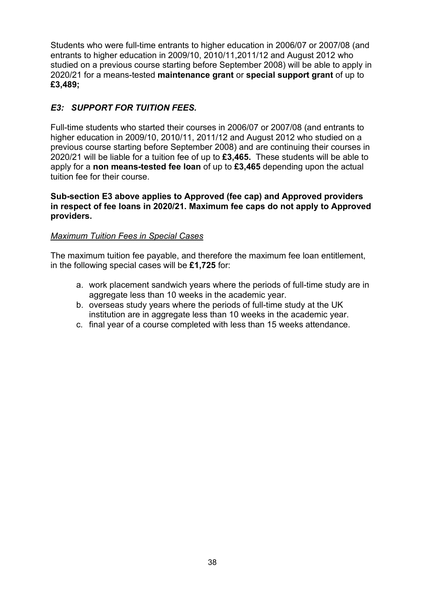Students who were full-time entrants to higher education in 2006/07 or 2007/08 (and entrants to higher education in 2009/10, 2010/11,2011/12 and August 2012 who studied on a previous course starting before September 2008) will be able to apply in 2020/21 for a means-tested **maintenance grant** or **special support grant** of up to **£3,489;**

# *E3: SUPPORT FOR TUITION FEES.*

Full-time students who started their courses in 2006/07 or 2007/08 (and entrants to higher education in 2009/10, 2010/11, 2011/12 and August 2012 who studied on a previous course starting before September 2008) and are continuing their courses in 2020/21 will be liable for a tuition fee of up to **£3,465.** These students will be able to apply for a **non means-tested fee loan** of up to **£3,465** depending upon the actual tuition fee for their course.

### **Sub-section E3 above applies to Approved (fee cap) and Approved providers in respect of fee loans in 2020/21. Maximum fee caps do not apply to Approved providers.**

## *Maximum Tuition Fees in Special Cases*

The maximum tuition fee payable, and therefore the maximum fee loan entitlement, in the following special cases will be **£1,725** for:

- a. work placement sandwich years where the periods of full-time study are in aggregate less than 10 weeks in the academic year.
- b. overseas study years where the periods of full-time study at the UK institution are in aggregate less than 10 weeks in the academic year.
- c. final year of a course completed with less than 15 weeks attendance.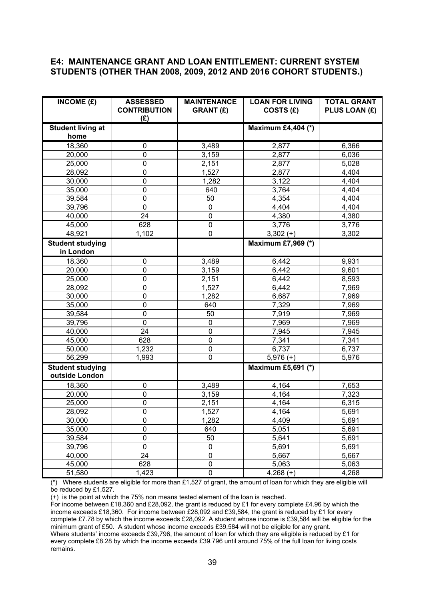#### **E4: MAINTENANCE GRANT AND LOAN ENTITLEMENT: CURRENT SYSTEM STUDENTS (OTHER THAN 2008, 2009, 2012 AND 2016 COHORT STUDENTS.)**

| INCOME $(E)$                              | <b>ASSESSED</b><br><b>CONTRIBUTION</b> | <b>MAINTENANCE</b><br><b>GRANT (£)</b> | <b>LOAN FOR LIVING</b><br>COSTS (£) | <b>TOTAL GRANT</b><br>PLUS LOAN (£) |
|-------------------------------------------|----------------------------------------|----------------------------------------|-------------------------------------|-------------------------------------|
|                                           | (E)                                    |                                        |                                     |                                     |
| <b>Student living at</b>                  |                                        |                                        | Maximum £4,404 (*)                  |                                     |
| home                                      |                                        |                                        |                                     |                                     |
| 18,360                                    | 0                                      | 3,489                                  | 2,877                               | 6,366                               |
| 20,000                                    | 0                                      | 3,159                                  | 2,877                               | 6,036                               |
| 25,000                                    | 0                                      | 2,151                                  | 2,877                               | 5,028                               |
| 28,092                                    | 0                                      | 1,527                                  | 2,877                               | 4,404                               |
| 30,000                                    | 0                                      | 1,282                                  | 3,122                               | 4,404                               |
| 35,000                                    | 0                                      | 640                                    | 3,764                               | 4,404                               |
| 39,584                                    | 0                                      | 50                                     | 4,354                               | 4,404                               |
| 39,796                                    | 0                                      | 0                                      | 4,404                               | 4,404                               |
| 40,000                                    | 24                                     | $\mathbf 0$                            | 4,380                               | 4,380                               |
| 45,000                                    | 628                                    | $\pmb{0}$                              | 3,776                               | 3,776                               |
| 48,921                                    | 1,102                                  | $\overline{0}$                         | $\overline{3,}302$ (+)              | 3,302                               |
| <b>Student studying</b><br>in London      |                                        |                                        | <b>Maximum £7,969 (*)</b>           |                                     |
| 18,360                                    | $\pmb{0}$                              | 3,489                                  | 6,442                               | 9,931                               |
| 20,000                                    | 0                                      | 3,159                                  | 6,442                               | 9,601                               |
| 25,000                                    | $\pmb{0}$                              | 2,151                                  | 6,442                               | 8,593                               |
| 28,092                                    | 0                                      | 1,527                                  | 6,442                               | 7,969                               |
| 30,000                                    | 0                                      | 1,282                                  | 6,687                               | 7,969                               |
| 35,000                                    | $\pmb{0}$                              | 640                                    | 7,329                               | 7,969                               |
| 39,584                                    | $\pmb{0}$                              | 50                                     | 7,919                               | 7,969                               |
| 39,796                                    | 0                                      | 0                                      | 7,969                               | 7,969                               |
| 40,000                                    | 24                                     | 0                                      | 7,945                               | 7,945                               |
| 45,000                                    | 628                                    | $\mathbf 0$                            | 7,341                               | 7,341                               |
| 50,000                                    | 1,232                                  | 0                                      | 6,737                               | 6,737                               |
| 56,299                                    | 1,993                                  | $\mathbf 0$                            | $\overline{5,}976$ (+)              | 5,976                               |
| <b>Student studying</b><br>outside London |                                        |                                        | Maximum £5,691 (*)                  |                                     |
| 18,360                                    | $\pmb{0}$                              | 3,489                                  | 4,164                               | 7,653                               |
| 20,000                                    | $\mathbf 0$                            | 3,159                                  | 4,164                               | 7,323                               |
| 25,000                                    | 0                                      | 2,151                                  | 4,164                               | 6,315                               |
| 28,092                                    | $\overline{0}$                         | 1,527                                  | 4,164                               | 5,691                               |
| 30,000                                    | $\mathbf 0$                            | 1,282                                  | 4,409                               | 5,691                               |
| 35,000                                    | $\pmb{0}$                              | 640                                    | 5,051                               | 5,691                               |
| 39,584                                    | $\pmb{0}$                              | 50                                     | 5,641                               | 5,691                               |
| 39,796                                    | $\pmb{0}$                              | $\pmb{0}$                              | 5,691                               | 5,691                               |
| 40,000                                    | 24                                     | 0                                      | 5,667                               | 5,667                               |
| 45,000                                    | 628                                    | $\pmb{0}$                              | 5,063                               | 5,063                               |
| 51,580                                    | 1,423                                  | $\pmb{0}$                              | $4,268 (+)$                         | 4,268                               |

(\*) Where students are eligible for more than £1,527 of grant, the amount of loan for which they are eligible will be reduced by £1,527.

(+) is the point at which the 75% non means tested element of the loan is reached.

For income between £18,360 and £28,092, the grant is reduced by £1 for every complete £4.96 by which the income exceeds £18,360. For income between £28,092 and £39,584, the grant is reduced by £1 for every complete £7.78 by which the income exceeds £28,092. A student whose income is £39,584 will be eligible for the minimum grant of £50. A student whose income exceeds £39,584 will not be eligible for any grant. Where students' income exceeds £39,796, the amount of loan for which they are eligible is reduced by £1 for every complete £8.28 by which the income exceeds £39,796 until around 75% of the full loan for living costs remains.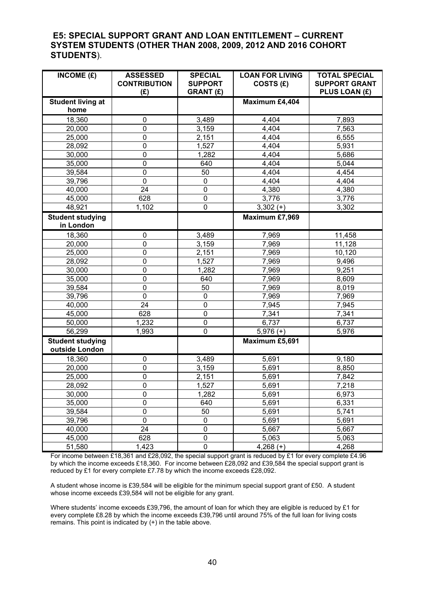### **E5: SPECIAL SUPPORT GRANT AND LOAN ENTITLEMENT – CURRENT SYSTEM STUDENTS (OTHER THAN 2008, 2009, 2012 AND 2016 COHORT STUDENTS**).

| INCOME(E)                                 | <b>ASSESSED</b><br><b>CONTRIBUTION</b> | <b>SPECIAL</b><br><b>SUPPORT</b> | <b>LOAN FOR LIVING</b><br>COSTS (£) | <b>TOTAL SPECIAL</b><br><b>SUPPORT GRANT</b> |
|-------------------------------------------|----------------------------------------|----------------------------------|-------------------------------------|----------------------------------------------|
|                                           | (E)                                    | <b>GRANT (£)</b>                 |                                     | <b>PLUS LOAN (£)</b>                         |
| <b>Student living at</b>                  |                                        |                                  | Maximum £4,404                      |                                              |
| home                                      |                                        |                                  |                                     |                                              |
| 18,360                                    | 0                                      | 3,489                            | 4,404                               | 7,893                                        |
| 20,000                                    | 0                                      | 3,159                            | 4,404                               | 7,563                                        |
| 25,000                                    | 0                                      | 2,151                            | 4,404                               | 6,555                                        |
| 28,092                                    | 0                                      | 1,527                            | 4,404                               | 5,931                                        |
| 30,000                                    | 0                                      | 1,282                            | 4,404                               | 5,686                                        |
| 35,000                                    | $\mathbf 0$                            | 640                              | 4,404                               | 5,044                                        |
| 39,584                                    | $\mathbf 0$                            | 50                               | 4,404                               | 4,454                                        |
| 39,796                                    | $\mathbf 0$                            | $\pmb{0}$                        | 4,404                               | 4,404                                        |
| 40,000                                    | 24                                     | $\pmb{0}$                        | 4,380                               | 4,380                                        |
| 45,000                                    | 628                                    | $\pmb{0}$                        | 3,776                               | 3,776                                        |
| 48,921                                    | 1,102                                  | $\mathbf 0$                      | $3,302 (+)$                         | 3,302                                        |
| <b>Student studying</b>                   |                                        |                                  | Maximum £7,969                      |                                              |
| in London                                 |                                        |                                  |                                     |                                              |
| 18,360                                    | $\mathbf 0$                            | 3,489                            | 7,969                               | 11,458                                       |
| 20,000                                    | 0                                      | 3,159                            | 7,969                               | 11,128                                       |
| 25,000                                    | 0                                      | 2,151                            | 7,969                               | 10,120                                       |
| 28,092                                    | $\mathbf 0$                            | 1,527                            | 7,969                               | 9,496                                        |
| 30,000                                    | 0                                      | 1,282                            | 7,969                               | 9,251                                        |
| 35,000                                    | 0                                      | 640                              | 7,969                               | 8,609                                        |
| 39,584                                    | 0                                      | 50                               | 7,969                               | 8,019                                        |
| 39,796                                    | $\mathbf 0$                            | 0                                | 7,969                               | 7,969                                        |
| 40,000                                    | 24                                     | $\pmb{0}$                        | 7,945                               | 7,945                                        |
| 45,000                                    | 628                                    | $\pmb{0}$                        | 7,341                               | 7,341                                        |
| 50,000                                    | 1,232                                  | $\pmb{0}$                        | 6,737                               | 6,737                                        |
| 56,299                                    | 1,993                                  | $\pmb{0}$                        | $5,976 (+)$                         | 5,976                                        |
| <b>Student studying</b><br>outside London |                                        |                                  | Maximum £5,691                      |                                              |
| 18,360                                    | 0                                      | 3,489                            | 5,691                               | 9,180                                        |
|                                           | $\pmb{0}$                              | 3,159                            |                                     | 8,850                                        |
| 20,000<br>25,000                          | $\mathbf 0$                            | 2,151                            | 5,691                               | 7,842                                        |
| 28,092                                    | 0                                      | 1,527                            | 5,691<br>5,691                      | 7,218                                        |
|                                           |                                        |                                  |                                     |                                              |
| 30,000                                    | 0<br>0                                 | 1,282                            | 5,691                               | 6,973                                        |
| 35,000                                    | $\pmb{0}$                              | 640<br>50                        | 5,691<br>5,691                      | 6,331<br>5,741                               |
| 39,584                                    | $\pmb{0}$                              |                                  |                                     |                                              |
| 39,796                                    |                                        | $\pmb{0}$                        | 5,691                               | 5,691                                        |
| 40,000                                    | 24                                     | $\pmb{0}$                        | 5,667                               | 5,667                                        |
| 45,000                                    | 628                                    | $\pmb{0}$                        | 5,063                               | 5,063                                        |
| 51,580                                    | 1,423                                  | $\pmb{0}$                        | $4,268 (+)$                         | 4,268                                        |

For income between £18,361 and £28,092, the special support grant is reduced by £1 for every complete £4.96 by which the income exceeds £18,360. For income between £28,092 and £39,584 the special support grant is reduced by £1 for every complete £7.78 by which the income exceeds £28,092.

A student whose income is £39,584 will be eligible for the minimum special support grant of £50. A student whose income exceeds £39,584 will not be eligible for any grant.

Where students' income exceeds £39,796, the amount of loan for which they are eligible is reduced by £1 for every complete £8.28 by which the income exceeds £39,796 until around 75% of the full loan for living costs remains. This point is indicated by (+) in the table above.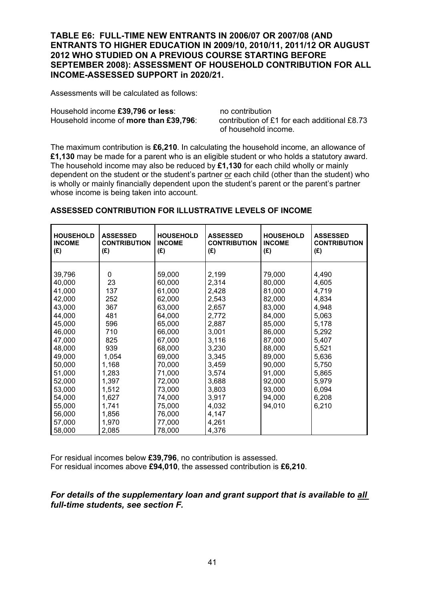**TABLE E6: FULL-TIME NEW ENTRANTS IN 2006/07 OR 2007/08 (AND ENTRANTS TO HIGHER EDUCATION IN 2009/10, 2010/11, 2011/12 OR AUGUST 2012 WHO STUDIED ON A PREVIOUS COURSE STARTING BEFORE SEPTEMBER 2008): ASSESSMENT OF HOUSEHOLD CONTRIBUTION FOR ALL INCOME-ASSESSED SUPPORT in 2020/21.**

Assessments will be calculated as follows:

Household income **£39,796 or less**: no contribution<br>Household income of **more than £39.796**: contribution of £1 for each additional £8.73 Household income of **more than £39.796**:

of household income.

The maximum contribution is **£6,210**. In calculating the household income, an allowance of **£1,130** may be made for a parent who is an eligible student or who holds a statutory award. The household income may also be reduced by **£1,130** for each child wholly or mainly dependent on the student or the student's partner or each child (other than the student) who is wholly or mainly financially dependent upon the student's parent or the parent's partner whose income is being taken into account.

| <b>HOUSEHOLD</b><br><b>INCOME</b><br>(E) | <b>ASSESSED</b><br><b>CONTRIBUTION</b><br>(E) | <b>HOUSEHOLD</b><br><b>INCOME</b><br>(E) | <b>ASSESSED</b><br><b>CONTRIBUTION</b><br>(E) | <b>HOUSEHOLD</b><br><b>INCOME</b><br>(E) | <b>ASSESSED</b><br><b>CONTRIBUTION</b><br>(E) |
|------------------------------------------|-----------------------------------------------|------------------------------------------|-----------------------------------------------|------------------------------------------|-----------------------------------------------|
| 39,796                                   | 0                                             |                                          |                                               |                                          |                                               |
|                                          |                                               | 59,000                                   | 2,199                                         | 79,000                                   | 4,490                                         |
| 40,000                                   | 23                                            | 60,000                                   | 2,314                                         | 80,000                                   | 4,605                                         |
| 41,000                                   | 137                                           | 61,000                                   | 2,428                                         | 81,000                                   | 4,719                                         |
| 42,000                                   | 252                                           | 62,000                                   | 2,543                                         | 82,000                                   | 4,834                                         |
| 43,000                                   | 367                                           | 63,000                                   | 2,657                                         | 83,000                                   | 4,948                                         |
| 44,000                                   | 481                                           | 64,000                                   | 2,772                                         | 84,000                                   | 5,063                                         |
| 45,000                                   | 596                                           | 65,000                                   | 2,887                                         | 85,000                                   | 5,178                                         |
| 46,000                                   | 710                                           | 66,000                                   | 3,001                                         | 86,000                                   | 5,292                                         |
| 47,000                                   | 825                                           | 67,000                                   | 3,116                                         | 87,000                                   | 5,407                                         |
| 48,000                                   | 939                                           | 68,000                                   | 3,230                                         | 88,000                                   | 5,521                                         |
| 49,000                                   | 1,054                                         | 69,000                                   | 3,345                                         | 89,000                                   | 5,636                                         |
| 50,000                                   | 1,168                                         | 70,000                                   | 3,459                                         | 90,000                                   | 5,750                                         |
| 51,000                                   | 1,283                                         | 71,000                                   | 3,574                                         | 91,000                                   | 5,865                                         |
| 52,000                                   | 1,397                                         | 72,000                                   | 3,688                                         | 92,000                                   | 5,979                                         |
| 53,000                                   | 1,512                                         | 73,000                                   | 3,803                                         | 93,000                                   | 6,094                                         |
| 54,000                                   | 1,627                                         | 74,000                                   | 3,917                                         | 94,000                                   | 6,208                                         |
| 55,000                                   | 1,741                                         | 75,000                                   | 4,032                                         | 94,010                                   | 6,210                                         |
| 56,000                                   | 1,856                                         | 76,000                                   | 4,147                                         |                                          |                                               |
| 57,000                                   | 1,970                                         | 77,000                                   | 4,261                                         |                                          |                                               |
| 58,000                                   | 2,085                                         | 78,000                                   | 4,376                                         |                                          |                                               |

### **ASSESSED CONTRIBUTION FOR ILLUSTRATIVE LEVELS OF INCOME**

For residual incomes below **£39,796**, no contribution is assessed. For residual incomes above **£94,010**, the assessed contribution is **£6,210**.

#### *For details of the supplementary loan and grant support that is available to all full-time students, see section F.*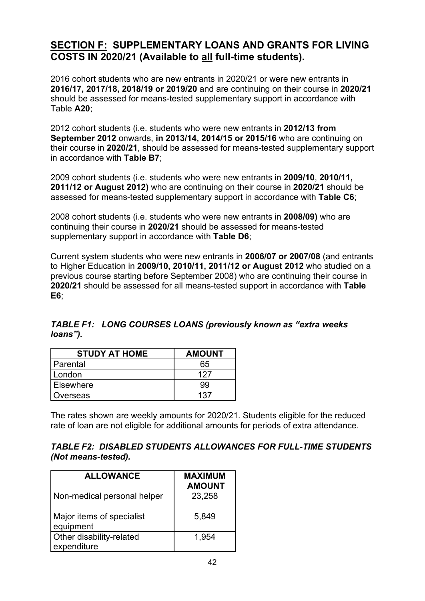# **SECTION F: SUPPLEMENTARY LOANS AND GRANTS FOR LIVING COSTS IN 2020/21 (Available to all full-time students).**

2016 cohort students who are new entrants in 2020/21 or were new entrants in **2016/17, 2017/18, 2018/19 or 2019/20** and are continuing on their course in **2020/21** should be assessed for means-tested supplementary support in accordance with Table **A20**;

2012 cohort students (i.e. students who were new entrants in **2012/13 from September 2012** onwards, **in 2013/14, 2014/15 or 2015/16** who are continuing on their course in **2020/21**, should be assessed for means-tested supplementary support in accordance with **Table B7**;

2009 cohort students (i.e. students who were new entrants in **2009/10**, **2010/11, 2011/12 or August 2012)** who are continuing on their course in **2020/21** should be assessed for means-tested supplementary support in accordance with **Table C6**;

2008 cohort students (i.e. students who were new entrants in **2008/09)** who are continuing their course in **2020/21** should be assessed for means-tested supplementary support in accordance with **Table D6**;

Current system students who were new entrants in **2006/07 or 2007/08** (and entrants to Higher Education in **2009/10, 2010/11, 2011/12 or August 2012** who studied on a previous course starting before September 2008) who are continuing their course in **2020/21** should be assessed for all means-tested support in accordance with **Table E6**;

| <b>STUDY AT HOME</b> | <b>AMOUNT</b> |
|----------------------|---------------|
| Parental             | 65            |
| London               | 127           |
| Elsewhere            | 99            |
| Overseas             | 137           |

*TABLE F1: LONG COURSES LOANS (previously known as "extra weeks loans").*

The rates shown are weekly amounts for 2020/21. Students eligible for the reduced rate of loan are not eligible for additional amounts for periods of extra attendance.

### *TABLE F2: DISABLED STUDENTS ALLOWANCES FOR FULL-TIME STUDENTS (Not means-tested).*

| <b>ALLOWANCE</b>                        | <b>MAXIMUM</b><br><b>AMOUNT</b> |
|-----------------------------------------|---------------------------------|
| Non-medical personal helper             | 23,258                          |
| Major items of specialist<br>equipment  | 5,849                           |
| Other disability-related<br>expenditure | 1.954                           |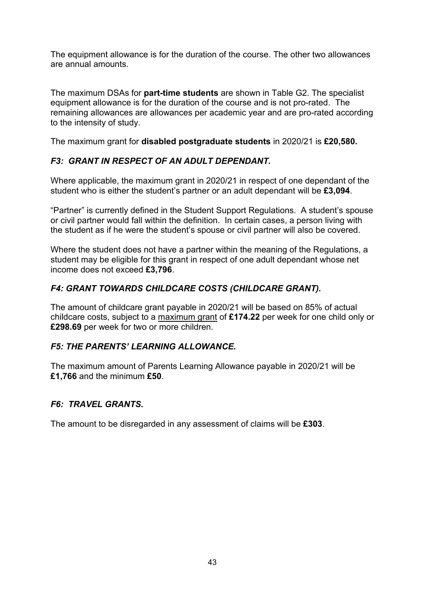The equipment allowance is for the duration of the course. The other two allowances are annual amounts.

The maximum DSAs for **part-time students** are shown in Table G2. The specialist equipment allowance is for the duration of the course and is not pro-rated. The remaining allowances are allowances per academic year and are pro-rated according to the intensity of study.

The maximum grant for **disabled postgraduate students** in 2020/21 is **£20,580.** 

## *F3: GRANT IN RESPECT OF AN ADULT DEPENDANT.*

Where applicable, the maximum grant in 2020/21 in respect of one dependant of the student who is either the student's partner or an adult dependant will be **£3,094**.

"Partner" is currently defined in the Student Support Regulations. A student's spouse or civil partner would fall within the definition. In certain cases, a person living with the student as if he were the student's spouse or civil partner will also be covered.

Where the student does not have a partner within the meaning of the Regulations, a student may be eligible for this grant in respect of one adult dependant whose net income does not exceed **£3,796**.

## *F4: GRANT TOWARDS CHILDCARE COSTS (CHILDCARE GRANT).*

The amount of childcare grant payable in 2020/21 will be based on 85% of actual childcare costs, subject to a maximum grant of **£174.22** per week for one child only or **£298.69** per week for two or more children.

## *F5: THE PARENTS' LEARNING ALLOWANCE.*

The maximum amount of Parents Learning Allowance payable in 2020/21 will be **£1,766** and the minimum **£50**.

## *F6: TRAVEL GRANTS.*

The amount to be disregarded in any assessment of claims will be **£303**.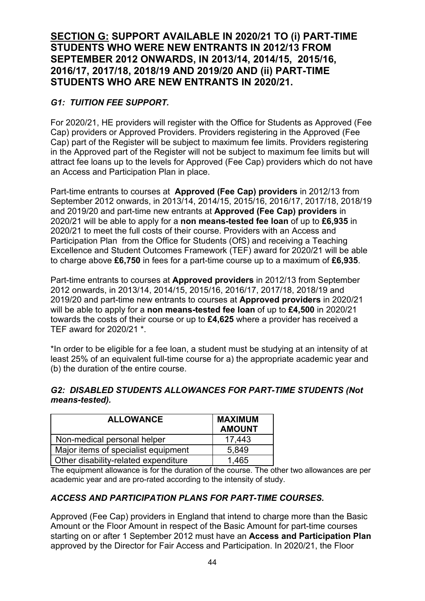# **SECTION G: SUPPORT AVAILABLE IN 2020/21 TO (i) PART-TIME STUDENTS WHO WERE NEW ENTRANTS IN 2012/13 FROM SEPTEMBER 2012 ONWARDS, IN 2013/14, 2014/15, 2015/16, 2016/17, 2017/18, 2018/19 AND 2019/20 AND (ii) PART-TIME STUDENTS WHO ARE NEW ENTRANTS IN 2020/21.**

## *G1: TUITION FEE SUPPORT.*

For 2020/21, HE providers will register with the Office for Students as Approved (Fee Cap) providers or Approved Providers. Providers registering in the Approved (Fee Cap) part of the Register will be subject to maximum fee limits. Providers registering in the Approved part of the Register will not be subject to maximum fee limits but will attract fee loans up to the levels for Approved (Fee Cap) providers which do not have an Access and Participation Plan in place.

Part-time entrants to courses at **Approved (Fee Cap) providers** in 2012/13 from September 2012 onwards, in 2013/14, 2014/15, 2015/16, 2016/17, 2017/18, 2018/19 and 2019/20 and part-time new entrants at **Approved (Fee Cap) providers** in 2020/21 will be able to apply for a **non means-tested fee loan** of up to **£6,935** in 2020/21 to meet the full costs of their course. Providers with an Access and Participation Plan from the Office for Students (OfS) and receiving a Teaching Excellence and Student Outcomes Framework (TEF) award for 2020/21 will be able to charge above **£6,750** in fees for a part-time course up to a maximum of **£6,935**.

Part-time entrants to courses at **Approved providers** in 2012/13 from September 2012 onwards, in 2013/14, 2014/15, 2015/16, 2016/17, 2017/18, 2018/19 and 2019/20 and part-time new entrants to courses at **Approved providers** in 2020/21 will be able to apply for a **non means-tested fee loan** of up to **£4,500** in 2020/21 towards the costs of their course or up to **£4,625** where a provider has received a TEF award for 2020/21 \*.

\*In order to be eligible for a fee loan, a student must be studying at an intensity of at least 25% of an equivalent full-time course for a) the appropriate academic year and (b) the duration of the entire course.

## *G2: DISABLED STUDENTS ALLOWANCES FOR PART-TIME STUDENTS (Not means-tested).*

| <b>ALLOWANCE</b>                     | <b>MAXIMUM</b><br><b>AMOUNT</b> |
|--------------------------------------|---------------------------------|
| Non-medical personal helper          | 17,443                          |
| Major items of specialist equipment  | 5,849                           |
| Other disability-related expenditure | 1,465                           |

The equipment allowance is for the duration of the course. The other two allowances are per academic year and are pro-rated according to the intensity of study.

## *ACCESS AND PARTICIPATION PLANS FOR PART-TIME COURSES.*

Approved (Fee Cap) providers in England that intend to charge more than the Basic Amount or the Floor Amount in respect of the Basic Amount for part-time courses starting on or after 1 September 2012 must have an **Access and Participation Plan**  approved by the Director for Fair Access and Participation. In 2020/21, the Floor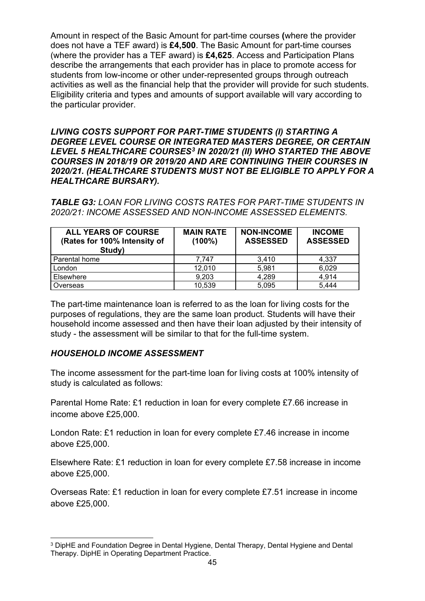Amount in respect of the Basic Amount for part-time courses **(**where the provider does not have a TEF award) is **£4,500**. The Basic Amount for part-time courses (where the provider has a TEF award) is **£4,625**. Access and Participation Plans describe the arrangements that each provider has in place to promote access for students from low-income or other under-represented groups through outreach activities as well as the financial help that the provider will provide for such students. Eligibility criteria and types and amounts of support available will vary according to the particular provider.

*LIVING COSTS SUPPORT FOR PART-TIME STUDENTS (I) STARTING A DEGREE LEVEL COURSE OR INTEGRATED MASTERS DEGREE, OR CERTAIN LEVEL 5 HEALTHCARE COURSES[3](#page-44-0) IN 2020/21 (II) WHO STARTED THE ABOVE COURSES IN 2018/19 OR 2019/20 AND ARE CONTINUING THEIR COURSES IN 2020/21. (HEALTHCARE STUDENTS MUST NOT BE ELIGIBLE TO APPLY FOR A HEALTHCARE BURSARY).*

*TABLE G3: LOAN FOR LIVING COSTS RATES FOR PART-TIME STUDENTS IN 2020/21: INCOME ASSESSED AND NON-INCOME ASSESSED ELEMENTS.* 

| <b>ALL YEARS OF COURSE</b><br>(Rates for 100% Intensity of<br>Study) | <b>MAIN RATE</b><br>(100%) | <b>NON-INCOME</b><br><b>ASSESSED</b> | <b>INCOME</b><br><b>ASSESSED</b> |
|----------------------------------------------------------------------|----------------------------|--------------------------------------|----------------------------------|
| Parental home                                                        | 7.747                      | 3.410                                | 4.337                            |
| London                                                               | 12,010                     | 5,981                                | 6,029                            |
| Elsewhere                                                            | 9.203                      | 4,289                                | 4,914                            |
| Overseas                                                             | 10,539                     | 5.095                                | 5,444                            |

The part-time maintenance loan is referred to as the loan for living costs for the purposes of regulations, they are the same loan product. Students will have their household income assessed and then have their loan adjusted by their intensity of study - the assessment will be similar to that for the full-time system.

### *HOUSEHOLD INCOME ASSESSMENT*

The income assessment for the part-time loan for living costs at 100% intensity of study is calculated as follows:

Parental Home Rate: £1 reduction in loan for every complete £7.66 increase in income above £25,000.

London Rate: £1 reduction in loan for every complete £7.46 increase in income above £25,000.

Elsewhere Rate: £1 reduction in loan for every complete £7.58 increase in income above £25,000.

Overseas Rate: £1 reduction in loan for every complete £7.51 increase in income above £25,000.

<span id="page-44-0"></span><sup>3</sup> DipHE and Foundation Degree in Dental Hygiene, Dental Therapy, Dental Hygiene and Dental Therapy. DipHE in Operating Department Practice.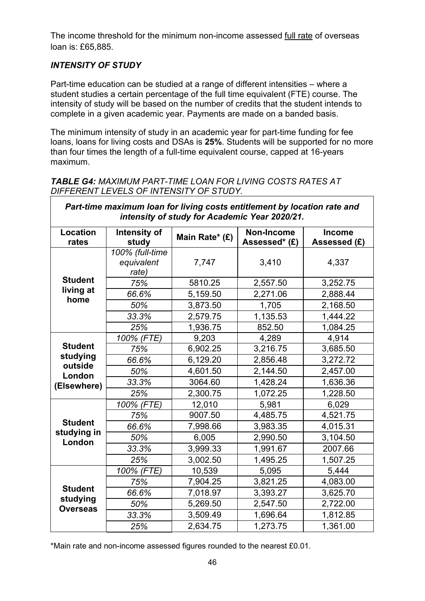The income threshold for the minimum non-income assessed full rate of overseas loan is: £65,885.

## *INTENSITY OF STUDY*

Part-time education can be studied at a range of different intensities – where a student studies a certain percentage of the full time equivalent (FTE) course. The intensity of study will be based on the number of credits that the student intends to complete in a given academic year. Payments are made on a banded basis.

The minimum intensity of study in an academic year for part-time funding for fee loans, loans for living costs and DSAs is **25%**. Students will be supported for no more than four times the length of a full-time equivalent course, capped at 16-years maximum.

 $\overline{\phantom{0}}$ 

*TABLE G4: MAXIMUM PART-TIME LOAN FOR LIVING COSTS RATES AT DIFFERENT LEVELS OF INTENSITY OF STUDY.* 

| Part-time maximum loan for living costs entitlement by location rate and<br>intensity of study for Academic Year 2020/21. |                                        |                |                                    |                               |  |
|---------------------------------------------------------------------------------------------------------------------------|----------------------------------------|----------------|------------------------------------|-------------------------------|--|
| Location<br>rates                                                                                                         | Intensity of<br>study                  | Main Rate* (£) | <b>Non-Income</b><br>Assessed* (£) | <b>Income</b><br>Assessed (£) |  |
|                                                                                                                           | 100% (full-time<br>equivalent<br>rate) | 7,747          | 3,410                              | 4,337                         |  |
| <b>Student</b>                                                                                                            | 75%                                    | 5810.25        | 2,557.50                           | 3,252.75                      |  |
| living at                                                                                                                 | 66.6%                                  | 5,159.50       | 2,271.06                           | 2,888.44                      |  |
| home                                                                                                                      | 50%                                    | 3,873.50       | 1,705                              | 2,168.50                      |  |
|                                                                                                                           | 33.3%                                  | 2,579.75       | 1,135.53                           | 1,444.22                      |  |
|                                                                                                                           | 25%                                    | 1,936.75       | 852.50                             | 1,084.25                      |  |
|                                                                                                                           | 100% (FTE)                             | 9,203          | 4,289                              | 4,914                         |  |
| <b>Student</b>                                                                                                            | 75%                                    | 6,902.25       | 3,216.75                           | 3,685.50                      |  |
| studying<br>outside                                                                                                       | 66.6%                                  | 6,129.20       | 2,856.48                           | 3,272.72                      |  |
| London                                                                                                                    | 50%                                    | 4,601.50       | 2,144.50                           | 2,457.00                      |  |
| (Elsewhere)                                                                                                               | 33.3%                                  | 3064.60        | 1,428.24                           | 1,636.36                      |  |
|                                                                                                                           | 25%                                    | 2,300.75       | 1,072.25                           | 1,228.50                      |  |
|                                                                                                                           | 100% (FTE)                             | 12,010         | 5,981                              | 6,029                         |  |
|                                                                                                                           | 75%                                    | 9007.50        | 4,485.75                           | 4,521.75                      |  |
| <b>Student</b>                                                                                                            | 66.6%                                  | 7,998.66       | 3,983.35                           | 4,015.31                      |  |
| studying in<br>London                                                                                                     | 50%                                    | 6,005          | 2,990.50                           | 3,104.50                      |  |
|                                                                                                                           | 33.3%                                  | 3,999.33       | 1,991.67                           | 2007.66                       |  |
|                                                                                                                           | 25%                                    | 3,002.50       | 1,495.25                           | 1,507.25                      |  |
|                                                                                                                           | 100% (FTE)                             | 10,539         | 5,095                              | 5,444                         |  |
|                                                                                                                           | 75%                                    | 7,904.25       | 3,821.25                           | 4,083.00                      |  |
| <b>Student</b>                                                                                                            | 66.6%                                  | 7,018.97       | 3,393.27                           | 3,625.70                      |  |
| studying<br><b>Overseas</b>                                                                                               | 50%                                    | 5,269.50       | 2,547.50                           | 2,722.00                      |  |
|                                                                                                                           | 33.3%                                  | 3,509.49       | 1,696.64                           | 1,812.85                      |  |
|                                                                                                                           | 25%                                    | 2,634.75       | 1,273.75                           | 1,361.00                      |  |

\*Main rate and non-income assessed figures rounded to the nearest £0.01.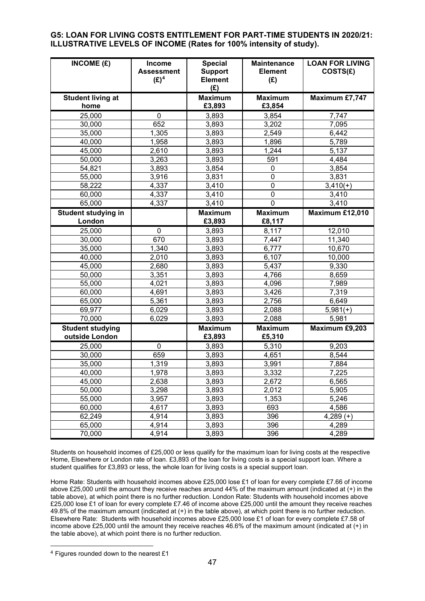**G5: LOAN FOR LIVING COSTS ENTITLEMENT FOR PART-TIME STUDENTS IN 2020/21: ILLUSTRATIVE LEVELS OF INCOME (Rates for 100% intensity of study).** 

| INCOME $(E)$               | Income<br><b>Assessment</b><br>$(E)^4$ | <b>Special</b><br><b>Support</b><br><b>Element</b> | <b>Maintenance</b><br><b>Element</b><br>(E) | <b>LOAN FOR LIVING</b><br>COSTS(£) |
|----------------------------|----------------------------------------|----------------------------------------------------|---------------------------------------------|------------------------------------|
|                            |                                        | (E)                                                |                                             |                                    |
| <b>Student living at</b>   |                                        | <b>Maximum</b>                                     | <b>Maximum</b>                              | Maximum £7,747                     |
| home                       |                                        | £3,893                                             | £3,854                                      |                                    |
| 25,000                     | 0                                      | 3,893                                              | 3,854                                       | 7,747                              |
| 30,000                     | 652                                    | 3,893                                              | 3,202                                       | 7,095                              |
| 35,000                     | 1,305                                  | 3,893                                              | 2,549                                       | 6,442                              |
| 40,000                     | 1,958                                  | 3,893                                              | 1,896                                       | 5,789                              |
| 45,000                     | 2,610                                  | 3,893                                              | 1,244                                       | 5,137                              |
| 50,000                     | 3,263                                  | 3,893                                              | 591                                         | 4,484                              |
| 54,821                     | 3,893                                  | 3,854                                              | 0                                           | 3,854                              |
| 55,000                     | 3,916                                  | 3,831                                              | 0                                           | 3,831                              |
| 58,222                     | 4,337                                  | 3,410                                              | 0                                           | $3,410(+)$                         |
| 60,000                     | 4,337                                  | 3,410                                              | 0                                           | 3,410                              |
| 65,000                     | 4,337                                  | 3,410                                              | $\overline{0}$                              | 3,410                              |
| <b>Student studying in</b> |                                        | <b>Maximum</b>                                     | <b>Maximum</b>                              | Maximum £12,010                    |
| London                     |                                        | £3,893                                             | £8,117                                      |                                    |
| 25,000                     | $\mathbf 0$                            | 3,893                                              | 8,117                                       | 12,010                             |
| 30,000                     | 670                                    | 3,893                                              | 7,447                                       | 11,340                             |
| 35,000                     | 1,340                                  | 3,893                                              | 6,777                                       | 10,670                             |
| 40,000                     | 2,010                                  | 3,893                                              | 6,107                                       | 10,000                             |
| 45,000                     | 2,680                                  | 3,893                                              | 5,437                                       | 9,330                              |
| 50,000                     | 3,351                                  | 3,893                                              | 4,766                                       | 8,659                              |
| 55,000                     | 4,021                                  | 3,893                                              | 4,096                                       | 7,989                              |
| 60,000                     | 4,691                                  | 3,893                                              | 3,426                                       | 7,319                              |
| 65,000                     | 5,361                                  | 3,893                                              | 2,756                                       | 6,649                              |
| 69,977                     | 6,029                                  | 3,893                                              | 2,088                                       | $5,981(+)$                         |
| 70,000                     | 6,029                                  | 3,893                                              | 2,088                                       | 5,981                              |
| <b>Student studying</b>    |                                        | <b>Maximum</b>                                     | <b>Maximum</b>                              | Maximum £9,203                     |
| outside London             |                                        | £3,893                                             | £5,310                                      |                                    |
| 25,000                     | $\mathbf 0$                            | 3,893                                              | 5,310                                       | 9,203                              |
| 30,000                     | 659                                    | 3,893                                              | 4,651                                       | 8,544                              |
| 35,000                     | 1,319                                  | 3,893                                              | 3,991                                       | 7,884                              |
| 40,000                     | 1,978                                  | 3,893                                              | 3,332                                       | 7,225                              |
| 45,000                     | 2,638                                  | 3,893                                              | 2,672                                       | 6,565                              |
| 50,000                     | 3,298                                  | 3,893                                              | 2,012                                       | 5,905                              |
| 55,000                     | 3,957                                  | 3,893                                              | 1,353                                       | 5,246                              |
| 60,000                     | 4,617                                  | 3,893                                              | 693                                         | 4,586                              |
| 62,249                     | 4,914                                  | 3,893                                              | 396                                         | $4,289 (+)$                        |
| 65,000                     | 4,914                                  | 3,893                                              | 396                                         | 4,289                              |
| 70,000                     | 4,914                                  | 3,893                                              | 396                                         | 4,289                              |

Students on household incomes of £25,000 or less qualify for the maximum loan for living costs at the respective Home, Elsewhere or London rate of loan. £3,893 of the loan for living costs is a special support loan. Where a student qualifies for £3,893 or less, the whole loan for living costs is a special support loan.

Home Rate: Students with household incomes above £25,000 lose £1 of loan for every complete £7.66 of income above £25,000 until the amount they receive reaches around 44% of the maximum amount (indicated at (+) in the table above), at which point there is no further reduction. London Rate: Students with household incomes above £25,000 lose £1 of loan for every complete £7.46 of income above £25,000 until the amount they receive reaches 49.8% of the maximum amount (indicated at (+) in the table above), at which point there is no further reduction. Elsewhere Rate: Students with household incomes above £25,000 lose £1 of loan for every complete £7.58 of income above £25,000 until the amount they receive reaches 46.6% of the maximum amount (indicated at (+) in the table above), at which point there is no further reduction.

<span id="page-46-0"></span><sup>4</sup> Figures rounded down to the nearest £1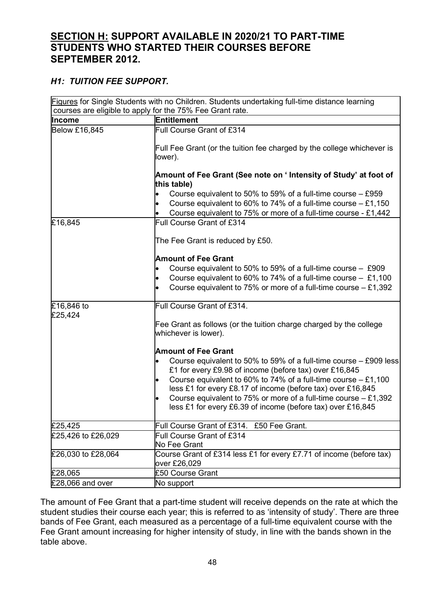# **SECTION H: SUPPORT AVAILABLE IN 2020/21 TO PART-TIME STUDENTS WHO STARTED THEIR COURSES BEFORE SEPTEMBER 2012.**

## *H1: TUITION FEE SUPPORT.*

|                       | Figures for Single Students with no Children. Students undertaking full-time distance learning                                                                                                                                                                                                                                                                                                                               |
|-----------------------|------------------------------------------------------------------------------------------------------------------------------------------------------------------------------------------------------------------------------------------------------------------------------------------------------------------------------------------------------------------------------------------------------------------------------|
|                       | courses are eligible to apply for the 75% Fee Grant rate.                                                                                                                                                                                                                                                                                                                                                                    |
| Income                | Entitlement                                                                                                                                                                                                                                                                                                                                                                                                                  |
| <b>Below £16,845</b>  | Full Course Grant of £314<br>Full Fee Grant (or the tuition fee charged by the college whichever is<br>lower).                                                                                                                                                                                                                                                                                                               |
|                       | Amount of Fee Grant (See note on ' Intensity of Study' at foot of<br>this table)                                                                                                                                                                                                                                                                                                                                             |
|                       | Course equivalent to 50% to 59% of a full-time course $-$ £959<br>Course equivalent to 60% to 74% of a full-time course $-$ £1,150<br>Course equivalent to 75% or more of a full-time course - £1,442                                                                                                                                                                                                                        |
| £16,845               | Full Course Grant of £314                                                                                                                                                                                                                                                                                                                                                                                                    |
|                       | The Fee Grant is reduced by £50.                                                                                                                                                                                                                                                                                                                                                                                             |
|                       | <b>Amount of Fee Grant</b><br>Course equivalent to 50% to 59% of a full-time course $-$ £909<br>٠<br>Course equivalent to 60% to 74% of a full-time course $-$ £1,100<br>$\bullet$<br>Course equivalent to 75% or more of a full-time course $- £1,392$                                                                                                                                                                      |
| £16,846 to<br>£25,424 | Full Course Grant of £314.                                                                                                                                                                                                                                                                                                                                                                                                   |
|                       | Fee Grant as follows (or the tuition charge charged by the college<br>whichever is lower).                                                                                                                                                                                                                                                                                                                                   |
|                       | <b>Amount of Fee Grant</b>                                                                                                                                                                                                                                                                                                                                                                                                   |
|                       | Course equivalent to 50% to 59% of a full-time course – £909 less<br>£1 for every £9.98 of income (before tax) over £16,845<br>Course equivalent to 60% to 74% of a full-time course $- £1,100$<br>$\bullet$<br>less £1 for every £8.17 of income (before tax) over £16,845<br>Course equivalent to 75% or more of a full-time course $- £1,392$<br>$\bullet$<br>less £1 for every £6.39 of income (before tax) over £16,845 |
| £25,425               | Full Course Grant of £314. £50 Fee Grant.                                                                                                                                                                                                                                                                                                                                                                                    |
| £25,426 to £26,029    | Full Course Grant of £314<br>No Fee Grant                                                                                                                                                                                                                                                                                                                                                                                    |
| £26,030 to £28,064    | Course Grant of £314 less £1 for every £7.71 of income (before tax)<br>over £26,029                                                                                                                                                                                                                                                                                                                                          |
| £28,065               | £50 Course Grant                                                                                                                                                                                                                                                                                                                                                                                                             |
| £28,066 and over      | No support                                                                                                                                                                                                                                                                                                                                                                                                                   |

The amount of Fee Grant that a part-time student will receive depends on the rate at which the student studies their course each year; this is referred to as 'intensity of study'. There are three bands of Fee Grant, each measured as a percentage of a full-time equivalent course with the Fee Grant amount increasing for higher intensity of study, in line with the bands shown in the table above.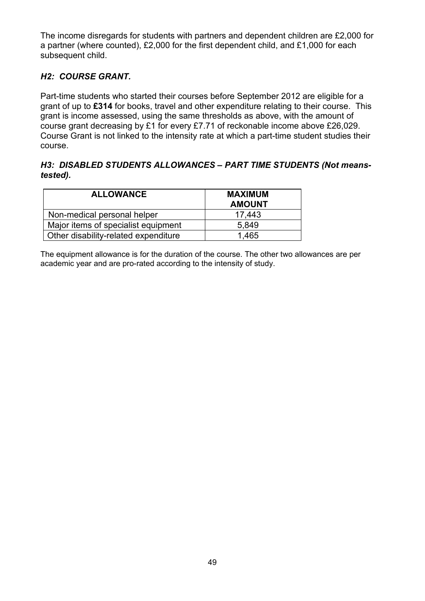The income disregards for students with partners and dependent children are £2,000 for a partner (where counted), £2,000 for the first dependent child, and £1,000 for each subsequent child.

## *H2: COURSE GRANT.*

Part-time students who started their courses before September 2012 are eligible for a grant of up to **£314** for books, travel and other expenditure relating to their course. This grant is income assessed, using the same thresholds as above, with the amount of course grant decreasing by £1 for every £7.71 of reckonable income above £26,029. Course Grant is not linked to the intensity rate at which a part-time student studies their course.

## *H3: DISABLED STUDENTS ALLOWANCES – PART TIME STUDENTS (Not meanstested).*

| <b>ALLOWANCE</b>                     | <b>MAXIMUM</b><br><b>AMOUNT</b> |
|--------------------------------------|---------------------------------|
| Non-medical personal helper          | 17,443                          |
| Major items of specialist equipment  | 5.849                           |
| Other disability-related expenditure | 1,465                           |

The equipment allowance is for the duration of the course. The other two allowances are per academic year and are pro-rated according to the intensity of study.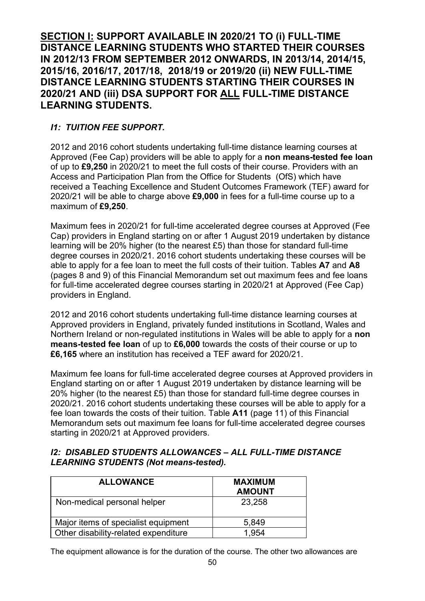**SECTION I: SUPPORT AVAILABLE IN 2020/21 TO (i) FULL-TIME DISTANCE LEARNING STUDENTS WHO STARTED THEIR COURSES IN 2012/13 FROM SEPTEMBER 2012 ONWARDS, IN 2013/14, 2014/15, 2015/16, 2016/17, 2017/18, 2018/19 or 2019/20 (ii) NEW FULL-TIME DISTANCE LEARNING STUDENTS STARTING THEIR COURSES IN 2020/21 AND (iii) DSA SUPPORT FOR ALL FULL-TIME DISTANCE LEARNING STUDENTS.** 

## *I1: TUITION FEE SUPPORT.*

2012 and 2016 cohort students undertaking full-time distance learning courses at Approved (Fee Cap) providers will be able to apply for a **non means-tested fee loan** of up to **£9,250** in 2020/21 to meet the full costs of their course. Providers with an Access and Participation Plan from the Office for Students (OfS) which have received a Teaching Excellence and Student Outcomes Framework (TEF) award for 2020/21 will be able to charge above **£9,000** in fees for a full-time course up to a maximum of **£9,250**.

Maximum fees in 2020/21 for full-time accelerated degree courses at Approved (Fee Cap) providers in England starting on or after 1 August 2019 undertaken by distance learning will be 20% higher (to the nearest £5) than those for standard full-time degree courses in 2020/21. 2016 cohort students undertaking these courses will be able to apply for a fee loan to meet the full costs of their tuition. Tables **A7** and **A8** (pages 8 and 9) of this Financial Memorandum set out maximum fees and fee loans for full-time accelerated degree courses starting in 2020/21 at Approved (Fee Cap) providers in England.

2012 and 2016 cohort students undertaking full-time distance learning courses at Approved providers in England, privately funded institutions in Scotland, Wales and Northern Ireland or non-regulated institutions in Wales will be able to apply for a **non means-tested fee loan** of up to **£6,000** towards the costs of their course or up to **£6,165** where an institution has received a TEF award for 2020/21.

Maximum fee loans for full-time accelerated degree courses at Approved providers in England starting on or after 1 August 2019 undertaken by distance learning will be 20% higher (to the nearest £5) than those for standard full-time degree courses in 2020/21. 2016 cohort students undertaking these courses will be able to apply for a fee loan towards the costs of their tuition. Table **A11** (page 11) of this Financial Memorandum sets out maximum fee loans for full-time accelerated degree courses starting in 2020/21 at Approved providers.

## *I2: DISABLED STUDENTS ALLOWANCES – ALL FULL-TIME DISTANCE LEARNING STUDENTS (Not means-tested).*

| <b>ALLOWANCE</b>                     | <b>MAXIMUM</b><br><b>AMOUNT</b> |
|--------------------------------------|---------------------------------|
| Non-medical personal helper          | 23,258                          |
| Major items of specialist equipment  | 5,849                           |
| Other disability-related expenditure | 1.954                           |

The equipment allowance is for the duration of the course. The other two allowances are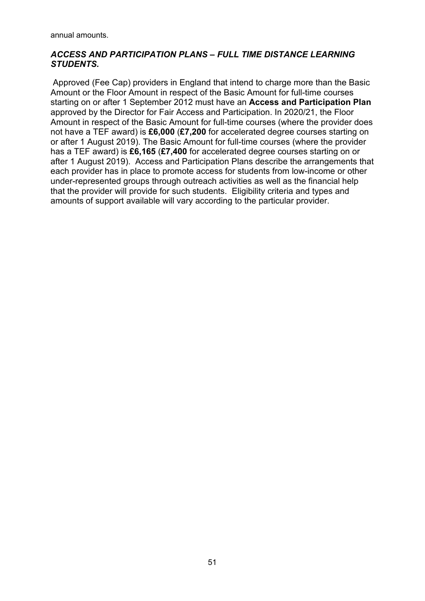annual amounts.

### *ACCESS AND PARTICIPATION PLANS – FULL TIME DISTANCE LEARNING STUDENTS.*

Approved (Fee Cap) providers in England that intend to charge more than the Basic Amount or the Floor Amount in respect of the Basic Amount for full-time courses starting on or after 1 September 2012 must have an **Access and Participation Plan** approved by the Director for Fair Access and Participation. In 2020/21, the Floor Amount in respect of the Basic Amount for full-time courses (where the provider does not have a TEF award) is **£6,000** (**£7,200** for accelerated degree courses starting on or after 1 August 2019). The Basic Amount for full-time courses (where the provider has a TEF award) is **£6,165** (**£7,400** for accelerated degree courses starting on or after 1 August 2019). Access and Participation Plans describe the arrangements that each provider has in place to promote access for students from low-income or other under-represented groups through outreach activities as well as the financial help that the provider will provide for such students. Eligibility criteria and types and amounts of support available will vary according to the particular provider.